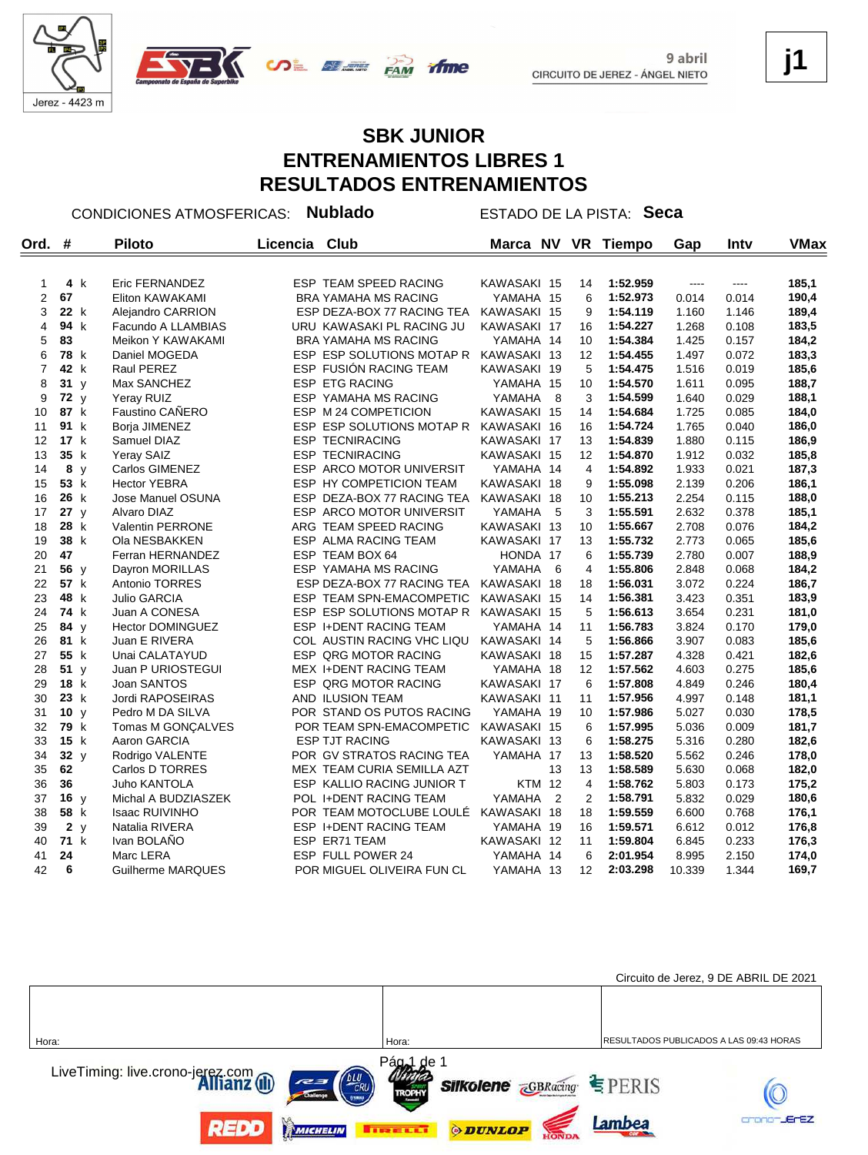



## **SBK JUNIOR ENTRENAMIENTOS LIBRES 1 RESULTADOS ENTRENAMIENTOS**

*<u>Anne</u>* 

CONDICIONES ATMOSFERICAS: **Nublado** ESTADO DE LA PISTA: **Seca**

| Ord.           | #               |     | <b>Piloto</b>           | Licencia | Club                            | Marca NV      |                | <b>VR</b>      | <b>Tiempo</b> | Gap    | Inty  | <b>VMax</b> |
|----------------|-----------------|-----|-------------------------|----------|---------------------------------|---------------|----------------|----------------|---------------|--------|-------|-------------|
|                |                 |     |                         |          |                                 |               |                |                |               |        |       |             |
| 1              |                 | 4 k | Eric FERNANDEZ          |          | ESP TEAM SPEED RACING           | KAWASAKI 15   |                | 14             | 1:52.959      | $---$  | ----  | 185,1       |
| $\overline{2}$ | 67              |     | Eliton KAWAKAMI         |          | <b>BRA YAMAHA MS RACING</b>     | YAMAHA 15     |                | 6              | 1:52.973      | 0.014  | 0.014 | 190,4       |
| 3              | 22 k            |     | Alejandro CARRION       |          | ESP DEZA-BOX 77 RACING TEA      | KAWASAKI 15   |                | 9              | 1:54.119      | 1.160  | 1.146 | 189,4       |
| 4              | 94 k            |     | Facundo A LLAMBIAS      |          | URU KAWASAKI PL RACING JU       | KAWASAKI 17   |                | 16             | 1:54.227      | 1.268  | 0.108 | 183,5       |
| 5              | 83              |     | Meikon Y KAWAKAMI       |          | <b>BRA YAMAHA MS RACING</b>     | YAMAHA 14     |                | 10             | 1:54.384      | 1.425  | 0.157 | 184,2       |
| 6              | 78 k            |     | Daniel MOGEDA           |          | ESP ESP SOLUTIONS MOTAP R       | KAWASAKI 13   |                | 12             | 1:54.455      | 1.497  | 0.072 | 183,3       |
| $\overline{7}$ | 42 k            |     | Raul PEREZ              |          | <b>ESP FUSION RACING TEAM</b>   | KAWASAKI 19   |                | 5              | 1:54.475      | 1.516  | 0.019 | 185,6       |
| 8              | 31y             |     | Max SANCHEZ             |          | ESP ETG RACING                  | YAMAHA 15     |                | 10             | 1:54.570      | 1.611  | 0.095 | 188,7       |
| 9              | 72 $y$          |     | Yeray RUIZ              |          | ESP YAMAHA MS RACING            | YAMAHA        | - 8            | 3              | 1:54.599      | 1.640  | 0.029 | 188,1       |
| 10             | 87 k            |     | Faustino CAÑERO         |          | ESP M 24 COMPETICION            | KAWASAKI 15   |                | 14             | 1:54.684      | 1.725  | 0.085 | 184,0       |
| 11             | 91 k            |     | Borja JIMENEZ           |          | ESP ESP SOLUTIONS MOTAP R       | KAWASAKI 16   |                | 16             | 1:54.724      | 1.765  | 0.040 | 186,0       |
| 12             | 17 k            |     | Samuel DIAZ             |          | <b>ESP TECNIRACING</b>          | KAWASAKI 17   |                | 13             | 1:54.839      | 1.880  | 0.115 | 186,9       |
| 13             | 35 k            |     | Yeray SAIZ              |          | <b>ESP TECNIRACING</b>          | KAWASAKI 15   |                | 12             | 1:54.870      | 1.912  | 0.032 | 185,8       |
| 14             |                 | 8 y | Carlos GIMENEZ          |          | ESP ARCO MOTOR UNIVERSIT        | YAMAHA 14     |                | 4              | 1:54.892      | 1.933  | 0.021 | 187,3       |
| 15             | 53 k            |     | <b>Hector YEBRA</b>     |          | ESP HY COMPETICION TEAM         | KAWASAKI 18   |                | 9              | 1:55.098      | 2.139  | 0.206 | 186,1       |
| 16             | 26 k            |     | Jose Manuel OSUNA       |          | ESP DEZA-BOX 77 RACING TEA      | KAWASAKI 18   |                | 10             | 1:55.213      | 2.254  | 0.115 | 188,0       |
| 17             | 27y             |     | Alvaro DIAZ             |          | <b>ESP ARCO MOTOR UNIVERSIT</b> | YAMAHA        | - 5            | 3              | 1:55.591      | 2.632  | 0.378 | 185,1       |
| 18             | 28 k            |     | Valentin PERRONE        |          | ARG TEAM SPEED RACING           | KAWASAKI 13   |                | 10             | 1:55.667      | 2.708  | 0.076 | 184,2       |
| 19             | 38 k            |     | Ola NESBAKKEN           |          | ESP ALMA RACING TEAM            | KAWASAKI 17   |                | 13             | 1:55.732      | 2.773  | 0.065 | 185,6       |
| 20             | 47              |     | Ferran HERNANDEZ        |          | ESP TEAM BOX 64                 | HONDA 17      |                | 6              | 1:55.739      | 2.780  | 0.007 | 188,9       |
| 21             | 56 y            |     | Dayron MORILLAS         |          | ESP YAMAHA MS RACING            | YAMAHA        | - 6            | 4              | 1:55.806      | 2.848  | 0.068 | 184,2       |
| 22             | 57 k            |     | <b>Antonio TORRES</b>   |          | ESP DEZA-BOX 77 RACING TEA      | KAWASAKI 18   |                | 18             | 1:56.031      | 3.072  | 0.224 | 186,7       |
| 23             | 48 k            |     | <b>Julio GARCIA</b>     |          | ESP TEAM SPN-EMACOMPETIC        | KAWASAKI 15   |                | 14             | 1:56.381      | 3.423  | 0.351 | 183,9       |
| 24             | 74 k            |     | Juan A CONESA           |          | ESP ESP SOLUTIONS MOTAP R       | KAWASAKI 15   |                | 5              | 1:56.613      | 3.654  | 0.231 | 181,0       |
| 25             | 84 y            |     | <b>Hector DOMINGUEZ</b> |          | ESP I+DENT RACING TEAM          | YAMAHA 14     |                | 11             | 1:56.783      | 3.824  | 0.170 | 179,0       |
| 26             | 81 k            |     | Juan E RIVERA           |          | COL AUSTIN RACING VHC LIQU      | KAWASAKI 14   |                | 5              | 1:56.866      | 3.907  | 0.083 | 185,6       |
| 27             | 55 k            |     | Unai CALATAYUD          |          | ESP QRG MOTOR RACING            | KAWASAKI 18   |                | 15             | 1:57.287      | 4.328  | 0.421 | 182,6       |
| 28             | 51y             |     | Juan P URIOSTEGUI       |          | MEX I+DENT RACING TEAM          | YAMAHA 18     |                | 12             | 1:57.562      | 4.603  | 0.275 | 185,6       |
| 29             | 18 k            |     | Joan SANTOS             |          | ESP QRG MOTOR RACING            | KAWASAKI 17   |                | 6              | 1:57.808      | 4.849  | 0.246 | 180,4       |
| 30             | 23 k            |     | Jordi RAPOSEIRAS        |          | AND ILUSION TEAM                | KAWASAKI 11   |                | 11             | 1:57.956      | 4.997  | 0.148 | 181,1       |
| 31             | 10 y            |     | Pedro M DA SILVA        |          | POR STAND OS PUTOS RACING       | YAMAHA 19     |                | 10             | 1:57.986      | 5.027  | 0.030 | 178,5       |
| 32             | 79 k            |     | Tomas M GONÇALVES       |          | POR TEAM SPN-EMACOMPETIC        | KAWASAKI 15   |                | 6              | 1:57.995      | 5.036  | 0.009 | 181,7       |
| 33             | 15 k            |     | Aaron GARCIA            |          | <b>ESP TJT RACING</b>           | KAWASAKI 13   |                | 6              | 1:58.275      | 5.316  | 0.280 | 182,6       |
| 34             | 32 <sub>v</sub> |     | Rodrigo VALENTE         |          | POR GV STRATOS RACING TEA       | YAMAHA 17     |                | 13             | 1:58.520      | 5.562  | 0.246 | 178,0       |
| 35             | 62              |     | Carlos D TORRES         |          | MEX TEAM CURIA SEMILLA AZT      |               | 13             | 13             | 1:58.589      | 5.630  | 0.068 | 182,0       |
| 36             | 36              |     | Juho KANTOLA            |          | ESP KALLIO RACING JUNIOR T      | <b>KTM 12</b> |                | 4              | 1:58.762      | 5.803  | 0.173 | 175,2       |
| 37             | 16y             |     | Michal A BUDZIASZEK     |          | POL I+DENT RACING TEAM          | YAMAHA        | $\overline{2}$ | $\overline{2}$ | 1:58.791      | 5.832  | 0.029 | 180,6       |
| 38             | 58 k            |     | <b>Isaac RUIVINHO</b>   |          | POR TEAM MOTOCLUBE LOULÉ        | KAWASAKI 18   |                | 18             | 1:59.559      | 6.600  | 0.768 | 176,1       |
| 39             |                 | 2y  | Natalia RIVERA          |          | ESP I+DENT RACING TEAM          | YAMAHA 19     |                | 16             | 1:59.571      | 6.612  | 0.012 | 176,8       |
| 40             | 71 k            |     | Ivan BOLANO             |          | ESP ER71 TEAM                   | KAWASAKI 12   |                | 11             | 1:59.804      | 6.845  | 0.233 | 176,3       |
| 41             | 24              |     | Marc LERA               |          | <b>ESP FULL POWER 24</b>        | YAMAHA 14     |                | 6              | 2:01.954      | 8.995  | 2.150 | 174,0       |
| 42             | 6               |     | Guilherme MARQUES       |          | POR MIGUEL OLIVEIRA FUN CL      | YAMAHA 13     |                | 12             | 2:03.298      | 10.339 | 1.344 | 169,7       |



**j1**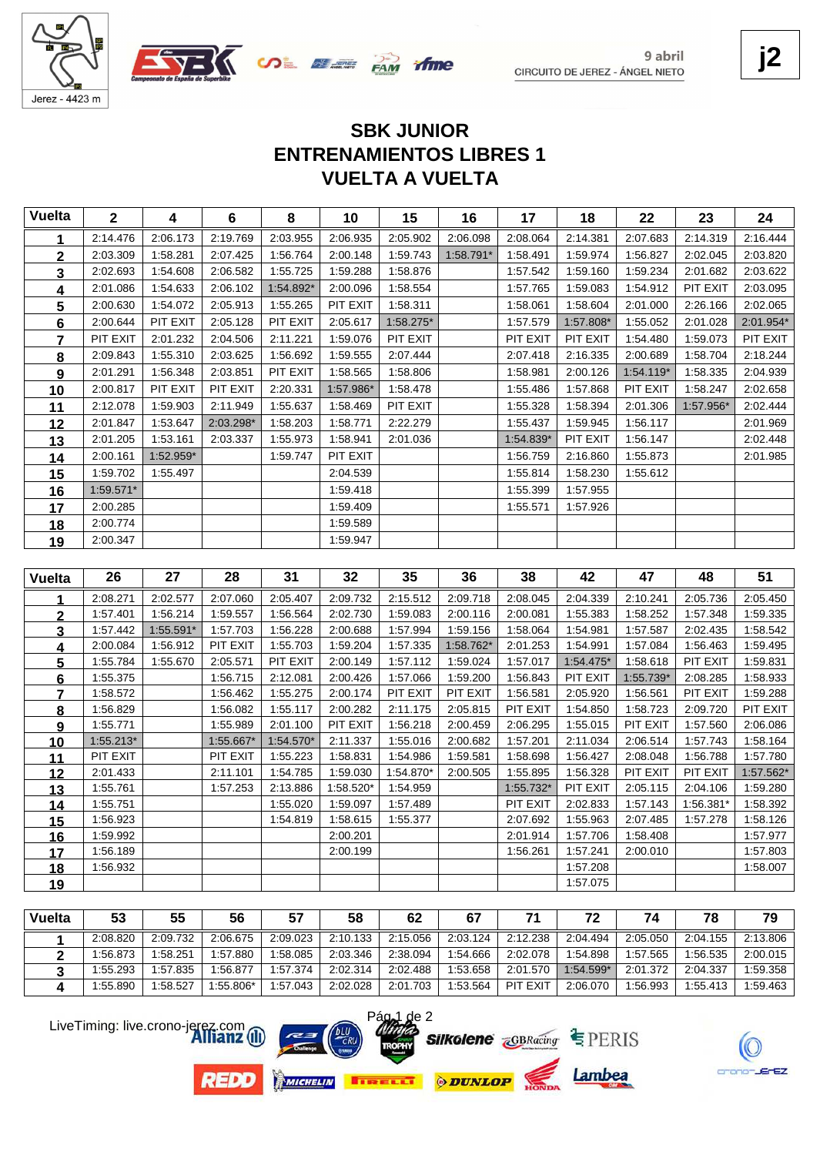



# **VUELTA A VUELTA ENTRENAMIENTOS LIBRES 1 SBK JUNIOR**

|                 | $\mathbf{2}$         | 4         | 6         | 8                    | 10                   | 15                   | 16        | 17                   | 18                   | 22                   | 23                    | 24                   |
|-----------------|----------------------|-----------|-----------|----------------------|----------------------|----------------------|-----------|----------------------|----------------------|----------------------|-----------------------|----------------------|
| 1               | 2:14.476             | 2:06.173  | 2:19.769  | 2:03.955             | 2:06.935             | 2:05.902             | 2:06.098  | 2:08.064             | 2:14.381             | 2:07.683             | 2:14.319              | 2:16.444             |
| $\overline{2}$  | 2:03.309             | 1:58.281  | 2:07.425  | 1:56.764             | 2:00.148             | 1:59.743             | 1:58.791* | 1:58.491             | 1:59.974             | 1:56.827             | 2:02.045              | 2:03.820             |
| $\mathbf{3}$    | 2:02.693             | 1:54.608  | 2:06.582  | 1:55.725             | 1:59.288             | 1:58.876             |           | 1:57.542             | 1:59.160             | 1:59.234             | 2:01.682              | 2:03.622             |
| 4               | 2:01.086             | 1:54.633  | 2:06.102  | 1:54.892*            | 2:00.096             | 1:58.554             |           | 1:57.765             | 1:59.083             | 1:54.912             | PIT EXIT              | 2:03.095             |
| 5               | 2:00.630             | 1:54.072  | 2:05.913  | 1:55.265             | PIT EXIT             | 1:58.311             |           | 1:58.061             | 1:58.604             | 2:01.000             | 2:26.166              | 2:02.065             |
| 6               | 2:00.644             | PIT EXIT  | 2:05.128  | PIT EXIT             | 2:05.617             | 1:58.275*            |           | 1:57.579             | 1:57.808*            | 1:55.052             | 2:01.028              | 2:01.954*            |
| $\overline{7}$  | PIT EXIT             | 2:01.232  | 2:04.506  | 2:11.221             | 1:59.076             | PIT EXIT             |           | PIT EXIT             | PIT EXIT             | 1:54.480             | 1:59.073              | PIT EXIT             |
| 8               | 2:09.843             | 1:55.310  | 2:03.625  | 1:56.692             | 1:59.555             | 2:07.444             |           | 2:07.418             | 2:16.335             | 2:00.689             | 1:58.704              | 2:18.244             |
| 9               | 2:01.291             | 1:56.348  | 2:03.851  | PIT EXIT             | 1:58.565             | 1:58.806             |           | 1:58.981             | 2:00.126             | $1:54.119*$          | 1:58.335              | 2:04.939             |
| 10              | 2:00.817             | PIT EXIT  | PIT EXIT  | 2:20.331             | 1:57.986*            | 1:58.478             |           | 1:55.486             | 1:57.868             | PIT EXIT             | 1:58.247              | 2:02.658             |
| 11              | 2:12.078             | 1:59.903  | 2:11.949  | 1:55.637             | 1:58.469             | PIT EXIT             |           | 1:55.328             | 1:58.394             | 2:01.306             | 1:57.956*             | 2:02.444             |
| 12              | 2:01.847             | 1:53.647  | 2:03.298* | 1:58.203             | 1:58.771             | 2:22.279             |           | 1:55.437             | 1:59.945             | 1:56.117             |                       | 2:01.969             |
| 13              | 2:01.205             | 1:53.161  | 2:03.337  | 1:55.973             | 1:58.941             | 2:01.036             |           | 1:54.839*            | PIT EXIT             | 1:56.147             |                       | 2:02.448             |
| 14              | 2:00.161             | 1:52.959* |           | 1:59.747             | PIT EXIT             |                      |           | 1:56.759             | 2:16.860             | 1:55.873             |                       | 2:01.985             |
| 15              | 1:59.702             | 1:55.497  |           |                      | 2:04.539             |                      |           | 1:55.814             | 1:58.230             | 1:55.612             |                       |                      |
| 16              | 1:59.571*            |           |           |                      | 1:59.418             |                      |           | 1:55.399             | 1:57.955             |                      |                       |                      |
| 17              | 2:00.285             |           |           |                      | 1:59.409             |                      |           | 1:55.571             | 1:57.926             |                      |                       |                      |
| 18              | 2:00.774             |           |           |                      | 1:59.589             |                      |           |                      |                      |                      |                       |                      |
| 19              | 2:00.347             |           |           |                      | 1:59.947             |                      |           |                      |                      |                      |                       |                      |
|                 |                      |           |           |                      |                      |                      |           |                      |                      |                      |                       |                      |
|                 |                      |           |           |                      |                      |                      |           |                      |                      |                      |                       |                      |
| <b>Vuelta</b>   | 26                   | 27        | 28        | 31                   | 32                   | 35                   | 36        | 38                   | 42                   | 47                   | 48                    | 51                   |
| 1               | 2:08.271             | 2:02.577  | 2:07.060  | 2:05.407             | 2:09.732             | 2:15.512             | 2:09.718  | 2:08.045             | 2:04.339             | 2:10.241             | 2:05.736              | 2:05.450             |
| $\overline{2}$  | 1:57.401             | 1:56.214  | 1:59.557  | 1:56.564             | 2:02.730             | 1:59.083             | 2:00.116  | 2:00.081             | 1:55.383             | 1:58.252             | 1:57.348              | 1:59.335             |
| 3               | 1:57.442             | 1:55.591* | 1:57.703  | 1:56.228             | 2:00.688             | 1:57.994             | 1:59.156  | 1:58.064             | 1:54.981             | 1:57.587             | 2:02.435              | 1:58.542             |
| <u>4</u>        | 2:00.084             | 1:56.912  | PIT EXIT  | 1:55.703             | 1:59.204             | 1:57.335             | 1:58.762* | 2:01.253             | 1:54.991             | 1:57.084             | 1:56.463              | 1:59.495             |
| 5               | 1:55.784             | 1:55.670  | 2:05.571  | PIT EXIT             | 2:00.149             | 1:57.112             | 1:59.024  | 1:57.017             | 1:54.475*            | 1:58.618             | PIT EXIT              | 1:59.831             |
| 6               | 1:55.375             |           | 1:56.715  | 2:12.081             | 2:00.426             | 1:57.066             | 1:59.200  | 1:56.843             | PIT EXIT             | 1:55.739*            | 2:08.285              | 1:58.933             |
| 7               | 1:58.572             |           | 1:56.462  | 1:55.275             | 2:00.174             | PIT EXIT             | PIT EXIT  | 1:56.581             | 2:05.920             | 1:56.561             | PIT EXIT              | 1:59.288             |
| <u>8</u>        | 1:56.829             |           | 1:56.082  | 1:55.117             | 2:00.282             | 2:11.175             | 2:05.815  | PIT EXIT             | 1:54.850             | 1:58.723             | 2:09.720              | PIT EXIT             |
| 9               | 1:55.771             |           | 1:55.989  | 2:01.100             | PIT EXIT             | 1:56.218             | 2:00.459  | 2:06.295             | 1:55.015             | PIT EXIT             | 1:57.560              | 2:06.086             |
| 10              | $1:55.213*$          |           | 1:55.667* | 1:54.570*            | 2:11.337             | 1:55.016             | 2:00.682  | 1:57.201             | 2:11.034             | 2:06.514             | 1:57.743              | 1:58.164             |
| 11              | PIT EXIT             |           | PIT EXIT  | 1:55.223             | 1:58.831             | 1:54.986             | 1:59.581  | 1:58.698             | 1:56.427             | 2:08.048             | 1:56.788              | 1:57.780             |
| <u> 12</u>      | 2:01.433             |           | 2:11.101  | 1:54.785             | 1:59.030             | 1:54.870*            | 2:00.505  | 1:55.895             | 1:56.328             | PIT EXIT             | PIT EXIT              | 1:57.562*            |
| 13              | 1:55.761             |           | 1:57.253  | 2:13.886             | 1:58.520*            | 1:54.959             |           | 1:55.732*            | PIT EXIT             | 2:05.115             | 2:04.106              | 1:59.280             |
| 14              | 1:55.751<br>1:56.923 |           |           | 1:55.020<br>1:54.819 | 1:59.097<br>1:58.615 | 1:57.489<br>1:55.377 |           | PIT EXIT<br>2:07.692 | 2:02.833<br>1:55.963 | 1:57.143<br>2:07.485 | 1:56.381*<br>1:57.278 | 1:58.392<br>1:58.126 |
| 15              | 1:59.992             |           |           |                      | 2:00.201             |                      |           | 2:01.914             | 1:57.706             | 1:58.408             |                       | 1:57.977             |
| <u>16</u><br>17 | 1:56.189             |           |           |                      | 2:00.199             |                      |           | 1:56.261             | 1:57.241             | 2:00.010             |                       | 1:57.803             |
| 18              | 1:56.932             |           |           |                      |                      |                      |           |                      | 1:57.208             |                      |                       | 1:58.007             |

| <b>Vuelta</b> | 53       | 55       | 56        | 57       | 58       | 62       | 67       |          |             |          | 78       | 79       |
|---------------|----------|----------|-----------|----------|----------|----------|----------|----------|-------------|----------|----------|----------|
|               | 2:08.820 | 2:09.732 | 2:06.675  | 2:09.023 | 2:10.133 | 2:15.056 | 2:03.124 | 2:12.238 | 2:04.494    | 2:05.050 | 2:04.155 | 2:13.806 |
|               | 1:56.873 | 1:58.251 | 1:57.880  | 1:58.085 | 2:03.346 | 2:38.094 | 1:54.666 | 2:02.078 | 1:54.898    | 1:57.565 | 1:56.535 | 2:00.015 |
|               | 1:55.293 | 1:57.835 | 1:56.877  | 1:57.374 | 2:02.314 | 2:02.488 | 1:53.658 | 2:01.570 | $1:54.599*$ | 2:01.372 | 2:04.337 | 1:59.358 |
|               | 1:55.890 | 1:58.527 | 1:55.806* | 1:57.043 | 2:02.028 | 2:01.703 | 1:53.564 | PIT EXIT | 2:06.070    | 1:56.993 | 1:55.413 | 1:59.463 |

LiveTiming: live.crono-jerez.com

**REDD** 









crono-JErEZ

**j2**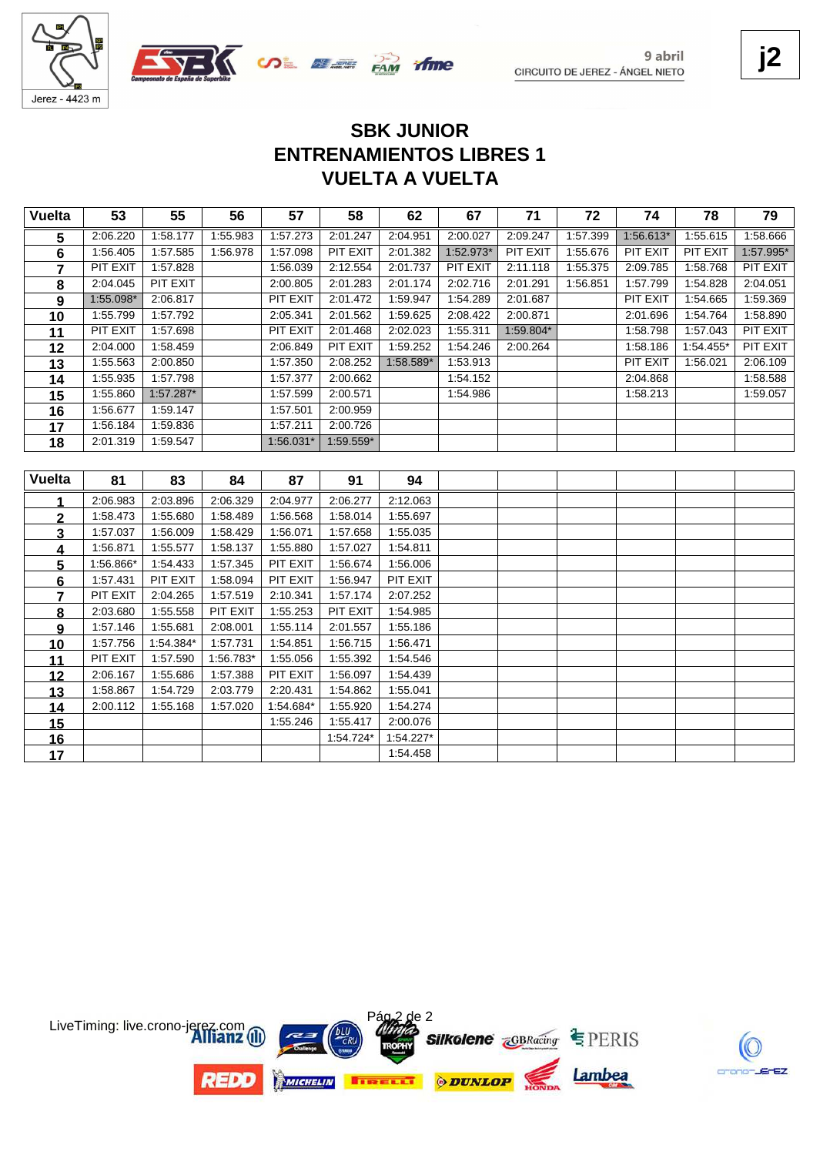



13 1:58.867 1:54.729 2:03.779 2:20.431 1:54.862 1:55.041<br>**14** 2:00.112 1:55.168 1:57.020 1:54.684\* 1:55.920 1:54.274 2:00.112 1:57.020 1:55.168 1:54.684\* 1:55.920 1:54.274

 1:54.724\* 1:54.227\* 1:54.458

1:55.246 1:55.417<br>**16** 1:54.724\*

9 abril CIRCUITO DE JEREZ - ÁNGEL NIETO **j2**

# **VUELTA A VUELTA ENTRENAMIENTOS LIBRES 1 SBK JUNIOR**

| <b>Vuelta</b> | 53        | 55        | 56        | 57        | 58        | 62        | 67        | 71        | 72       | 74        | 78        | 79        |
|---------------|-----------|-----------|-----------|-----------|-----------|-----------|-----------|-----------|----------|-----------|-----------|-----------|
| 5             | 2:06.220  | 1:58.177  | 1:55.983  | 1:57.273  | 2:01.247  | 2:04.951  | 2:00.027  | 2:09.247  | 1:57.399 | 1:56.613* | 1:55.615  | 1:58.666  |
| 6             | 1:56.405  | 1:57.585  | 1:56.978  | 1:57.098  | PIT EXIT  | 2:01.382  | 1:52.973* | PIT EXIT  | 1:55.676 | PIT EXIT  | PIT EXIT  | 1:57.995* |
| 7             | PIT EXIT  | 1:57.828  |           | 1:56.039  | 2:12.554  | 2:01.737  | PIT EXIT  | 2:11.118  | 1:55.375 | 2:09.785  | 1:58.768  | PIT EXIT  |
| 8             | 2:04.045  | PIT EXIT  |           | 2:00.805  | 2:01.283  | 2:01.174  | 2:02.716  | 2:01.291  | 1:56.851 | 1:57.799  | 1:54.828  | 2:04.051  |
| 9             | 1:55.098* | 2:06.817  |           | PIT EXIT  | 2:01.472  | 1:59.947  | 1:54.289  | 2:01.687  |          | PIT EXIT  | 1:54.665  | 1:59.369  |
| 10            | 1:55.799  | 1:57.792  |           | 2:05.341  | 2:01.562  | 1:59.625  | 2:08.422  | 2:00.871  |          | 2:01.696  | 1:54.764  | 1:58.890  |
| 11            | PIT EXIT  | 1:57.698  |           | PIT EXIT  | 2:01.468  | 2:02.023  | 1:55.311  | 1:59.804* |          | 1:58.798  | 1:57.043  | PIT EXIT  |
| 12            | 2:04.000  | 1:58.459  |           | 2:06.849  | PIT EXIT  | 1:59.252  | 1:54.246  | 2:00.264  |          | 1:58.186  | 1:54.455* | PIT EXIT  |
| 13            | 1:55.563  | 2:00.850  |           | 1:57.350  | 2:08.252  | 1:58.589* | 1:53.913  |           |          | PIT EXIT  | 1:56.021  | 2:06.109  |
| 14            | 1:55.935  | 1:57.798  |           | 1:57.377  | 2:00.662  |           | 1:54.152  |           |          | 2:04.868  |           | 1:58.588  |
| 15            | 1:55.860  | 1:57.287* |           | 1:57.599  | 2:00.571  |           | 1:54.986  |           |          | 1:58.213  |           | 1:59.057  |
| 16            | 1:56.677  | 1:59.147  |           | 1:57.501  | 2:00.959  |           |           |           |          |           |           |           |
| 17            | 1:56.184  | 1:59.836  |           | 1:57.211  | 2:00.726  |           |           |           |          |           |           |           |
| 18            | 2:01.319  | 1:59.547  |           | 1:56.031* | 1:59.559* |           |           |           |          |           |           |           |
|               |           |           |           |           |           |           |           |           |          |           |           |           |
| <b>Vuelta</b> | 81        | 83        | 84        | 87        | 91        | 94        |           |           |          |           |           |           |
|               | 2:06.983  | 2:03.896  | 2:06.329  | 2:04.977  | 2:06.277  | 2:12.063  |           |           |          |           |           |           |
| $\mathbf{2}$  | 1:58.473  | 1:55.680  | 1:58.489  | 1:56.568  | 1:58.014  | 1:55.697  |           |           |          |           |           |           |
| 3             | 1:57.037  | 1:56.009  | 1:58.429  | 1:56.071  | 1:57.658  | 1:55.035  |           |           |          |           |           |           |
| 4             | 1:56.871  | 1:55.577  | 1:58.137  | 1:55.880  | 1:57.027  | 1:54.811  |           |           |          |           |           |           |
| 5             | 1:56.866* | 1:54.433  | 1:57.345  | PIT EXIT  | 1:56.674  | 1:56.006  |           |           |          |           |           |           |
| 6             | 1:57.431  | PIT EXIT  | 1:58.094  | PIT EXIT  | 1:56.947  | PIT EXIT  |           |           |          |           |           |           |
| 7             | PIT EXIT  | 2:04.265  | 1:57.519  | 2:10.341  | 1:57.174  | 2:07.252  |           |           |          |           |           |           |
| 8             | 2:03.680  | 1:55.558  | PIT EXIT  | 1:55.253  | PIT EXIT  | 1:54.985  |           |           |          |           |           |           |
| 9             | 1:57.146  | 1:55.681  | 2:08.001  | 1:55.114  | 2:01.557  | 1:55.186  |           |           |          |           |           |           |
| 10            | 1:57.756  | 1:54.384* | 1:57.731  | 1:54.851  | 1:56.715  | 1:56.471  |           |           |          |           |           |           |
| 11            | PIT EXIT  | 1:57.590  | 1:56.783* | 1:55.056  | 1:55.392  | 1:54.546  |           |           |          |           |           |           |
| 12            | 2:06.167  | 1:55.686  | 1:57.388  | PIT EXIT  | 1:56.097  | 1:54.439  |           |           |          |           |           |           |

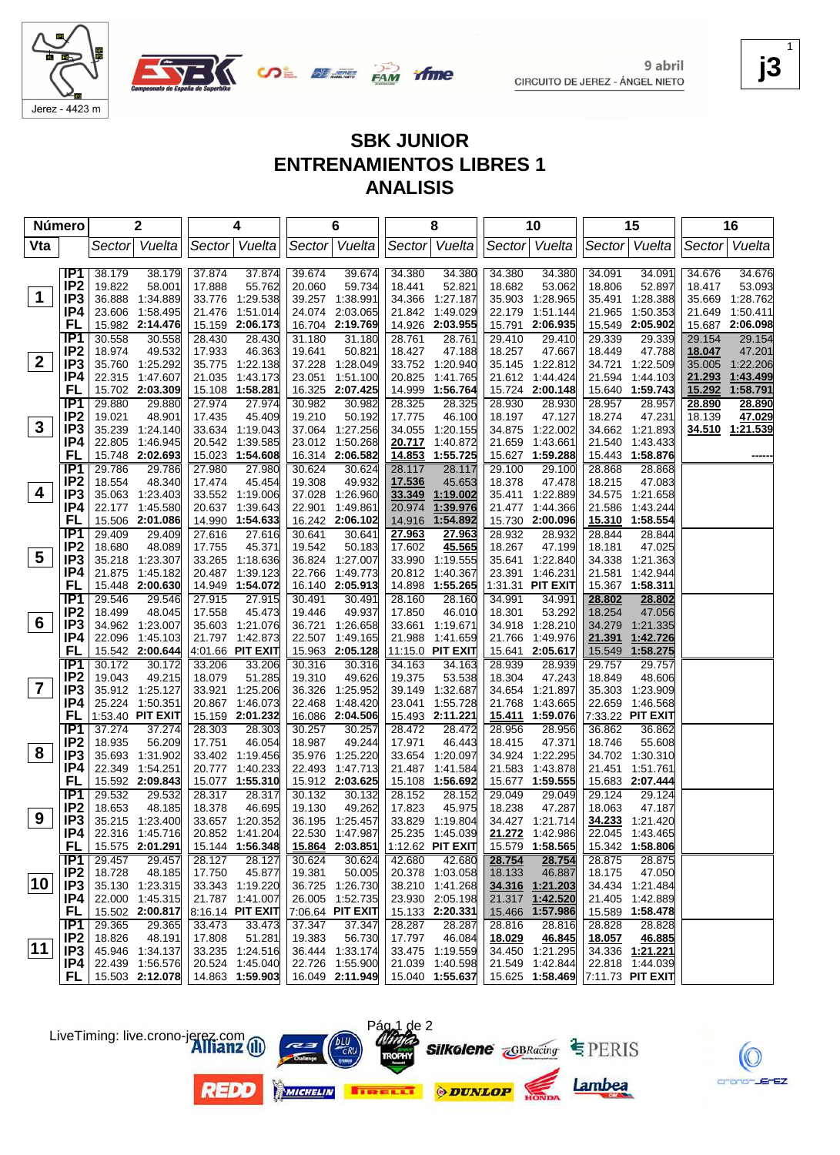

9 abril CIRCUITO DE JEREZ - ÁNGEL NIETO **j3**

ΈZ

1

# **SBK JUNIOR ENTRENAMIENTOS LIBRES 1 ANALISIS**

| Número                  |                                    |                  | $\mathbf 2$               |                  | 4                         |                  | 6                         |                  | 8                                                |                  | 10                         |                  | 15                                 |                  | 16               |
|-------------------------|------------------------------------|------------------|---------------------------|------------------|---------------------------|------------------|---------------------------|------------------|--------------------------------------------------|------------------|----------------------------|------------------|------------------------------------|------------------|------------------|
| Vta                     |                                    |                  | Sector Vuelta             |                  | Sector Vuelta             |                  | Sector Vuelta             |                  | Sector Vuelta                                    |                  | Sector Vuelta              |                  | Sector Vuelta                      | Sector           | Vuelta           |
|                         | IP1                                |                  |                           |                  |                           |                  |                           |                  |                                                  |                  |                            |                  |                                    |                  |                  |
|                         | IP <sub>2</sub>                    | 38.179<br>19.822 | 38.179<br>58.001          | 37.874<br>17.888 | 37.874<br>55.762          | 39.674<br>20.060 | 39.674<br>59.734          | 34.380<br>18.441 | 34.380<br>52.821                                 | 34.380<br>18.682 | 34.380<br>53.062           | 34.091<br>18.806 | 34.091<br>52.897                   | 34.676<br>18.417 | 34.676<br>53.093 |
| $\mathbf 1$             | IP <sub>3</sub>                    |                  | 36.888 1:34.889           |                  | 33.776 1:29.538           |                  | 39.257 1:38.991           | 34.366           | 1:27.187                                         |                  | 35.903 1:28.965            |                  | 35.491 1:28.388                    |                  | 35.669 1:28.762  |
|                         | IP4                                |                  | 23.606 1:58.495           |                  | 21.476 1:51.014           |                  | 24.074 2:03.065           | 21.842           | 1:49.029                                         | 22.179           | 1:51.144                   | 21.965           | 1:50.353                           | 21.649           | 1:50.411         |
|                         | FL                                 |                  | 15.982 2:14.476           |                  | 15.159 2:06.173           |                  | 16.704 2:19.769           | 14.926           | 2:03.955                                         | 15.791           | 2:06.935                   | 15.549           | 2:05.902                           |                  | 15.687 2:06.098  |
|                         | IP <sub>1</sub>                    | 30.558           | 30.558                    | 28.430           | 28.430                    | 31.180           | 31.180                    | 28.761           | 28.761                                           | 29.410           | 29.410                     | 29.339           | 29.339                             | 29.154           | 29.154           |
|                         | IP <sub>2</sub>                    | 18.974           | 49.532                    | 17.933           | 46.363                    | 19.641           | 50.821                    | 18.427           | 47.188                                           | 18.257           | 47.667                     | 18.449           | 47.788                             | 18.047           | 47.201           |
| $\mathbf{2}$            | IP3                                |                  | 35.760 1:25.292           |                  | 35.775 1:22.138           |                  | 37.228 1:28.049           |                  | 33.752 1:20.940                                  |                  | 35.145 1:22.812            | 34.721           | 1:22.509                           | 35.005           | 1:22.206         |
|                         | IP4                                |                  | 22.315 1:47.607           |                  | 21.035 1:43.173           |                  | 23.051 1:51.100           | 20.825           | 1:41.765                                         |                  | 21.612 1:44.424            | 21.594           | 1:44.103                           | 21.293           | 1:43.499         |
|                         | FL                                 |                  | 15.702 2:03.309           |                  | 15.108 1:58.281           |                  | 16.325 2:07.425           | 14.999           | 1:56.764                                         |                  | 15.724 2:00.148            |                  | 15.640 1:59.743                    | 15.292           | 1:58.791         |
|                         | TP1                                | 29.880           | 29.880                    | 27.974           | 27.974                    | 30.982           | 30.982                    | 28.325           | 28.325                                           | 28.930           | 28.930                     | 28.957           | 28.957                             | 28.890           | 28.890           |
|                         | IP <sub>2</sub>                    | 19.021           | 48.901                    | 17.435           | 45.409                    | 19.210           | 50.192                    | 17.775           | 46.100                                           | 18.197           | 47.127                     | 18.274           | 47.231                             | 18.139           | 47.029           |
| $\mathbf{3}$            | IP <sub>3</sub>                    |                  | 35.239 1:24.140           |                  | 33.634 1:19.043           |                  | 37.064 1:27.256           | 34.055           | 1:20.155                                         |                  | 34.875 1:22.002            |                  | 34.662 1:21.893                    |                  | 34.510 1:21.539  |
|                         | IP4                                |                  | 22.805 1:46.945           |                  | 20.542 1:39.585           |                  | 23.012 1:50.268           | 20.717           | 1:40.872                                         | 21.659           | 1:43.661                   |                  | 21.540 1:43.433                    |                  |                  |
|                         | FL                                 |                  | 15.748 2:02.693           |                  | 15.023 1:54.608           |                  | 16.314 2:06.582           | 14.853           | 1:55.725                                         |                  | 15.627 1:59.288            |                  | 15.443 1:58.876                    |                  |                  |
|                         | TP1                                | 29.786           | 29.786                    | 27.980           | 27.980                    | 30.624           | 30.624                    | 28.117           | 28.117                                           | 29.100           | 29.100                     | 28.868           | 28.868                             |                  |                  |
|                         | IP <sub>2</sub>                    | 18.554           | 48.340                    | 17.474           | 45.454                    | 19.308           | 49.932                    | 17.536           | 45.653                                           | 18.378           | 47.478                     | 18.215           | 47.083                             |                  |                  |
| 4                       | IP <sub>3</sub>                    |                  | 35.063 1:23.403           |                  | 33.552 1:19.006           |                  | 37.028 1:26.960           | 33.349           | 1:19.002                                         |                  | 35.411 1:22.889            |                  | 34.575 1:21.658                    |                  |                  |
|                         | IP4                                |                  | 22.177 1:45.580           |                  | 20.637 1:39.643           | 22.901           | 1:49.861                  | 20.974           | 1:39.976                                         |                  | 21.477 1:44.366            |                  | 21.586 1:43.244                    |                  |                  |
|                         | FL                                 |                  | 15.506 2:01.086           |                  | 14.990 1:54.633           |                  | 16.242 2:06.102           | 14.916           | 1:54.892                                         |                  | 15.730 2:00.096            |                  | 15.310 1:58.554                    |                  |                  |
|                         | IP <sub>1</sub>                    | 29.409           | 29.409                    | 27.616           | 27.616                    | 30.641           | 30.641                    | 27.963           | 27.963                                           | 28.932           | 28.932                     | 28.844           | 28.844                             |                  |                  |
| 5                       | IP <sub>2</sub>                    | 18.680           | 48.089                    | 17.755           | 45.371                    | 19.542           | 50.183                    | 17.602           | 45.565                                           | 18.267           | 47.199                     | 18.181           | 47.025                             |                  |                  |
|                         | IP <sub>3</sub>                    |                  | 35.218 1:23.307           |                  | 33.265 1:18.636           |                  | 36.824 1:27.007           |                  | 33.990 1:19.555                                  |                  | 35.641 1:22.840            |                  | 34.338 1:21.363                    |                  |                  |
|                         | IP4<br>FL                          |                  | 21.875 1:45.182           |                  | 20.487 1:39.123           |                  | 22.766 1:49.773           |                  | 20.812 1:40.367                                  |                  | 23.391 1:46.231            |                  | 21.581 1:42.944<br>15.367 1:58.311 |                  |                  |
|                         | IP <sub>1</sub>                    | 29.546           | 15.448 2:00.630<br>29.546 | 27.915           | 14.949 1:54.072<br>27.915 | 30.491           | 16.140 2:05.913<br>30.491 | 28.160           | 14.898 1:55.265<br>28.160                        | 34.991           | 1:31.31 PIT EXIT<br>34.991 | 28.802           | 28.802                             |                  |                  |
|                         | IP <sub>2</sub>                    | 18.499           | 48.045                    | 17.558           | 45.473                    | 19.446           | 49.937                    | 17.850           | 46.010                                           | 18.301           | 53.292                     | 18.254           | 47.056                             |                  |                  |
| 6                       | IP <sub>3</sub>                    |                  | 34.962 1:23.007           |                  | 35.603 1:21.076           |                  | 36.721 1:26.658           | 33.661           | 1:19.671                                         | 34.918           | 1:28.210                   | 34.279           | 1:21.335                           |                  |                  |
|                         | IP4                                |                  | 22.096 1:45.103           |                  | 21.797 1:42.873           |                  | 22.507 1:49.165           | 21.988           | 1:41.659                                         | 21.766           | 1:49.976                   | 21.391           | 1:42.726                           |                  |                  |
|                         | FL                                 |                  | 15.542 2:00.644           |                  | 4:01.66 PIT EXIT          |                  | 15.963 2:05.128           |                  | 11:15.0 PIT EXIT                                 |                  | 15.641 2:05.617            | 15.549           | 1:58.275                           |                  |                  |
|                         | TP1                                | 30.172           | 30.172                    | 33.206           | 33.206                    | 30.316           | 30.316                    | 34.163           | 34.163                                           | 28.939           | 28.939                     | 29.757           | 29.757                             |                  |                  |
|                         | IP <sub>2</sub>                    | 19.043           | 49.215                    | 18.079           | 51.285                    | 19.310           | 49.626                    | 19.375           | 53.538                                           | 18.304           | 47.243                     | 18.849           | 48.606                             |                  |                  |
| $\overline{\mathbf{7}}$ | IP <sub>3</sub>                    |                  | 35.912 1:25.127           |                  | 33.921 1:25.206           |                  | 36.326 1:25.952           | 39.149           | 1:32.687                                         | 34.654           | 1:21.897                   |                  | 35.303 1:23.909                    |                  |                  |
|                         | IP4                                |                  | 25.224 1:50.351           |                  | 20.867 1:46.073           |                  | 22.468 1:48.420           | 23.041           | 1:55.728                                         | 21.768           | 1:43.665                   |                  | 22.659 1:46.568                    |                  |                  |
|                         | FL                                 |                  | 1:53.40 PIT EXIT          |                  | 15.159 2:01.232           |                  | 16.086 2:04.506           |                  | 15.493 2:11.221                                  |                  | 15.411 1:59.076            |                  | 7:33.22 PIT EXIT                   |                  |                  |
|                         | TP1                                | 37.274           | 37.274                    | 28.303           | 28.303                    | 30.257           | 30.257                    | 28.472           | 28.472                                           | 28.956           | 28.956                     | 36.862           | 36.862                             |                  |                  |
|                         | IP <sub>2</sub>                    | 18.935           | 56.209                    | 17.751           | 46.054                    | 18.987           | 49.244                    | 17.971           | 46.443                                           | 18.415           | 47.371                     | 18.746           | 55.608                             |                  |                  |
| 8                       | IP <sub>3</sub>                    |                  | 35.693 1:31.902           |                  | 33.402 1:19.456           |                  | 35.976 1:25.220           | 33.654           | 1:20.097                                         |                  | 34.924 1:22.295            |                  | 34.702 1:30.310                    |                  |                  |
|                         | IP4                                | 22.349           | 1:54.251                  |                  | 20.777 1:40.233           |                  | 22.493 1:47.713           | 21.487           | 1:41.584                                         | 21.583           | 1:43.878                   |                  | 21.451 1:51.761                    |                  |                  |
|                         | FL                                 |                  | 15.592 2:09.843           |                  | 15.077 1:55.310           |                  | 15.912 2:03.625           |                  | 15.108 1:56.692                                  |                  | 15.677 1:59.555            |                  | 15.683 2:07.444                    |                  |                  |
|                         | IP <sub>1</sub><br>IP <sub>2</sub> | 29.532<br>18.653 | 29.532                    | 28.317           | 28.317<br>46.695          | 30.132           | 30.132                    | 28.152           | 28.152                                           | 29.049           | 29.049                     | 29.124<br>18.063 | 29.124                             |                  |                  |
| 9                       | IP <sub>3</sub>                    |                  | 48.185<br>35.215 1:23.400 | 18.378           | 33.657 1:20.352           | 19.130           | 49.262<br>36.195 1:25.457 | 17.823           | 45.975<br>33.829 1:19.804                        | 18.238           | 47.287<br>34.427 1:21.714  |                  | 47.187<br>34.233 1:21.420          |                  |                  |
|                         | IP4                                |                  | 22.316 1:45.716           |                  | 20.852 1:41.204           |                  | 22.530 1:47.987           |                  | 25.235 1:45.039 21.272 1:42.986                  |                  |                            |                  | 22.045 1:43.465                    |                  |                  |
|                         | FL.                                |                  | 15.575 2:01.291           |                  | 15.144 1:56.348           |                  | 15.864 2:03.851           |                  | 1:12.62 PIT EXIT                                 |                  | 15.579 1:58.565            |                  | 15.342 1:58.806                    |                  |                  |
|                         | IP1                                | 29.457           | 29.457                    | 28.127           | 28.127                    | 30.624           | 30.624                    | 42.680           | 42.680                                           | 28.754           | 28.754                     | 28.875           | 28.875                             |                  |                  |
|                         | IP <sub>2</sub>                    | 18.728           | 48.185                    | 17.750           | 45.877                    | 19.381           | 50.005                    |                  | 20.378 1:03.058                                  | 18.133           | 46.887                     | 18.175           | 47.050                             |                  |                  |
| 10                      | IP3                                |                  | 35.130 1:23.315           |                  | 33.343 1:19.220           |                  | 36.725 1:26.730           |                  | 38.210 1:41.268                                  |                  | 34.316 1:21.203            |                  | 34.434 1:21.484                    |                  |                  |
|                         | IP4                                |                  | 22.000 1:45.315           |                  | 21.787 1:41.007           |                  | 26.005 1:52.735           |                  | 23.930 2:05.198                                  |                  | 21.317 1:42.520            |                  | 21.405 1:42.889                    |                  |                  |
|                         | FL.                                |                  | 15.502 2:00.817           |                  | 8:16.14 PIT EXIT          |                  | 7:06.64 PIT EXIT          |                  | 15.133 2:20.331                                  |                  | 15.466 1:57.986            |                  | 15.589 1:58.478                    |                  |                  |
|                         | IP1                                | 29.365           | 29.365                    | 33.473           | 33.473                    | 37.347           | 37.347                    | 28.287           | 28.287                                           | 28.816           | 28.816                     | 28.828           | 28.828                             |                  |                  |
|                         | IP <sub>2</sub>                    | 18.826           | 48.191                    | 17.808           | 51.281                    | 19.383           | 56.730                    | 17.797           | 46.084                                           | 18.029           | 46.845                     | <u>18.057</u>    | 46.885                             |                  |                  |
| $ 11\rangle$            | IP3                                |                  | 45.946 1:34.137           |                  | 33.235 1:24.516           |                  | 36.444 1:33.174           |                  | 33.475 1:19.559                                  |                  | 34.450 1:21.295            |                  | 34.336 1:21.221                    |                  |                  |
|                         | IP4.                               |                  | 22.439 1:56.576           |                  | 20.524 1:45.040           |                  | 22.726 1:55.900           |                  | 21.039 1:40.598                                  |                  | 21.549 1:42.844            |                  | 22.818 1:44.039                    |                  |                  |
|                         |                                    |                  | FL   15.503 2:12.078      |                  | 14.863 1:59.903           |                  | 16.049 2:11.949           |                  | 15.040 1:55.637 15.625 1:58.469 7:11.73 PIT EXIT |                  |                            |                  |                                    |                  |                  |

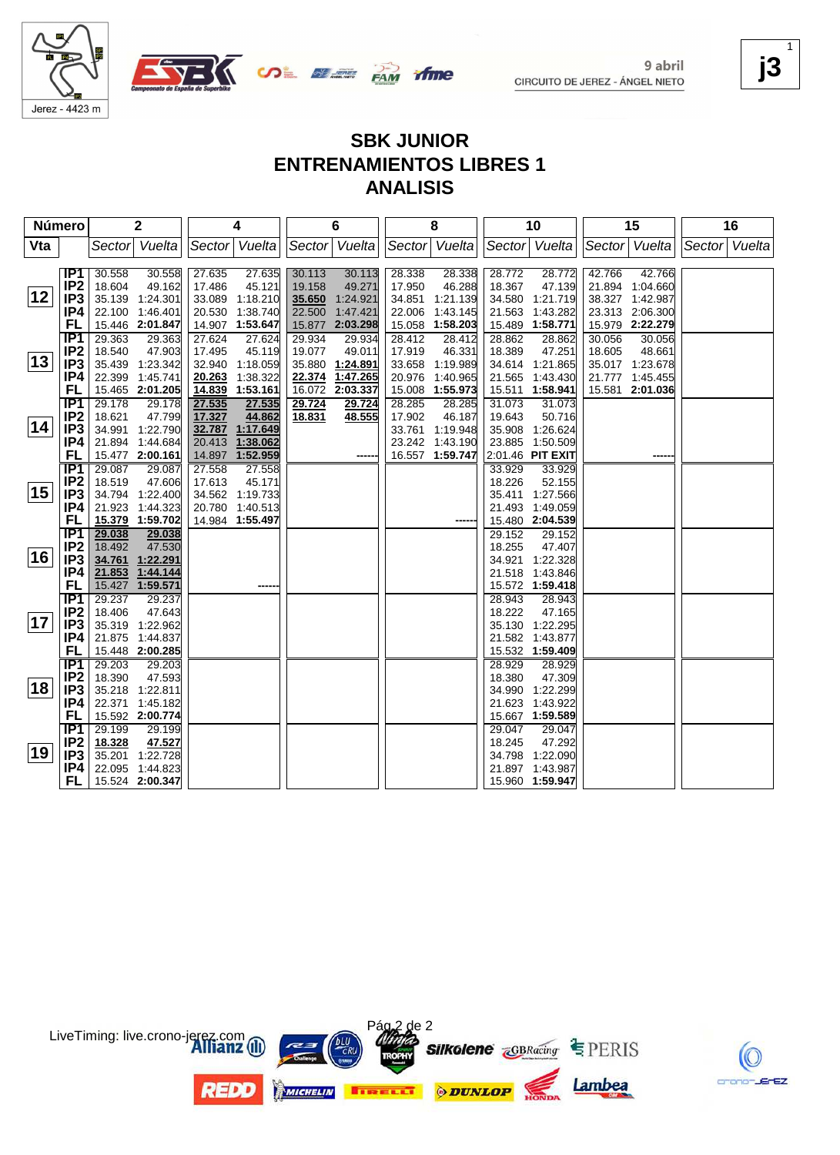

9 abril CIRCUITO DE JEREZ - ÁNGEL NIETO **j3**

K

crono-JErEZ

1

# **SBK JUNIOR ENTRENAMIENTOS LIBRES 1 ANALISIS**

**ifme** 

| Número       |                  |        | 2                                  |        | 4                           |        | 6               |        | 8               |        | 10                          |        | 15              |               | 16 |
|--------------|------------------|--------|------------------------------------|--------|-----------------------------|--------|-----------------|--------|-----------------|--------|-----------------------------|--------|-----------------|---------------|----|
| Vta          |                  | Sector | Vuelta                             |        | Sector Vuelta               |        | Sector Vuelta   | Sector | Vuelta          |        | Sector Vuelta               |        | Sector Vuelta   | Sector Vuelta |    |
|              |                  |        |                                    |        |                             |        |                 |        |                 |        |                             |        |                 |               |    |
|              | IP1              | 30.558 | 30.558                             | 27.635 | 27.635                      | 30.113 | 30.113          | 28.338 | 28.338          | 28.772 | 28.772                      | 42.766 | 42.766          |               |    |
|              | IP <sub>2</sub>  | 18.604 | 49.162                             | 17.486 | 45.121                      | 19.158 | 49.271          | 17.950 | 46.288          | 18.367 | 47.139                      |        | 21.894 1:04.660 |               |    |
| 12           | IP <sub>3</sub>  |        | 35.139 1:24.301                    |        | 33.089 1:18.210             | 35.650 | 1:24.921        | 34.851 | 1:21.139        | 34.580 | 1:21.719                    |        | 38.327 1:42.987 |               |    |
|              | IP4              | 22.100 | 1:46.401                           | 20.530 | 1:38.740                    | 22.500 | 1:47.421        | 22.006 | 1:43.145        | 21.563 | 1:43.282                    |        | 23.313 2:06.300 |               |    |
|              | <b>FL</b>        |        | 15.446 2:01.847                    |        | 14.907 1:53.647             | 15.877 | 2:03.298        | 15.058 | 1:58.203        | 15.489 | 1:58.771                    |        | 15.979 2:22.279 |               |    |
|              | IP <sub>1</sub>  | 29.363 | 29.363                             | 27.624 | 27.624                      | 29.934 | 29.934          | 28.412 | 28.412          | 28.862 | 28.862                      | 30.056 | 30.056          |               |    |
|              | IP <sub>2</sub>  | 18.540 | 47.903                             | 17.495 | 45.119                      | 19.077 | 49.011          | 17.919 | 46.331          | 18.389 | 47.251                      | 18.605 | 48.661          |               |    |
| $ 13\rangle$ | IP <sub>3</sub>  |        | 35.439 1:23.342                    |        | 32.940 1:18.059             |        | 35.880 1:24.891 |        | 33.658 1:19.989 |        | 34.614 1:21.865             |        | 35.017 1:23.678 |               |    |
|              | IP4              |        | 22.399 1:45.741                    | 20.263 | 1:38.322                    | 22.374 | 1:47.265        | 20.976 | 1:40.965        | 21.565 | 1:43.430                    |        | 21.777 1:45.455 |               |    |
|              | FL               |        | 15.465 2:01.205                    | 14.839 | 1:53.161                    | 16.072 | 2:03.337        | 15.008 | 1:55.973        | 15.511 | 1:58.941                    | 15.581 | 2:01.036        |               |    |
|              | $\overline{IP1}$ | 29.178 | 29.178                             | 27.535 | 27.535                      | 29.724 | 29.724          | 28.285 | 28.285          | 31.073 | 31.073                      |        |                 |               |    |
| 14           | IP <sub>2</sub>  | 18.621 | 47.799                             | 17.327 | 44.862                      | 18.831 | 48.555          | 17.902 | 46.187          | 19.643 | 50.716                      |        |                 |               |    |
|              | IP <sub>3</sub>  | 34.991 | 1:22.790                           |        | 32.787 1:17.649             |        |                 |        | 33.761 1:19.948 | 35.908 | 1:26.624                    |        |                 |               |    |
|              | IP4<br>FL        |        | 21.894 1:44.684                    | 20.413 | 1:38.062<br>14.897 1:52.959 |        |                 | 23.242 | 1:43.190        | 23.885 | 1:50.509                    |        |                 |               |    |
|              | IP <sub>1</sub>  | 29.087 | 15.477 2:00.161<br>29.087          | 27.558 | 27.558                      |        |                 |        | 16.557 1:59.747 | 33.929 | 2:01.46 PIT EXIT<br>33.929  |        |                 |               |    |
|              | IP <sub>2</sub>  | 18.519 | 47.606                             | 17.613 | 45.171                      |        |                 |        |                 | 18.226 | 52.155                      |        |                 |               |    |
| 15           | IP <sub>3</sub>  |        | 34.794 1:22.400                    |        | 34.562 1:19.733             |        |                 |        |                 |        | 35.411 1:27.566             |        |                 |               |    |
|              | IP4              |        | 21.923 1:44.323                    |        | 20.780 1:40.513             |        |                 |        |                 |        | 21.493 1:49.059             |        |                 |               |    |
|              | FL               |        | 15.379 1:59.702                    |        | 14.984 1:55.497             |        |                 |        |                 |        | 15.480 2:04.539             |        |                 |               |    |
|              | $\overline{IP1}$ | 29.038 | 29.038                             |        |                             |        |                 |        |                 | 29.152 | 29.152                      |        |                 |               |    |
|              | IP <sub>2</sub>  | 18.492 | 47.530                             |        |                             |        |                 |        |                 | 18.255 | 47.407                      |        |                 |               |    |
| 16           | IP <sub>3</sub>  | 34.761 | 1:22.291                           |        |                             |        |                 |        |                 | 34.921 | 1:22.328                    |        |                 |               |    |
|              | IP4              | 21.853 | 1:44.144                           |        |                             |        |                 |        |                 | 21.518 | 1:43.846                    |        |                 |               |    |
|              | FL               | 15.427 | 1:59.571                           |        |                             |        |                 |        |                 |        | 15.572 1:59.418             |        |                 |               |    |
|              | IP <sub>1</sub>  | 29.237 | 29.237                             |        |                             |        |                 |        |                 | 28.943 | 28.943                      |        |                 |               |    |
|              | IP <sub>2</sub>  | 18.406 | 47.643                             |        |                             |        |                 |        |                 | 18.222 | 47.165                      |        |                 |               |    |
| 17           | IP <sub>3</sub>  |        | 35.319 1:22.962                    |        |                             |        |                 |        |                 |        | 35.130 1:22.295             |        |                 |               |    |
|              | IP4              |        | 21.875 1:44.837                    |        |                             |        |                 |        |                 | 21.582 | 1:43.877                    |        |                 |               |    |
|              | <b>FL</b>        |        | 15.448 2:00.285                    |        |                             |        |                 |        |                 |        | 15.532 1:59.409             |        |                 |               |    |
|              | $\overline{IP1}$ | 29.203 | 29.203                             |        |                             |        |                 |        |                 | 28.929 | 28.929                      |        |                 |               |    |
|              | IP <sub>2</sub>  | 18.390 | 47.593                             |        |                             |        |                 |        |                 | 18.380 | 47.309                      |        |                 |               |    |
| 18           | IP <sub>3</sub>  |        | 35.218 1:22.811                    |        |                             |        |                 |        |                 | 34.990 | 1:22.299                    |        |                 |               |    |
|              | IP4              |        | 22.371 1:45.182                    |        |                             |        |                 |        |                 | 21.623 | 1:43.922                    |        |                 |               |    |
|              | FL               |        | 15.592 2:00.774                    |        |                             |        |                 |        |                 |        | 15.667 1:59.589             |        |                 |               |    |
|              | IP1              | 29.199 | 29.199                             |        |                             |        |                 |        |                 | 29.047 | 29.047                      |        |                 |               |    |
| 19           | IP <sub>2</sub>  | 18.328 | 47.527                             |        |                             |        |                 |        |                 | 18.245 | 47.292                      |        |                 |               |    |
|              | IP3<br>IP4       |        | 35.201 1:22.728<br>22.095 1:44.823 |        |                             |        |                 |        |                 | 21.897 | 34.798 1:22.090             |        |                 |               |    |
|              | FL               |        | 15.524 2:00.347                    |        |                             |        |                 |        |                 |        | 1:43.987<br>15.960 1:59.947 |        |                 |               |    |
|              |                  |        |                                    |        |                             |        |                 |        |                 |        |                             |        |                 |               |    |

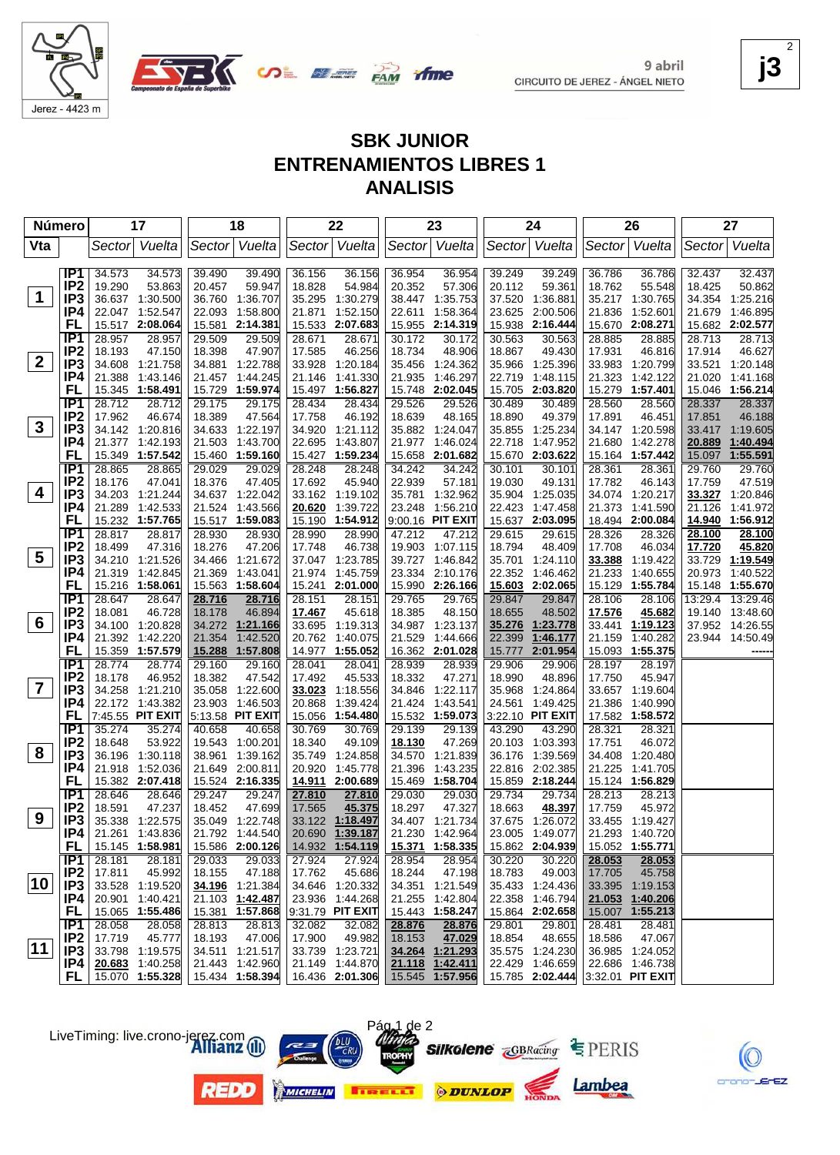

9 abril CIRCUITO DE JEREZ - ÁNGEL NIETO **j3** 2

# **SBK JUNIOR ENTRENAMIENTOS LIBRES 1 ANALISIS**

|              | Número                 | 17                                     | 18                                  | 22                                     | 23                                     | 24                                               | 26                                  | 27                                  |
|--------------|------------------------|----------------------------------------|-------------------------------------|----------------------------------------|----------------------------------------|--------------------------------------------------|-------------------------------------|-------------------------------------|
| Vta          |                        | Vuelta<br>Sector                       | Sector Vuelta                       | Sector Vuelta                          | Sector Vuelta                          | Sector Vuelta                                    | Sector Vuelta                       | Vuelta<br>Sector                    |
|              |                        |                                        |                                     |                                        |                                        |                                                  |                                     |                                     |
|              | IP1<br>IP <sub>2</sub> | 34.573<br>34.573                       | 39.490<br>39.490                    | 36.156<br>36.156                       | 36.954<br>36.954                       | 39.249<br>39.249                                 | 36.786<br>36.786                    | 32.437<br>32.437                    |
| $\mathbf 1$  | IP <sub>3</sub>        | 53.863<br>19.290<br>36.637 1:30.500    | 20.457<br>59.947<br>36.760 1:36.707 | 18.828<br>54.984<br>35.295<br>1:30.279 | 20.352<br>57.306<br>1:35.753<br>38.447 | 20.112<br>59.361<br>37.520<br>1:36.881           | 18.762<br>55.548<br>35.217 1:30.765 | 18.425<br>50.862<br>34.354 1:25.216 |
|              | IP4                    | 22.047 1:52.547                        | 22.093 1:58.800                     | 1:52.150<br>21.871                     | 1:58.364<br>22.611                     | 23.625<br>2:00.506                               | 1:52.601<br>21.836                  | 1:46.895<br>21.679                  |
|              | FL                     | 15.517 2:08.064                        | 15.581 2:14.381                     | 2:07.683<br>15.533                     | 2:14.319<br>15.955                     | 15.938 2:16.444                                  | 2:08.271<br>15.670                  | 15.682 2:02.577                     |
|              | IP <sub>1</sub>        | 28.957<br>28.957                       | 29.509<br>29.509                    | 28.671<br>28.671                       | 30.172<br>30.172                       | 30.563<br>30.563                                 | 28.885<br>28.885                    | 28.713<br>28.713                    |
|              | IP <sub>2</sub>        | 18.193<br>47.150                       | 18.398<br>47.907                    | 17.585<br>46.256                       | 18.734<br>48.906                       | 18.867<br>49.430                                 | 17.931<br>46.816                    | 17.914<br>46.627                    |
| $\mathbf{2}$ | IP <sub>3</sub>        | 34.608 1:21.758                        | 34.881 1:22.788                     | 33.928<br>1:20.184                     | 35.456<br>1:24.362                     | 35.966<br>1:25.396                               | 33.983 1:20.799                     | 33.521<br>1:20.148                  |
|              | IP4                    | 21.388<br>1:43.146                     | 1:44.245<br>21.457                  | 21.146<br>1:41.330                     | 21.935<br>1:46.297                     | 22.719<br>1:48.115                               | 21.323<br>1:42.122                  | 21.020<br>1:41.168                  |
|              | FL                     | 15.345 1:58.491                        | 15.729 1:59.974                     | 15.497 1:56.827                        | 2:02.045<br>15.748                     | 15.705<br>2:03.820                               | 15.279<br>1:57.401                  | 15.046 1:56.214                     |
|              | IP1                    | 28.712<br>28.712                       | 29.175<br>29.175                    | 28.434<br>28.434                       | 29.526<br>29.526                       | 30.489<br>30.489                                 | 28.560<br>28.560                    | 28.337<br>28.337                    |
|              | IP <sub>2</sub>        | 17.962<br>46.674                       | 18.389<br>47.564                    | 17.758<br>46.192                       | 18.639<br>48.165                       | 18.890<br>49.379                                 | 17.891<br>46.451                    | 17.851<br>46.188                    |
| 3            | IP <sub>3</sub>        | 34.142 1:20.816                        | 34.633 1:22.197                     | 34.920 1:21.112                        | 35.882<br>1:24.047                     | 35.855<br>1:25.234                               | 34.147 1:20.598                     | 33.417 1:19.605                     |
|              | IP4                    | 21.377 1:42.193                        | 21.503 1:43.700                     | 22.695<br>1:43.807                     | 21.977<br>1:46.024                     | 22.718<br>1:47.952                               | 21.680 1:42.278                     | 1:40.494<br>20.889                  |
|              | FL                     | 15.349<br>1:57.542                     | 15.460 1:59.160                     | 15.427<br>1:59.234                     | 15.658<br>2:01.682                     | 15.670 2:03.622                                  | 15.164 1:57.442                     | 15.097<br>1:55.591                  |
|              | IP1<br>IP <sub>2</sub> | 28.865<br>28.865                       | 29.029<br>29.029                    | 28.248<br>28.248                       | 34.242<br>34.242                       | 30.101<br>30.101                                 | 28.361<br>28.361                    | 29.760<br>29.760                    |
| 4            | IP3                    | 18.176<br>47.041<br>34.203<br>1:21.244 | 18.376<br>47.405<br>34.637 1:22.042 | 17.692<br>45.940<br>33.162 1:19.102    | 22.939<br>57.181<br>35.781<br>1:32.962 | 19.030<br>49.131<br>35.904 1:25.035              | 17.782<br>46.143<br>34.074 1:20.217 | 17.759<br>47.519<br>33.327 1:20.846 |
|              | IP4                    | 21.289<br>1:42.533                     | 21.524 1:43.566                     | 1:39.722<br>20.620                     | 1:56.210<br>23.248                     | 22.423<br>1:47.458                               | 21.373<br>1:41.590                  | 21.126<br>1:41.972                  |
|              | FL                     | 15.232 1:57.765                        | 15.517 1:59.083                     | 1:54.912<br>15.190                     | 9:00.16 PIT EXIT                       | 15.637 2:03.095                                  | 18.494 2:00.084                     | 14.940 1:56.912                     |
|              | IP1                    | 28.817<br>28.817                       | 28.930<br>28.930                    | 28.990<br>28.990                       | 47.212<br>47.212                       | 29.615<br>29.615                                 | 28.326<br>28.326                    | 28.100<br>28.100                    |
|              | IP <sub>2</sub>        | 18.499<br>47.316                       | 18.276<br>47.206                    | 17.748<br>46.738                       | 19.903<br>1:07.115                     | 18.794<br>48.409                                 | 17.708<br>46.034                    | 45.820<br>17.720                    |
| 5            | IP <sub>3</sub>        | 34.210 1:21.526                        | 34.466 1:21.672                     | 37.047 1:23.785                        | 39.727<br>1:46.842                     | 35.701 1:24.110                                  | 33.388<br>1:19.422                  | 33.729<br>1:19.549                  |
|              | IP4                    | 21.319<br>1:42.845                     | 21.369 1:43.041                     | 21.974 1:45.759                        | 23.334<br>2:10.176                     | 22.352 1:46.462                                  | 21.233<br>1:40.655                  | 20.973<br>1:40.522                  |
|              | FL                     | 15.216 1:58.061                        | 15.563 1:58.604                     | 15.241 2:01.000                        | 15.990 2:26.166                        | 15.603 2:02.065                                  | 15.129<br>1:55.784                  | 15.148 1:55.670                     |
|              | IP1                    | 28.647<br>28.647                       | 28.716<br>28.716                    | 28.151<br>28.151                       | 29.765<br>29.765                       | 29.847<br>29.847                                 | 28.106<br>28.106                    | 13:29.4 13:29.46                    |
|              | IP <sub>2</sub>        | 18.081<br>46.728                       | 18.178<br>46.894                    | 17.467<br>45.618                       | 18.385<br>48.150                       | 18.655<br>48.502                                 | 17.576<br>45.682                    | 19.140 13:48.60                     |
| 6            | IP <sub>3</sub>        | 34.100 1:20.828                        | 34.272 1:21.166                     | 33.695<br>1:19.313                     | 34.987<br>1:23.137                     | 35.276<br>1:23.778                               | 33.441<br>1:19.123                  | 37.952 14:26.55                     |
|              | IP4                    | 21.392 1:42.220                        | 21.354<br>1:42.520                  | 20.762 1:40.075                        | 21.529<br>1:44.666                     | 22.399<br>1:46.177                               | 21.159 1:40.282                     | 23.944 14:50.49                     |
|              | FL<br>IP1              | 15.359 1:57.579<br>28.774<br>28.774    | 15.288 1:57.808<br>29.160<br>29.160 | 14.977 1:55.052<br>28.041<br>28.041    | 16.362<br>2:01.028<br>28.939<br>28.939 | 2:01.954<br>15.777<br>29.906<br>29.906           | 15.093 1:55.375<br>28.197<br>28.197 |                                     |
|              | IP <sub>2</sub>        | 18.178<br>46.952                       | 18.382<br>47.542                    | 17.492<br>45.533                       | 18.332<br>47.271                       | 18.990<br>48.896                                 | 17.750<br>45.947                    |                                     |
| 7            | IP <sub>3</sub>        | 34.258<br>1:21.210                     | 35.058 1:22.600                     | 33.023<br>1:18.556                     | 34.846<br>1:22.117                     | 35.968<br>1:24.864                               | 33.657 1:19.604                     |                                     |
|              | IP4                    | 22.172 1:43.382                        | 23.903 1:46.503                     | 1:39.424<br>20.868                     | 21.424<br>1:43.541                     | 1:49.425<br>24.561                               | 21.386<br>1:40.990                  |                                     |
|              | FL                     | 7:45.55 PIT EXIT                       | 5:13.58 PIT EXIT                    | 15.056<br>1:54.480                     | 15.532<br>1:59.073                     | 3:22.10 PIT EXIT                                 | 17.582 1:58.572                     |                                     |
|              | IP1                    | 35.274<br>35.274                       | 40.658<br>40.658                    | 30.769<br>30.769                       | 29.139<br>29.139                       | 43.290<br>43.290                                 | 28.321<br>28.321                    |                                     |
|              | IP <sub>2</sub>        | 18.648<br>53.922                       | 19.543 1:00.201                     | 18.340<br>49.109                       | 18.130<br>47.269                       | 20.103<br>1:03.393                               | 17.751<br>46.072                    |                                     |
| 8            | IP <sub>3</sub>        | 36.196<br>1:30.118                     | 38.961<br>1:39.162                  | 35.749<br>1:24.858                     | 34.570<br>1:21.839                     | 36.176<br>1:39.569                               | 34.408 1:20.480                     |                                     |
|              | IP4                    | 21.918<br>1:52.036                     | 21.649 2:00.811                     | 20.920<br>1:45.778                     | 21.396<br>1:43.235                     | 22.816 2:02.385                                  | 21.225<br>1:41.705                  |                                     |
|              | FL                     | 15.382 2:07.418                        | 15.524 2:16.335                     | <u> 14.911 </u><br>2:00.689            | 15.469<br>1:58.704                     | 15.859 2:18.244                                  | 15.124 1:56.829                     |                                     |
|              | IP1                    | 28.646<br>28.646                       | 29.247<br>29.247                    | 27.810<br>27.810                       | 29.030<br>29.030                       | 29.734<br>29.734                                 | 28.213<br>28.213                    |                                     |
| 9            | IP <sub>2</sub>        | 47.237<br>18.591                       | 18.452<br>47.699                    | 45.375<br>17.565                       | 47.327<br>18.297                       | 18.663<br>48.397                                 | 17.759<br>45.972                    |                                     |
|              | IP <sub>3</sub><br>IP4 | 35.338 1:22.575                        | 35.049 1:22.748<br>21.792 1:44.540  | 33.122 1:18.497<br>20.690 1:39.187     | 34.407 1:21.734<br>21.230 1:42.964     | 37.675 1:26.072<br>23.005 1:49.077               | 33.455 1:19.427<br>21.293 1:40.720  |                                     |
|              | <b>FL</b>              | 21.261 1:43.836<br>15.145 1:58.981     | 15.586 2:00.126                     | 14.932 1:54.119                        | 15.371 1:58.335                        | 15.862 2:04.939                                  | 15.052 1:55.771                     |                                     |
|              | IP1                    | 28.181<br>28.181                       | 29.033<br>29.033                    | 27.924<br>27.924                       | 28.954<br>28.954                       | 30.220<br>30.220                                 | 28.053<br>28.053                    |                                     |
|              | IP <sub>2</sub>        | 17.811<br>45.992                       | 18.155<br>47.188                    | 45.686<br>17.762                       | 18.244<br>47.198                       | 18.783<br>49.003                                 | 17.705<br>45.758                    |                                     |
| 10           | IP <sub>3</sub>        | 33.528 1:19.520                        | 34.196 1:21.384                     | 34.646 1:20.332                        | 34.351 1:21.549                        | 35.433 1:24.436                                  | 33.395 1:19.153                     |                                     |
|              | IP4                    | 20.901 1:40.421                        | 21.103 1:42.487                     | 23.936 1:44.268                        | 21.255<br>1:42.804                     | 22.358 1:46.794                                  | 21.053<br>1:40.206                  |                                     |
|              | <b>FL</b>              | 15.065 1:55.486                        | 15.381 1:57.868                     | 9:31.79 PIT EXIT                       | 15.443 1:58.247                        | 15.864 2:02.658                                  | 15.007 1:55.213                     |                                     |
|              | IP1                    | 28.058<br>28.058                       | 28.813<br>28.813                    | 32.082<br>32.082                       | 28.876<br>28.876                       | 29.801<br>29.801                                 | 28.481<br>28.481                    |                                     |
|              | IP <sub>2</sub>        | 17.719<br>45.777                       | 18.193<br>47.006                    | 49.982<br>17.900                       | 18.153<br>47.029                       | 18.854<br>48.655                                 | 18.586<br>47.067                    |                                     |
| 11           | IP3                    | 33.798 1:19.575                        | 34.511 1:21.517                     | 33.739 1:23.721                        | 34.264 1:21.293                        | 35.575 1:24.230                                  | 36.985 1:24.052                     |                                     |
|              | IP4                    | 20.683 1:40.258                        | 21.443 1:42.960                     | 21.149 1:44.870                        | 21.118<br>1:42.411                     | 22.429 1:46.659                                  | 22.686 1:46.738                     |                                     |
|              | FL.                    | 15.070 1:55.328                        | 15.434 1:58.394                     | 16.436 2:01.306                        |                                        | 15.545 1:57.956 15.785 2:02.444 3:32.01 PIT EXIT |                                     |                                     |

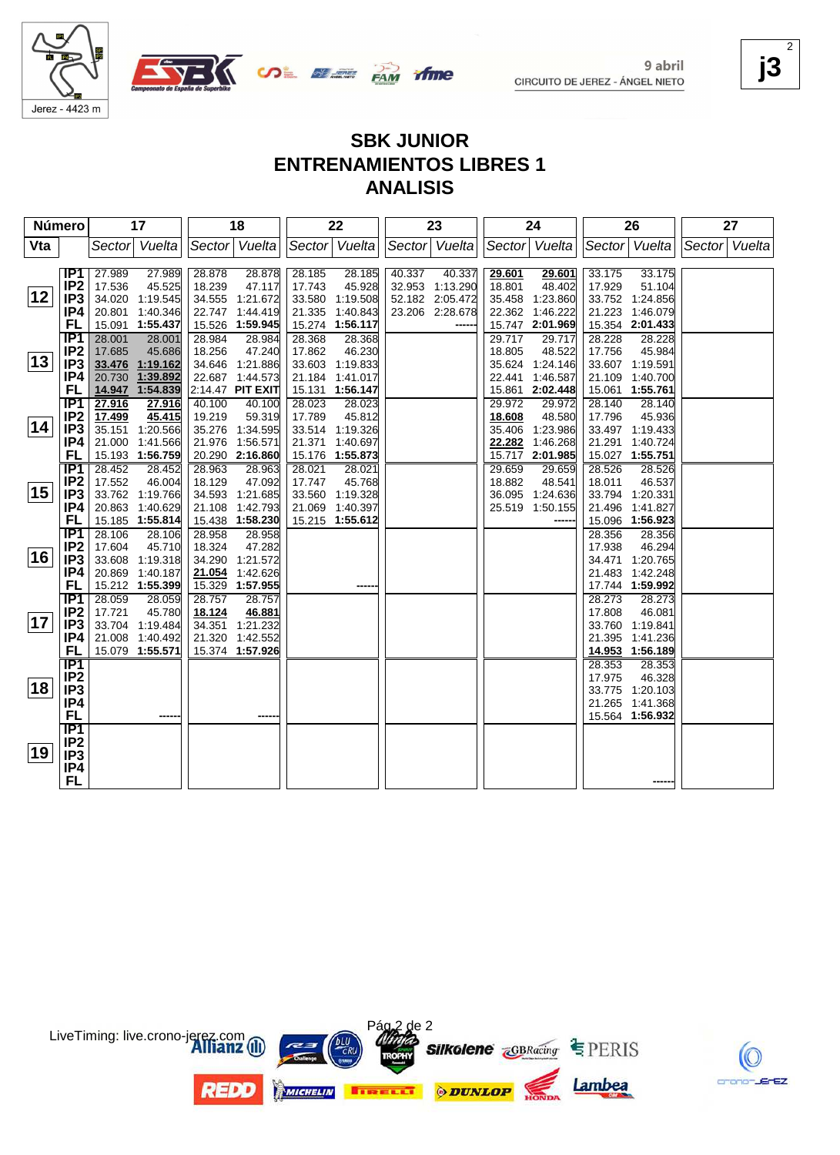



## **SBK JUNIOR ENTRENAMIENTOS LIBRES 1 ANALISIS**

| Número |                        |        | 17                          |        | 18                                 |        | 22                                 |               | 23              |        | 24                          |               | 26                          |               | 27 |
|--------|------------------------|--------|-----------------------------|--------|------------------------------------|--------|------------------------------------|---------------|-----------------|--------|-----------------------------|---------------|-----------------------------|---------------|----|
| Vta    |                        | Sector | Vuelta                      |        | Sector Vuelta                      |        | Sector Vuelta                      | Sector Vuelta |                 |        | Sector Vuelta               | Sector Vuelta |                             | Sector Vuelta |    |
|        |                        |        |                             |        |                                    |        |                                    |               |                 |        |                             |               |                             |               |    |
|        | IP1                    | 27.989 | 27.989                      | 28.878 | 28.878                             | 28.185 | 28.185                             | 40.337        | 40.337          | 29.601 | 29.601                      | 33.175        | 33.175                      |               |    |
|        | IP <sub>2</sub>        | 17.536 | 45.525                      | 18.239 | 47.117                             | 17.743 | 45.928                             |               | 32.953 1:13.290 | 18.801 | 48.402                      | 17.929        | 51.104                      |               |    |
| 12     | IP3                    |        | 34.020 1:19.545             |        | 34.555 1:21.672                    |        | 33.580 1:19.508                    |               | 52.182 2:05.472 | 35.458 | 1:23.860                    |               | 33.752 1:24.856             |               |    |
|        | IP4                    |        | 20.801 1:40.346             |        | 22.747 1:44.419                    | 21.335 | 1:40.843                           |               | 23.206 2:28.678 | 22.362 | 1:46.222                    | 21.223        | 1:46.079                    |               |    |
|        | FL                     |        | 15.091 1:55.437             |        | 15.526 1:59.945                    |        | 15.274 1:56.117                    |               |                 |        | 15.747 2:01.969             |               | 15.354 2:01.433             |               |    |
|        | IP1                    | 28.001 | 28.001                      | 28.984 | 28.984                             | 28.368 | 28.368                             |               |                 | 29.717 | 29.717                      | 28.228        | 28.228                      |               |    |
| 13     | IP <sub>2</sub>        | 17.685 | 45.686                      | 18.256 | 47.240                             | 17.862 | 46.230                             |               |                 | 18.805 | 48.522                      | 17.756        | 45.984                      |               |    |
|        | IP <sub>3</sub>        |        | 33.476 1:19.162             |        | 34.646 1:21.886<br>22.687 1:44.573 |        | 33.603 1:19.833                    |               |                 | 22.441 | 35.624 1:24.146<br>1:46.587 | 21.109        | 33.607 1:19.591             |               |    |
|        | IP4<br>FL              | 20.730 | 1:39.892<br>14.947 1:54.839 |        | 2:14.47 PIT EXIT                   |        | 21.184 1:41.017<br>15.131 1:56.147 |               |                 | 15.861 | 2:02.448                    | 15.061        | 1:40.700                    |               |    |
|        | TP1                    | 27.916 |                             | 40.100 | 40.100                             | 28.023 | 28.023                             |               |                 | 29.972 | 29.972                      | 28.140        | 1:55.761<br>28.140          |               |    |
|        | IP <sub>2</sub>        | 17.499 | 27.916<br>45.415            | 19.219 | 59.319                             | 17.789 | 45.812                             |               |                 | 18.608 | 48.580                      | 17.796        | 45.936                      |               |    |
| 14     | IP <sub>3</sub>        |        | 35.151 1:20.566             |        | 35.276 1:34.595                    |        | 33.514 1:19.326                    |               |                 | 35.406 | 1:23.986                    |               | 33.497 1:19.433             |               |    |
|        | IP4                    |        | 21.000 1:41.566             |        | 21.976 1:56.571                    | 21.371 | 1:40.697                           |               |                 | 22.282 | 1:46.268                    | 21.291        | 1:40.724                    |               |    |
|        | <b>FL</b>              |        | 15.193 1:56.759             |        | 20.290 2:16.860                    | 15.176 | 1:55.873                           |               |                 | 15.717 | 2:01.985                    |               | 15.027 1:55.751             |               |    |
|        | IP1                    | 28.452 | 28.452                      | 28.963 | 28.963                             | 28.021 | 28.021                             |               |                 | 29.659 | 29.659                      | 28.526        | 28.526                      |               |    |
|        | IP <sub>2</sub>        | 17.552 | 46.004                      | 18.129 | 47.092                             | 17.747 | 45.768                             |               |                 | 18.882 | 48.541                      | 18.011        | 46.537                      |               |    |
| 15     | IP3                    |        | 33.762 1:19.766             |        | 34.593 1:21.685                    |        | 33.560 1:19.328                    |               |                 |        | 36.095 1:24.636             |               | 33.794 1:20.331             |               |    |
|        | IP4                    |        | 20.863 1:40.629             |        | 21.108 1:42.793                    |        | 21.069 1:40.397                    |               |                 |        | 25.519 1:50.155             | 21.496        | 1:41.827                    |               |    |
|        | FL                     |        | 15.185 1:55.814             |        | 15.438 1:58.230                    |        | 15.215 1:55.612                    |               |                 |        |                             | 15.096        | 1:56.923                    |               |    |
|        | IP1                    | 28.106 | 28.106                      | 28.958 | 28.958                             |        |                                    |               |                 |        |                             | 28.356        | 28.356                      |               |    |
|        | IP <sub>2</sub>        | 17.604 | 45.710                      | 18.324 | 47.282                             |        |                                    |               |                 |        |                             | 17.938        | 46.294                      |               |    |
| 16     | IP <sub>3</sub>        | 33.608 | 1:19.318                    | 34.290 | 1:21.572                           |        |                                    |               |                 |        |                             | 34.471        | 1:20.765                    |               |    |
|        | IP4                    |        | 20.869 1:40.187             |        | 21.054 1:42.626                    |        |                                    |               |                 |        |                             | 21.483        | 1:42.248                    |               |    |
|        | FL                     |        | 15.212 1:55.399             |        | 15.329 1:57.955                    |        |                                    |               |                 |        |                             |               | 17.744 1:59.992             |               |    |
|        | IP <sub>1</sub>        | 28.059 | 28.059                      | 28.757 | 28.757                             |        |                                    |               |                 |        |                             | 28.273        | 28.273                      |               |    |
|        | IP <sub>2</sub>        | 17.721 | 45.780                      | 18.124 | 46.881                             |        |                                    |               |                 |        |                             | 17.808        | 46.081                      |               |    |
| 17     | IP <sub>3</sub>        |        | 33.704 1:19.484             |        | 34.351 1:21.232                    |        |                                    |               |                 |        |                             |               | 33.760 1:19.841             |               |    |
|        | IP4                    |        | 21.008 1:40.492             |        | 21.320 1:42.552                    |        |                                    |               |                 |        |                             | 21.395        | 1:41.236                    |               |    |
|        | FL                     |        | 15.079 1:55.571             |        | 15.374 1:57.926                    |        |                                    |               |                 |        |                             |               | 14.953 1:56.189             |               |    |
|        | $\overline{IP1}$       |        |                             |        |                                    |        |                                    |               |                 |        |                             | 28.353        | 28.353                      |               |    |
| 18     | IP <sub>2</sub>        |        |                             |        |                                    |        |                                    |               |                 |        |                             | 17.975        | 46.328                      |               |    |
|        | IP <sub>3</sub><br>IP4 |        |                             |        |                                    |        |                                    |               |                 |        |                             |               | 33.775 1:20.103             |               |    |
|        | <b>FL</b>              |        |                             |        |                                    |        |                                    |               |                 |        |                             | 21.265        | 1:41.368<br>15.564 1:56.932 |               |    |
|        | IP1                    |        |                             |        |                                    |        |                                    |               |                 |        |                             |               |                             |               |    |
|        | IP <sub>2</sub>        |        |                             |        |                                    |        |                                    |               |                 |        |                             |               |                             |               |    |
| 19     | IP <sub>3</sub>        |        |                             |        |                                    |        |                                    |               |                 |        |                             |               |                             |               |    |
|        | IP4                    |        |                             |        |                                    |        |                                    |               |                 |        |                             |               |                             |               |    |
|        | <b>FL</b>              |        |                             |        |                                    |        |                                    |               |                 |        |                             |               |                             |               |    |
|        |                        |        |                             |        |                                    |        |                                    |               |                 |        |                             |               |                             |               |    |



LiveTiming: live.crono-jerez.com



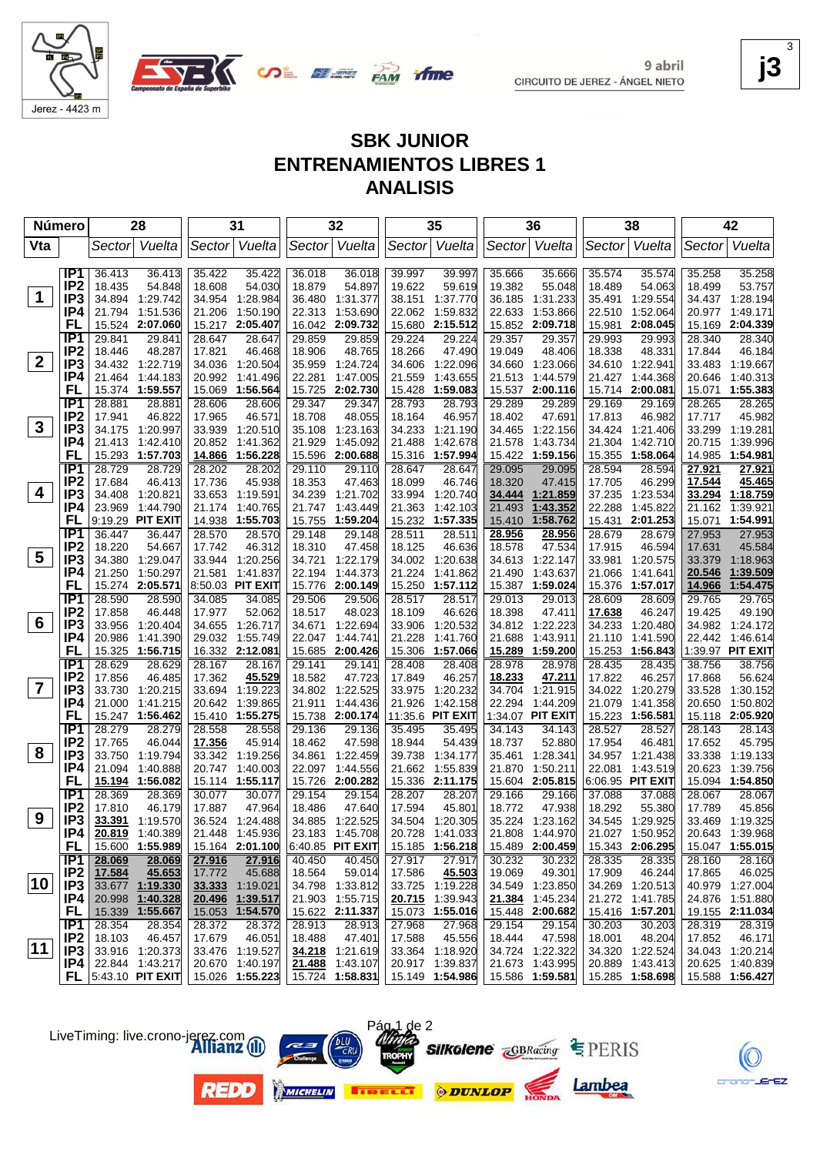

Jerez - 4423 m

# **SBK JUNIOR ENTRENAMIENTOS LIBRES 1 ANALISIS**

| <b>Número</b>  |                        |                  | 28                                 |                  | 31                                 |                  | 32                        |                  | 35                                 |                  | 36                        |                  | 38                        |                  | 42                        |
|----------------|------------------------|------------------|------------------------------------|------------------|------------------------------------|------------------|---------------------------|------------------|------------------------------------|------------------|---------------------------|------------------|---------------------------|------------------|---------------------------|
| Vta            |                        | Sector           | Vuelta                             |                  | Sector Vuelta                      |                  | Sector Vuelta             |                  | Sector Vuelta                      |                  | Sector Vuelta             |                  | Sector  Vuelta            | Sector           | Vuelta                    |
|                |                        |                  |                                    |                  |                                    |                  |                           |                  |                                    |                  |                           |                  |                           |                  |                           |
|                | IP <sub>1</sub>        | 36.413           | 36.413                             | 35.422           | 35.422                             | 36.018           | 36.018                    | 39.997           | 39.997                             | 35.666           | 35.666                    | 35.574           | 35.574                    | 35.258           | 35.258                    |
|                | IP <sub>2</sub>        | 18.435           | 54.848                             | 18.608           | 54.030                             | 18.879           | 54.897                    | 19.622           | 59.619                             | 19.382           | 55.048                    | 18.489           | 54.063                    | 18.499           | 53.757                    |
| $\mathbf 1$    | IP <sub>3</sub>        | 34.894           | 1:29.742                           | 34.954           | 1:28.984                           |                  | 36.480 1:31.377           | 38.151           | 1:37.770                           | 36.185           | 1:31.233                  | 35.491           | 1:29.554                  | 34.437           | 1:28.194                  |
|                | IP4                    | 21.794           | 1:51.536                           | 21.206           | 1:50.190                           | 22.313           | 1:53.690                  | 22.062           | 1:59.832                           | 22.633           | 1:53.866                  |                  | 22.510 1:52.064           | 20.977           | 1:49.171                  |
|                | FL                     |                  | 15.524 2:07.060                    | 15.217           | 2:05.407                           | 16.042           | 2:09.732                  | 15.680           | 2:15.512                           | 15.852           | 2:09.718                  | 15.981           | 2:08.045                  | 15.169           | 2:04.339                  |
|                | IP <sub>1</sub>        | 29.841           | 29.841                             | 28.647           | 28.647                             | 29.859           | 29.859                    | 29.224           | 29.224                             | 29.357           | 29.357                    | 29.993           | 29.993                    | 28.340           | 28.340                    |
|                | IP <sub>2</sub>        | 18.446           | 48.287                             | 17.821           | 46.468                             | 18.906           | 48.765                    | 18.266           | 47.490                             | 19.049           | 48.406                    | 18.338           | 48.331                    | 17.844           | 46.184                    |
| $\mathbf{2}$   | IP <sub>3</sub>        | 34.432           | 1:22.719                           |                  | 34.036 1:20.504                    | 35.959           | 1:24.724                  | 34.606           | 1:22.096                           | 34.660           | 1:23.066                  |                  | 34.610 1:22.941           | 33.483           | 1:19.667                  |
|                | IP4                    | 21.464           | 1:44.183                           | 20.992           | 1:41.496                           | 22.281           | 1:47.005                  | 21.559           | 1:43.655                           | 21.513           | 1:44.579                  | 21.427           | 1:44.368                  | 20.646           | 1:40.313                  |
|                | FL                     |                  | 15.374 1:59.557                    |                  | 15.069 1:56.564                    | 15.725           | 2:02.730                  | 15.428           | 1:59.083                           | 15.537           | 2:00.116                  | 15.714           | 2:00.081                  | 15.071           | 1:55.383                  |
|                | IP1                    | 28.881           | 28.881                             | 28.606           | 28.606                             | 29.347           | 29.347                    | 28.793           | 28.793                             | 29.289           | 29.289                    | 29.169           | 29.169                    | 28.265           | 28.265                    |
| 3              | IP <sub>2</sub>        | 17.941           | 46.822                             | 17.965           | 46.571                             | 18.708           | 48.055                    | 18.164           | 46.957                             | 18.402           | 47.691                    | 17.813           | 46.982                    | 17.717           | 45.982                    |
|                | IP <sub>3</sub><br>IP4 | 34.175           | 1:20.997                           |                  | 33.939 1:20.510                    | 35.108           | 1:23.163                  | 34.233           | 1:21.190                           | 34.465           | 1:22.156                  | 34.424           | 1:21.406                  | 33.299           | 1:19.281                  |
|                | FL                     | 21.413<br>15.293 | 1:42.410<br>1:57.703               |                  | 20.852 1:41.362<br>14.866 1:56.228 | 21.929<br>15.596 | 1:45.092<br>2:00.688      | 21.488<br>15.316 | 1:42.678                           | 21.578<br>15.422 | 1:43.734                  | 21.304<br>15.355 | 1:42.710                  | 20.715<br>14.985 | 1:39.996<br>1:54.981      |
|                | IP1                    | 28.729           | 28.729                             |                  |                                    |                  |                           |                  | 1:57.994                           | 29.095           | 1:59.156                  |                  | 1:58.064                  |                  | 27.921                    |
|                | IP <sub>2</sub>        | 17.684           | 46.413                             | 28.202<br>17.736 | 28.202<br>45.938                   | 29.110<br>18.353 | 29.110<br>47.463          | 28.647<br>18.099 | 28.647<br>46.746                   | 18.320           | 29.095<br>47.415          | 28.594<br>17.705 | 28.594<br>46.299          | 27.921<br>17.544 | 45.465                    |
| 4              | IP <sub>3</sub>        | 34.408           | 1:20.821                           |                  | 33.653 1:19.591                    | 34.239           | 1:21.702                  | 33.994           | 1:20.740                           | 34.444           | 1:21.859                  | 37.235           | 1:23.534                  | 33.294           | 1:18.759                  |
|                | IP4                    | 23.969           | 1:44.790                           | 21.174           | 1:40.765                           | 21.747           | 1:43.449                  | 21.363           | 1:42.103                           | 21.493           | 1:43.352                  | 22.288           | 1:45.822                  | 21.162           | 1:39.921                  |
|                | FL                     |                  | 9:19.29 PIT EXIT                   |                  | 14.938 1:55.703                    | 15.755           | 1:59.204                  | 15.232           | 1:57.335                           | 15.410           | 1:58.762                  | 15.431           | 2:01.253                  | 15.071           | 1:54.991                  |
|                | IP <sub>1</sub>        | 36.447           | 36.447                             | 28.570           | 28.570                             | 29.148           | 29.148                    | 28.511           | 28.511                             | 28.956           | 28.956                    | 28.679           | 28.679                    | 27.953           | 27.953                    |
|                | IP <sub>2</sub>        | 18.220           | 54.667                             | 17.742           | 46.312                             | 18.310           | 47.458                    | 18.125           | 46.636                             | 18.578           | 47.534                    | 17.915           | 46.594                    | 17.631           | 45.584                    |
| 5              | IP <sub>3</sub>        | 34.380           | 1:29.047                           |                  | 33.944 1:20.256                    | 34.721           | 1:22.179                  | 34.002           | 1:20.638                           | 34.613           | 1:22.147                  | 33.981           | 1:20.575                  | 33.379           | 1:18.963                  |
|                | IP4                    | 21.250           | 1:50.297                           | 21.581           | 1:41.837                           | 22.194           | 1:44.373                  | 21.224           | 1:41.862                           | 21.490           | 1:43.637                  | 21.066           | 1:41.641                  | 20.546           | 1:39.509                  |
|                | FL                     | 15.274           | 2:05.571                           |                  | 8:50.03 PIT EXIT                   | 15.776           | 2:00.149                  | 15.250           | 1:57.112                           | 15.387           | 1:59.024                  | 15.376           | 1:57.017                  | 14.966           | 1:54.475                  |
|                | IP1                    | 28.590           | 28.590                             | 34.085           | 34.085                             | 29.506           | 29.506                    | 28.517           | 28.517                             | 29.013           | 29.013                    | 28.609           | 28.609                    | 29.765           | 29.765                    |
|                | IP <sub>2</sub>        | 17.858           | 46.448                             | 17.977           | 52.062                             | 18.517           | 48.023                    | 18.109           | 46.626                             | 18.398           | 47.411                    | 17.638           | 46.247                    | 19.425           | 49.190                    |
| 6              | IP <sub>3</sub>        | 33.956           | 1:20.404                           |                  | 34.655 1:26.717                    | 34.671           | 1:22.694                  | 33.906           | 1:20.532                           |                  | 34.812 1:22.223           | 34.233           | 1:20.480                  |                  | 34.982 1:24.172           |
|                | IP4                    | 20.986           | 1:41.390                           |                  | 29.032 1:55.749                    | 22.047           | 1.44.741                  | 21.228           | 1:41.760                           | 21.688           | 1:43.911                  | 21.110           | 1:41.590                  |                  | 22.442 1:46.614           |
|                | FL                     | 15.325           | 1:56.715                           |                  | 16.332 2:12.081                    | 15.685           | 2:00.426                  | 15.306           | 1:57.066                           | 15.289           | 1:59.200                  | 15.253           | 1:56.843                  |                  | 1:39.97 PIT EXIT          |
|                | IP1<br>IP <sub>2</sub> | 28.629<br>17.856 | 28.629<br>46.485                   | 28.167<br>17.362 | 28.167<br>45.529                   | 29.141<br>18.582 | 29.141<br>47.723          | 28.408<br>17.849 | 28.408<br>46.257                   | 28.978<br>18.233 | 28.978<br>47.211          | 28.435<br>17.822 | 28.435<br>46.257          | 38.756<br>17.868 | 38.756<br>56.624          |
| $\overline{7}$ | IP3                    | 33.730           | 1:20.215                           |                  | 33.694 1:19.223                    |                  | 34.802 1:22.525           | 33.975           | 1:20.232                           | 34.704           | 1:21.915                  | 34.022           | 1:20.279                  | 33.528           | 1:30.152                  |
|                | IP4                    | 21.000           | 1:41.215                           |                  | 20.642 1:39.865                    | 21.911           | 1:44.436                  | 21.926           | 1:42.158                           | 22.294           | 1:44.209                  | 21.079           | 1:41.358                  | 20.650           | 1:50.802                  |
|                | FL                     |                  | 15.247 1:56.462                    |                  | 15.410 1:55.275                    |                  | 15.738 2:00.174           |                  | 11:35.6 PIT EXIT                   |                  | 1:34.07 PIT EXIT          |                  | 15.223 1:56.581           |                  | 15.118 2:05.920           |
|                | IP1                    | 28.279           | 28.279                             | 28.558           | 28.558                             | 29.136           | 29.136                    | 35.495           | 35.495                             | 34.143           | 34.143                    | 28.527           | 28.527                    | 28.143           | 28.143                    |
|                | IP <sub>2</sub>        | 17.765           | 46.044                             | <u>17.356</u>    | 45.914                             | 18.462           | 47.598                    | 18.944           | 54.439                             | 18.737           | 52.880                    | 17.954           | 46.481                    | 17.652           | 45.795                    |
| 8              | IP <sub>3</sub>        | 33.750           | 1:19.794                           | 33.342           | 1:19.256                           | 34.861           | 1:22.459                  | 39.738           | 1:34.177                           | 35.461           | 1:28.341                  | 34.957           | 1:21.438                  | 33.338           | 1:19.133                  |
|                | IP4                    | 21.094           | 1:40.888                           | 20.747           | 1:40.003                           | 22.097           | 1:44.556                  | 21.662           | 1:55.839                           | 21.870           | 1:50.211                  | 22.081           | 1:43.519                  | 20.623           | 1:39.756                  |
|                | FL                     |                  | 15.194 1:56.082                    |                  | 15.114 1:55.117                    | 15.726           | 2:00.282                  | 15.336           | 2:11.175                           | 15.604           | 2:05.815                  |                  | 6:06.95 PIT EXIT          |                  | 15.094 1:54.850           |
|                | $\overline{IP1}$       | 28.369           | 28.369                             | 30.077           | 30.077                             | 29.154           | 29.154                    | 28.207           | 28.207                             | 29.166           | 29.166                    | 37.088           | 37.088                    | 28.067           | 28.067                    |
|                | IP <sub>2</sub>        | 17.810           | 46.179                             | 17.887           | 47.964                             | 18.486           | 47.640                    | 17.594           | 45.801                             | 18.772           | 47.938                    | 18.292           | 55.380                    | 17.789           | 45.856                    |
| 9              | IP <sub>3</sub>        | 33.391           | 1:19.570                           |                  | 36.524 1:24.488                    |                  | 34.885 1:22.525           |                  | 34.504 1:20.305                    |                  | 35.224 1:23.162           |                  | 34.545 1:29.925           |                  | 33.469 1:19.325           |
|                | IP4                    |                  | 20.819 1:40.389                    |                  | 21.448 1:45.936                    |                  | 23.183 1:45.708           |                  | 20.728 1:41.033                    |                  | 21.808 1:44.970           |                  | 21.027 1:50.952           |                  | 20.643 1:39.968           |
|                | FL.                    |                  | 15.600 1:55.989                    |                  | 15.164 2:01.100                    |                  | 6:40.85 PIT EXIT          |                  | 15.185 1:56.218                    |                  | 15.489 2:00.459           |                  | 15.343 2:06.295           |                  | 15.047 1:55.015           |
|                | IP1                    | 28.069           | 28.069                             | 27.916           | 27.916                             | 40.450           | 40.450                    | 27.917           | 27.917                             | 30.232           | 30.232                    | 28.335           | 28.335                    | 28.160           | 28.160                    |
| 10             | IP <sub>2</sub>        | 17.584           | 45.653                             | 17.772           | 45.688                             | 18.564           | 59.014                    | 17.586           | 45.503                             | 19.069           | 49.301                    | 17.909           | 46.244                    | 17.865           | 46.025                    |
|                | IP <sub>3</sub>        |                  | 33.677 1:19.330                    |                  | 33.333 1:19.021                    |                  | 34.798 1:33.812           | 33.725           | 1:19.228                           | 34.549           | 1:23.850                  |                  | 34.269 1:20.513           |                  | 40.979 1:27.004           |
|                | IP4                    |                  | 20.998 1:40.328<br>15.339 1:55.667 |                  | 20.496 1:39.517                    |                  | 21.903 1:55.715           |                  | 20.715 1:39.943<br>15.073 1:55.016 | 21.384           | 1:45.234                  |                  | 21.272 1:41.785           |                  | 24.876 1:51.880           |
|                | <b>FL</b><br>IP1       | 28.354           | 28.354                             | 28.372           | 15.053 1:54.570<br>28.372          | 28.913           | 15.622 2:11.337<br>28.913 | 27.968           | 27.968                             | 29.154           | 15.448 2:00.682<br>29.154 | 30.203           | 15.416 1:57.201<br>30.203 | 28.319           | 19.155 2:11.034<br>28.319 |
|                | IP <sub>2</sub>        | 18.103           | 46.457                             | 17.679           | 46.051                             | 18.488           | 47.401                    | 17.588           | 45.556                             | 18.444           | 47.598                    | 18.001           | 48.204                    | 17.852           | 46.171                    |
| 11             | IP3                    |                  | 33.916 1:20.373                    |                  | 33.476 1:19.527                    |                  | 34.218 1:21.619           |                  | 33.364 1:18.920                    |                  | 34.724 1:22.322           |                  | 34.320 1:22.524           |                  | 34.043 1:20.214           |
|                | IP4.                   |                  | 22.844 1:43.217                    |                  | 20.670 1:40.197                    |                  | 21.488 1:43.107           |                  | 20.917 1:39.837                    |                  | 21.673 1:43.995           |                  | 20.889 1:43.413           |                  | 20.625 1:40.839           |
|                |                        |                  | <b>FL</b> $ 5:43.10$ PIT EXIT      |                  | 15.026 1:55.223                    |                  | 15.724 1:58.831           |                  | 15.149 1:54.986   15.586 1:59.581  |                  |                           |                  | $15.285$ 1:58.698         |                  | 15.588 1:56.427           |
|                |                        |                  |                                    |                  |                                    |                  |                           |                  |                                    |                  |                           |                  |                           |                  |                           |



LiveTiming: live.crono-jerez.com













**j3** 3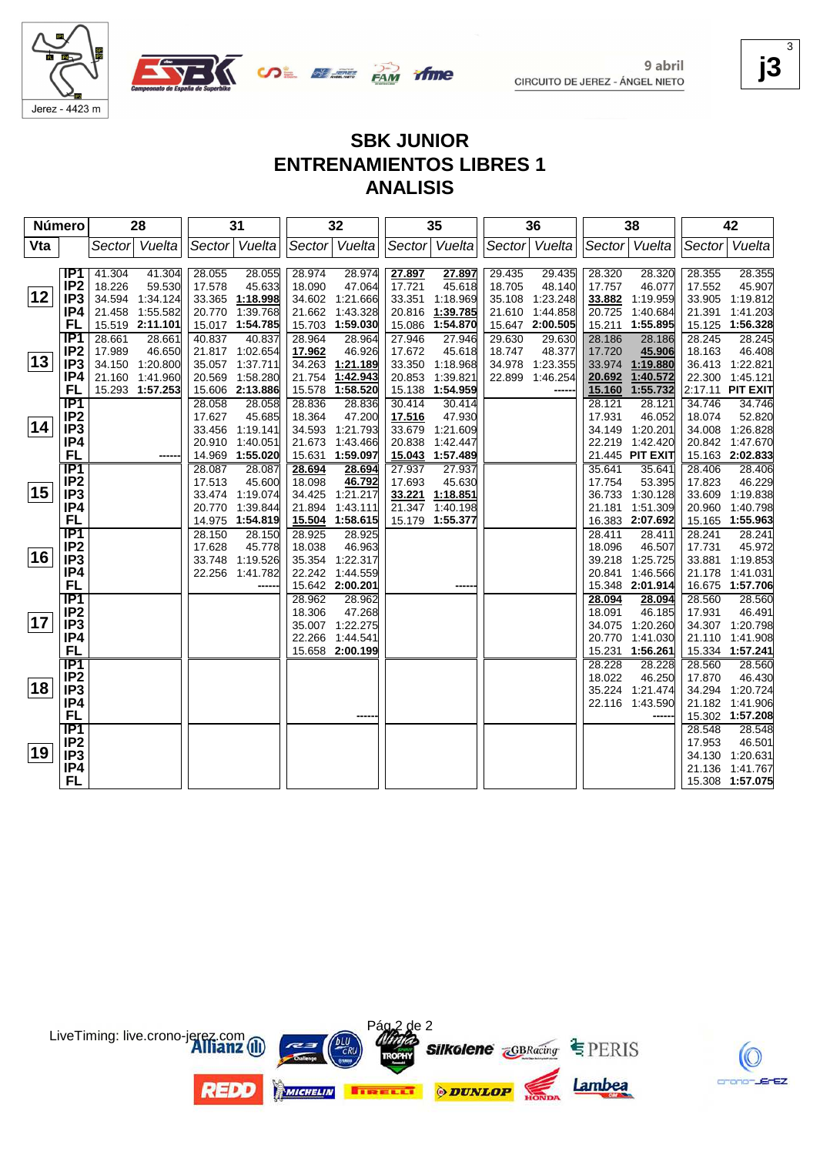

9 abril CIRCUITO DE JEREZ - ÁNGEL NIETO **j3** 3

# **SBK JUNIOR ENTRENAMIENTOS LIBRES 1 ANALISIS**

| Sector Vuelta<br>Sector Vuelta<br>Vuelta<br>Vuelta<br>Vuelta<br>Vuelta<br>Vta<br>Sector<br>Vuelta<br>Sector<br>Sector<br>Sector<br>Sector<br>IP1<br>41.304<br>41.304<br>28.055<br>28.055<br>28.974<br>28.974<br>27.897<br>27.897<br>29.435<br>29.435<br>28.320<br>28.320<br>28.355<br>IP <sub>2</sub><br>45.633<br>47.064<br>45.618<br>18.226<br>59.530<br>17.578<br>18.090<br>17.721<br>18.705<br>48.140<br>17.757<br>46.077<br>17.552<br> 12 <br>IP <sub>3</sub><br>34.594<br>1:34.124<br>33.365 1:18.998<br>34.602 1:21.666<br>33.351<br>1:18.969<br>35.108<br>1:23.248<br>1:19.959<br>33.905<br>1:19.812<br>33.882<br>IP4<br>1:55.582<br>1:39.768<br>1:39.785<br>21.458<br>20.770<br>21.662<br>1:43.328<br>20.816<br>21.610<br>1:44.858<br>1:40.684<br>21.391<br>1:41.203<br>20.725<br>FL<br>15.519 2:11.101<br>15.017 1:54.785<br>1:59.030<br>15.086<br>15.647 2:00.505<br>1:55.895<br>15.125 1:56.328<br>15.703<br>1:54.870<br>15.211<br>IP <sub>1</sub><br>40.837<br>28.186<br>28.661<br>28.661<br>40.837<br>28.964<br>28.964<br>27.946<br>27.946<br>29.630<br>29.630<br>28.186<br>28.245<br>28.245<br>IP <sub>2</sub><br>46.926<br>46.408<br>17.989<br>46.650<br>21.817 1:02.654<br>17.962<br>17.672<br>45.618<br>18.747<br>48.377<br>17.720<br>18.163<br>45.906<br>13<br>IP <sub>3</sub><br>36.413 1:22.821<br>34.150 1:20.800<br>35.057 1:37.711<br>34.263<br>1:21.189<br>33.350<br>1:18.968<br>34.978<br>1:23.355<br>33.974<br>1:19.880<br>22.300 1:45.121<br>IP4<br>21.160<br>1:41.960<br>20.569 1:58.280<br>21.754<br>1:42.943<br>20.853<br>1:39.821<br>22.899<br>1:46.254<br>20.692<br>1:40.572<br>FL<br>15.293 1:57.253<br>15.606 2:13.886<br>15.578<br>1:58.520<br>15.138<br>1:54.959<br>1:55.732<br>2:17.11 PIT EXIT<br>15.160<br>$\overline{IP1}$<br>28.836<br>28.836<br>30.414<br>34.746<br>28.058<br>28.058<br>30.414<br>28.121<br>34.746<br>28.121<br>IP <sub>2</sub><br>45.685<br>47.200<br>47.930<br>18.074<br>52.820<br>17.627<br>18.364<br>17.516<br>17.931<br>46.052<br> 14<br>IP <sub>3</sub><br>34.593 1:21.793<br>34.008 1:26.828<br>33.456 1:19.141<br>33.679<br>1:21.609<br>34.149<br>1:20.201<br>IP4<br>20.910 1:40.051<br>21.673<br>1:43.466<br>20.838<br>22.219 1:42.420<br>20.842 1:47.670<br>1:42.447<br><b>FL</b><br>14.969 1:55.020<br>15.631<br>1:59.097<br>15.043<br>1:57.489<br>21.445 PIT EXIT<br>15.163 2:02.833<br>$\overline{IP1}$<br>28.406<br>28.087<br>28.087<br>28.694<br>28.694<br>27.937<br>27.937<br>35.641<br>35.641<br>28.406<br>IP <sub>2</sub><br>45.600<br>46.792<br>45.630<br>46.229<br>17.513<br>18.098<br>17.693<br>17.754<br>53.395<br>17.823<br>15<br>IP <sub>3</sub><br>33.474 1:19.074<br>34.425 1:21.217<br>33.221 1:18.851<br>36.733<br>1:30.128<br>33.609 1:19.838<br>IP4<br>1:43.111<br>21.347<br>1:51.309<br>20.960<br>1:40.798<br>20.770 1:39.844<br>21.894<br>1:40.198<br>21.181<br><b>FL</b><br>14.975 1:54.819<br>15.504<br>1:58.615<br>15.179<br>1:55.377<br>16.383 2:07.692<br>15.165 1:55.963<br>$\overline{IP1}$<br>28.241<br>28.150<br>28.150<br>28.925<br>28.925<br>28.411<br>28.411<br>28.241<br>IP <sub>2</sub><br>45.778<br>46.963<br>18.096<br>17.731<br>17.628<br>18.038<br>46.507<br>16<br>IP <sub>3</sub><br>33.748<br>1:19.526<br>35.354<br>1:22.317<br>39.218<br>1:25.725<br>33.881<br>1:19.853<br>IP4<br>21.178 1:41.031<br>22.256<br>1:41.782<br>22.242<br>1:44.559<br>20.841<br>1:46.566<br><b>FL</b><br>15.642 2:00.201<br>15.348<br>2:01.914<br>16.675 1:57.706<br>$\overline{IP1}$<br>28.962<br>28.560<br>28.962<br>28.094<br>28.094<br>28.560<br>IP <sub>2</sub><br>47.268<br>46.491<br>18.306<br>18.091<br>46.185<br>17.931<br> 17 <br>IP <sub>3</sub><br>1:20.260<br>35.007 1:22.275<br>34.075<br>34.307 1:20.798<br>20.770<br>IP4<br>22.266<br>1:44.541<br>1:41.030<br>21.110 1:41.908<br><b>FL</b><br>15.658<br>2:00.199<br>15.231<br>1:56.261<br>15.334 1:57.241<br><b>IP1</b><br>28.228<br>28.560<br>28.560<br>28.228<br>IP <sub>2</sub><br>18.022<br>46.250<br>17.870<br>46.430<br>18<br>IP <sub>3</sub><br>1:21.474<br>34.294 1:20.724<br>35.224<br>IP4<br>22.116 1:43.590<br>21.182 1:41.906<br><b>FL</b><br>15.302 1:57.208 | Número |                  | 28 | 31 | 32 | 35 | 36 | 38 |        | 42     |
|--------------------------------------------------------------------------------------------------------------------------------------------------------------------------------------------------------------------------------------------------------------------------------------------------------------------------------------------------------------------------------------------------------------------------------------------------------------------------------------------------------------------------------------------------------------------------------------------------------------------------------------------------------------------------------------------------------------------------------------------------------------------------------------------------------------------------------------------------------------------------------------------------------------------------------------------------------------------------------------------------------------------------------------------------------------------------------------------------------------------------------------------------------------------------------------------------------------------------------------------------------------------------------------------------------------------------------------------------------------------------------------------------------------------------------------------------------------------------------------------------------------------------------------------------------------------------------------------------------------------------------------------------------------------------------------------------------------------------------------------------------------------------------------------------------------------------------------------------------------------------------------------------------------------------------------------------------------------------------------------------------------------------------------------------------------------------------------------------------------------------------------------------------------------------------------------------------------------------------------------------------------------------------------------------------------------------------------------------------------------------------------------------------------------------------------------------------------------------------------------------------------------------------------------------------------------------------------------------------------------------------------------------------------------------------------------------------------------------------------------------------------------------------------------------------------------------------------------------------------------------------------------------------------------------------------------------------------------------------------------------------------------------------------------------------------------------------------------------------------------------------------------------------------------------------------------------------------------------------------------------------------------------------------------------------------------------------------------------------------------------------------------------------------------------------------------------------------------------------------------------------------------------------------------------------------------------------------------------------------------------------------------------------------------------------------------------------------------------------------------------------------------------------------------------------------------------------------------------------------------------------------------------------------------------------------------------------------------------------------------------------------------------------------------------------------------------------------------------------------------------------------|--------|------------------|----|----|----|----|----|----|--------|--------|
|                                                                                                                                                                                                                                                                                                                                                                                                                                                                                                                                                                                                                                                                                                                                                                                                                                                                                                                                                                                                                                                                                                                                                                                                                                                                                                                                                                                                                                                                                                                                                                                                                                                                                                                                                                                                                                                                                                                                                                                                                                                                                                                                                                                                                                                                                                                                                                                                                                                                                                                                                                                                                                                                                                                                                                                                                                                                                                                                                                                                                                                                                                                                                                                                                                                                                                                                                                                                                                                                                                                                                                                                                                                                                                                                                                                                                                                                                                                                                                                                                                                                                                                                      |        |                  |    |    |    |    |    |    |        |        |
|                                                                                                                                                                                                                                                                                                                                                                                                                                                                                                                                                                                                                                                                                                                                                                                                                                                                                                                                                                                                                                                                                                                                                                                                                                                                                                                                                                                                                                                                                                                                                                                                                                                                                                                                                                                                                                                                                                                                                                                                                                                                                                                                                                                                                                                                                                                                                                                                                                                                                                                                                                                                                                                                                                                                                                                                                                                                                                                                                                                                                                                                                                                                                                                                                                                                                                                                                                                                                                                                                                                                                                                                                                                                                                                                                                                                                                                                                                                                                                                                                                                                                                                                      |        |                  |    |    |    |    |    |    |        |        |
|                                                                                                                                                                                                                                                                                                                                                                                                                                                                                                                                                                                                                                                                                                                                                                                                                                                                                                                                                                                                                                                                                                                                                                                                                                                                                                                                                                                                                                                                                                                                                                                                                                                                                                                                                                                                                                                                                                                                                                                                                                                                                                                                                                                                                                                                                                                                                                                                                                                                                                                                                                                                                                                                                                                                                                                                                                                                                                                                                                                                                                                                                                                                                                                                                                                                                                                                                                                                                                                                                                                                                                                                                                                                                                                                                                                                                                                                                                                                                                                                                                                                                                                                      |        |                  |    |    |    |    |    |    |        | 28.355 |
|                                                                                                                                                                                                                                                                                                                                                                                                                                                                                                                                                                                                                                                                                                                                                                                                                                                                                                                                                                                                                                                                                                                                                                                                                                                                                                                                                                                                                                                                                                                                                                                                                                                                                                                                                                                                                                                                                                                                                                                                                                                                                                                                                                                                                                                                                                                                                                                                                                                                                                                                                                                                                                                                                                                                                                                                                                                                                                                                                                                                                                                                                                                                                                                                                                                                                                                                                                                                                                                                                                                                                                                                                                                                                                                                                                                                                                                                                                                                                                                                                                                                                                                                      |        |                  |    |    |    |    |    |    |        | 45.907 |
|                                                                                                                                                                                                                                                                                                                                                                                                                                                                                                                                                                                                                                                                                                                                                                                                                                                                                                                                                                                                                                                                                                                                                                                                                                                                                                                                                                                                                                                                                                                                                                                                                                                                                                                                                                                                                                                                                                                                                                                                                                                                                                                                                                                                                                                                                                                                                                                                                                                                                                                                                                                                                                                                                                                                                                                                                                                                                                                                                                                                                                                                                                                                                                                                                                                                                                                                                                                                                                                                                                                                                                                                                                                                                                                                                                                                                                                                                                                                                                                                                                                                                                                                      |        |                  |    |    |    |    |    |    |        |        |
|                                                                                                                                                                                                                                                                                                                                                                                                                                                                                                                                                                                                                                                                                                                                                                                                                                                                                                                                                                                                                                                                                                                                                                                                                                                                                                                                                                                                                                                                                                                                                                                                                                                                                                                                                                                                                                                                                                                                                                                                                                                                                                                                                                                                                                                                                                                                                                                                                                                                                                                                                                                                                                                                                                                                                                                                                                                                                                                                                                                                                                                                                                                                                                                                                                                                                                                                                                                                                                                                                                                                                                                                                                                                                                                                                                                                                                                                                                                                                                                                                                                                                                                                      |        |                  |    |    |    |    |    |    |        |        |
|                                                                                                                                                                                                                                                                                                                                                                                                                                                                                                                                                                                                                                                                                                                                                                                                                                                                                                                                                                                                                                                                                                                                                                                                                                                                                                                                                                                                                                                                                                                                                                                                                                                                                                                                                                                                                                                                                                                                                                                                                                                                                                                                                                                                                                                                                                                                                                                                                                                                                                                                                                                                                                                                                                                                                                                                                                                                                                                                                                                                                                                                                                                                                                                                                                                                                                                                                                                                                                                                                                                                                                                                                                                                                                                                                                                                                                                                                                                                                                                                                                                                                                                                      |        |                  |    |    |    |    |    |    |        |        |
|                                                                                                                                                                                                                                                                                                                                                                                                                                                                                                                                                                                                                                                                                                                                                                                                                                                                                                                                                                                                                                                                                                                                                                                                                                                                                                                                                                                                                                                                                                                                                                                                                                                                                                                                                                                                                                                                                                                                                                                                                                                                                                                                                                                                                                                                                                                                                                                                                                                                                                                                                                                                                                                                                                                                                                                                                                                                                                                                                                                                                                                                                                                                                                                                                                                                                                                                                                                                                                                                                                                                                                                                                                                                                                                                                                                                                                                                                                                                                                                                                                                                                                                                      |        |                  |    |    |    |    |    |    |        |        |
|                                                                                                                                                                                                                                                                                                                                                                                                                                                                                                                                                                                                                                                                                                                                                                                                                                                                                                                                                                                                                                                                                                                                                                                                                                                                                                                                                                                                                                                                                                                                                                                                                                                                                                                                                                                                                                                                                                                                                                                                                                                                                                                                                                                                                                                                                                                                                                                                                                                                                                                                                                                                                                                                                                                                                                                                                                                                                                                                                                                                                                                                                                                                                                                                                                                                                                                                                                                                                                                                                                                                                                                                                                                                                                                                                                                                                                                                                                                                                                                                                                                                                                                                      |        |                  |    |    |    |    |    |    |        |        |
|                                                                                                                                                                                                                                                                                                                                                                                                                                                                                                                                                                                                                                                                                                                                                                                                                                                                                                                                                                                                                                                                                                                                                                                                                                                                                                                                                                                                                                                                                                                                                                                                                                                                                                                                                                                                                                                                                                                                                                                                                                                                                                                                                                                                                                                                                                                                                                                                                                                                                                                                                                                                                                                                                                                                                                                                                                                                                                                                                                                                                                                                                                                                                                                                                                                                                                                                                                                                                                                                                                                                                                                                                                                                                                                                                                                                                                                                                                                                                                                                                                                                                                                                      |        |                  |    |    |    |    |    |    |        |        |
|                                                                                                                                                                                                                                                                                                                                                                                                                                                                                                                                                                                                                                                                                                                                                                                                                                                                                                                                                                                                                                                                                                                                                                                                                                                                                                                                                                                                                                                                                                                                                                                                                                                                                                                                                                                                                                                                                                                                                                                                                                                                                                                                                                                                                                                                                                                                                                                                                                                                                                                                                                                                                                                                                                                                                                                                                                                                                                                                                                                                                                                                                                                                                                                                                                                                                                                                                                                                                                                                                                                                                                                                                                                                                                                                                                                                                                                                                                                                                                                                                                                                                                                                      |        |                  |    |    |    |    |    |    |        |        |
|                                                                                                                                                                                                                                                                                                                                                                                                                                                                                                                                                                                                                                                                                                                                                                                                                                                                                                                                                                                                                                                                                                                                                                                                                                                                                                                                                                                                                                                                                                                                                                                                                                                                                                                                                                                                                                                                                                                                                                                                                                                                                                                                                                                                                                                                                                                                                                                                                                                                                                                                                                                                                                                                                                                                                                                                                                                                                                                                                                                                                                                                                                                                                                                                                                                                                                                                                                                                                                                                                                                                                                                                                                                                                                                                                                                                                                                                                                                                                                                                                                                                                                                                      |        |                  |    |    |    |    |    |    |        |        |
|                                                                                                                                                                                                                                                                                                                                                                                                                                                                                                                                                                                                                                                                                                                                                                                                                                                                                                                                                                                                                                                                                                                                                                                                                                                                                                                                                                                                                                                                                                                                                                                                                                                                                                                                                                                                                                                                                                                                                                                                                                                                                                                                                                                                                                                                                                                                                                                                                                                                                                                                                                                                                                                                                                                                                                                                                                                                                                                                                                                                                                                                                                                                                                                                                                                                                                                                                                                                                                                                                                                                                                                                                                                                                                                                                                                                                                                                                                                                                                                                                                                                                                                                      |        |                  |    |    |    |    |    |    |        |        |
|                                                                                                                                                                                                                                                                                                                                                                                                                                                                                                                                                                                                                                                                                                                                                                                                                                                                                                                                                                                                                                                                                                                                                                                                                                                                                                                                                                                                                                                                                                                                                                                                                                                                                                                                                                                                                                                                                                                                                                                                                                                                                                                                                                                                                                                                                                                                                                                                                                                                                                                                                                                                                                                                                                                                                                                                                                                                                                                                                                                                                                                                                                                                                                                                                                                                                                                                                                                                                                                                                                                                                                                                                                                                                                                                                                                                                                                                                                                                                                                                                                                                                                                                      |        |                  |    |    |    |    |    |    |        |        |
|                                                                                                                                                                                                                                                                                                                                                                                                                                                                                                                                                                                                                                                                                                                                                                                                                                                                                                                                                                                                                                                                                                                                                                                                                                                                                                                                                                                                                                                                                                                                                                                                                                                                                                                                                                                                                                                                                                                                                                                                                                                                                                                                                                                                                                                                                                                                                                                                                                                                                                                                                                                                                                                                                                                                                                                                                                                                                                                                                                                                                                                                                                                                                                                                                                                                                                                                                                                                                                                                                                                                                                                                                                                                                                                                                                                                                                                                                                                                                                                                                                                                                                                                      |        |                  |    |    |    |    |    |    |        |        |
|                                                                                                                                                                                                                                                                                                                                                                                                                                                                                                                                                                                                                                                                                                                                                                                                                                                                                                                                                                                                                                                                                                                                                                                                                                                                                                                                                                                                                                                                                                                                                                                                                                                                                                                                                                                                                                                                                                                                                                                                                                                                                                                                                                                                                                                                                                                                                                                                                                                                                                                                                                                                                                                                                                                                                                                                                                                                                                                                                                                                                                                                                                                                                                                                                                                                                                                                                                                                                                                                                                                                                                                                                                                                                                                                                                                                                                                                                                                                                                                                                                                                                                                                      |        |                  |    |    |    |    |    |    |        |        |
|                                                                                                                                                                                                                                                                                                                                                                                                                                                                                                                                                                                                                                                                                                                                                                                                                                                                                                                                                                                                                                                                                                                                                                                                                                                                                                                                                                                                                                                                                                                                                                                                                                                                                                                                                                                                                                                                                                                                                                                                                                                                                                                                                                                                                                                                                                                                                                                                                                                                                                                                                                                                                                                                                                                                                                                                                                                                                                                                                                                                                                                                                                                                                                                                                                                                                                                                                                                                                                                                                                                                                                                                                                                                                                                                                                                                                                                                                                                                                                                                                                                                                                                                      |        |                  |    |    |    |    |    |    |        |        |
|                                                                                                                                                                                                                                                                                                                                                                                                                                                                                                                                                                                                                                                                                                                                                                                                                                                                                                                                                                                                                                                                                                                                                                                                                                                                                                                                                                                                                                                                                                                                                                                                                                                                                                                                                                                                                                                                                                                                                                                                                                                                                                                                                                                                                                                                                                                                                                                                                                                                                                                                                                                                                                                                                                                                                                                                                                                                                                                                                                                                                                                                                                                                                                                                                                                                                                                                                                                                                                                                                                                                                                                                                                                                                                                                                                                                                                                                                                                                                                                                                                                                                                                                      |        |                  |    |    |    |    |    |    |        |        |
|                                                                                                                                                                                                                                                                                                                                                                                                                                                                                                                                                                                                                                                                                                                                                                                                                                                                                                                                                                                                                                                                                                                                                                                                                                                                                                                                                                                                                                                                                                                                                                                                                                                                                                                                                                                                                                                                                                                                                                                                                                                                                                                                                                                                                                                                                                                                                                                                                                                                                                                                                                                                                                                                                                                                                                                                                                                                                                                                                                                                                                                                                                                                                                                                                                                                                                                                                                                                                                                                                                                                                                                                                                                                                                                                                                                                                                                                                                                                                                                                                                                                                                                                      |        |                  |    |    |    |    |    |    |        |        |
|                                                                                                                                                                                                                                                                                                                                                                                                                                                                                                                                                                                                                                                                                                                                                                                                                                                                                                                                                                                                                                                                                                                                                                                                                                                                                                                                                                                                                                                                                                                                                                                                                                                                                                                                                                                                                                                                                                                                                                                                                                                                                                                                                                                                                                                                                                                                                                                                                                                                                                                                                                                                                                                                                                                                                                                                                                                                                                                                                                                                                                                                                                                                                                                                                                                                                                                                                                                                                                                                                                                                                                                                                                                                                                                                                                                                                                                                                                                                                                                                                                                                                                                                      |        |                  |    |    |    |    |    |    |        |        |
|                                                                                                                                                                                                                                                                                                                                                                                                                                                                                                                                                                                                                                                                                                                                                                                                                                                                                                                                                                                                                                                                                                                                                                                                                                                                                                                                                                                                                                                                                                                                                                                                                                                                                                                                                                                                                                                                                                                                                                                                                                                                                                                                                                                                                                                                                                                                                                                                                                                                                                                                                                                                                                                                                                                                                                                                                                                                                                                                                                                                                                                                                                                                                                                                                                                                                                                                                                                                                                                                                                                                                                                                                                                                                                                                                                                                                                                                                                                                                                                                                                                                                                                                      |        |                  |    |    |    |    |    |    |        |        |
|                                                                                                                                                                                                                                                                                                                                                                                                                                                                                                                                                                                                                                                                                                                                                                                                                                                                                                                                                                                                                                                                                                                                                                                                                                                                                                                                                                                                                                                                                                                                                                                                                                                                                                                                                                                                                                                                                                                                                                                                                                                                                                                                                                                                                                                                                                                                                                                                                                                                                                                                                                                                                                                                                                                                                                                                                                                                                                                                                                                                                                                                                                                                                                                                                                                                                                                                                                                                                                                                                                                                                                                                                                                                                                                                                                                                                                                                                                                                                                                                                                                                                                                                      |        |                  |    |    |    |    |    |    |        |        |
|                                                                                                                                                                                                                                                                                                                                                                                                                                                                                                                                                                                                                                                                                                                                                                                                                                                                                                                                                                                                                                                                                                                                                                                                                                                                                                                                                                                                                                                                                                                                                                                                                                                                                                                                                                                                                                                                                                                                                                                                                                                                                                                                                                                                                                                                                                                                                                                                                                                                                                                                                                                                                                                                                                                                                                                                                                                                                                                                                                                                                                                                                                                                                                                                                                                                                                                                                                                                                                                                                                                                                                                                                                                                                                                                                                                                                                                                                                                                                                                                                                                                                                                                      |        |                  |    |    |    |    |    |    |        | 45.972 |
|                                                                                                                                                                                                                                                                                                                                                                                                                                                                                                                                                                                                                                                                                                                                                                                                                                                                                                                                                                                                                                                                                                                                                                                                                                                                                                                                                                                                                                                                                                                                                                                                                                                                                                                                                                                                                                                                                                                                                                                                                                                                                                                                                                                                                                                                                                                                                                                                                                                                                                                                                                                                                                                                                                                                                                                                                                                                                                                                                                                                                                                                                                                                                                                                                                                                                                                                                                                                                                                                                                                                                                                                                                                                                                                                                                                                                                                                                                                                                                                                                                                                                                                                      |        |                  |    |    |    |    |    |    |        |        |
|                                                                                                                                                                                                                                                                                                                                                                                                                                                                                                                                                                                                                                                                                                                                                                                                                                                                                                                                                                                                                                                                                                                                                                                                                                                                                                                                                                                                                                                                                                                                                                                                                                                                                                                                                                                                                                                                                                                                                                                                                                                                                                                                                                                                                                                                                                                                                                                                                                                                                                                                                                                                                                                                                                                                                                                                                                                                                                                                                                                                                                                                                                                                                                                                                                                                                                                                                                                                                                                                                                                                                                                                                                                                                                                                                                                                                                                                                                                                                                                                                                                                                                                                      |        |                  |    |    |    |    |    |    |        |        |
|                                                                                                                                                                                                                                                                                                                                                                                                                                                                                                                                                                                                                                                                                                                                                                                                                                                                                                                                                                                                                                                                                                                                                                                                                                                                                                                                                                                                                                                                                                                                                                                                                                                                                                                                                                                                                                                                                                                                                                                                                                                                                                                                                                                                                                                                                                                                                                                                                                                                                                                                                                                                                                                                                                                                                                                                                                                                                                                                                                                                                                                                                                                                                                                                                                                                                                                                                                                                                                                                                                                                                                                                                                                                                                                                                                                                                                                                                                                                                                                                                                                                                                                                      |        |                  |    |    |    |    |    |    |        |        |
|                                                                                                                                                                                                                                                                                                                                                                                                                                                                                                                                                                                                                                                                                                                                                                                                                                                                                                                                                                                                                                                                                                                                                                                                                                                                                                                                                                                                                                                                                                                                                                                                                                                                                                                                                                                                                                                                                                                                                                                                                                                                                                                                                                                                                                                                                                                                                                                                                                                                                                                                                                                                                                                                                                                                                                                                                                                                                                                                                                                                                                                                                                                                                                                                                                                                                                                                                                                                                                                                                                                                                                                                                                                                                                                                                                                                                                                                                                                                                                                                                                                                                                                                      |        |                  |    |    |    |    |    |    |        |        |
|                                                                                                                                                                                                                                                                                                                                                                                                                                                                                                                                                                                                                                                                                                                                                                                                                                                                                                                                                                                                                                                                                                                                                                                                                                                                                                                                                                                                                                                                                                                                                                                                                                                                                                                                                                                                                                                                                                                                                                                                                                                                                                                                                                                                                                                                                                                                                                                                                                                                                                                                                                                                                                                                                                                                                                                                                                                                                                                                                                                                                                                                                                                                                                                                                                                                                                                                                                                                                                                                                                                                                                                                                                                                                                                                                                                                                                                                                                                                                                                                                                                                                                                                      |        |                  |    |    |    |    |    |    |        |        |
|                                                                                                                                                                                                                                                                                                                                                                                                                                                                                                                                                                                                                                                                                                                                                                                                                                                                                                                                                                                                                                                                                                                                                                                                                                                                                                                                                                                                                                                                                                                                                                                                                                                                                                                                                                                                                                                                                                                                                                                                                                                                                                                                                                                                                                                                                                                                                                                                                                                                                                                                                                                                                                                                                                                                                                                                                                                                                                                                                                                                                                                                                                                                                                                                                                                                                                                                                                                                                                                                                                                                                                                                                                                                                                                                                                                                                                                                                                                                                                                                                                                                                                                                      |        |                  |    |    |    |    |    |    |        |        |
|                                                                                                                                                                                                                                                                                                                                                                                                                                                                                                                                                                                                                                                                                                                                                                                                                                                                                                                                                                                                                                                                                                                                                                                                                                                                                                                                                                                                                                                                                                                                                                                                                                                                                                                                                                                                                                                                                                                                                                                                                                                                                                                                                                                                                                                                                                                                                                                                                                                                                                                                                                                                                                                                                                                                                                                                                                                                                                                                                                                                                                                                                                                                                                                                                                                                                                                                                                                                                                                                                                                                                                                                                                                                                                                                                                                                                                                                                                                                                                                                                                                                                                                                      |        |                  |    |    |    |    |    |    |        |        |
|                                                                                                                                                                                                                                                                                                                                                                                                                                                                                                                                                                                                                                                                                                                                                                                                                                                                                                                                                                                                                                                                                                                                                                                                                                                                                                                                                                                                                                                                                                                                                                                                                                                                                                                                                                                                                                                                                                                                                                                                                                                                                                                                                                                                                                                                                                                                                                                                                                                                                                                                                                                                                                                                                                                                                                                                                                                                                                                                                                                                                                                                                                                                                                                                                                                                                                                                                                                                                                                                                                                                                                                                                                                                                                                                                                                                                                                                                                                                                                                                                                                                                                                                      |        |                  |    |    |    |    |    |    |        |        |
|                                                                                                                                                                                                                                                                                                                                                                                                                                                                                                                                                                                                                                                                                                                                                                                                                                                                                                                                                                                                                                                                                                                                                                                                                                                                                                                                                                                                                                                                                                                                                                                                                                                                                                                                                                                                                                                                                                                                                                                                                                                                                                                                                                                                                                                                                                                                                                                                                                                                                                                                                                                                                                                                                                                                                                                                                                                                                                                                                                                                                                                                                                                                                                                                                                                                                                                                                                                                                                                                                                                                                                                                                                                                                                                                                                                                                                                                                                                                                                                                                                                                                                                                      |        |                  |    |    |    |    |    |    |        |        |
|                                                                                                                                                                                                                                                                                                                                                                                                                                                                                                                                                                                                                                                                                                                                                                                                                                                                                                                                                                                                                                                                                                                                                                                                                                                                                                                                                                                                                                                                                                                                                                                                                                                                                                                                                                                                                                                                                                                                                                                                                                                                                                                                                                                                                                                                                                                                                                                                                                                                                                                                                                                                                                                                                                                                                                                                                                                                                                                                                                                                                                                                                                                                                                                                                                                                                                                                                                                                                                                                                                                                                                                                                                                                                                                                                                                                                                                                                                                                                                                                                                                                                                                                      |        |                  |    |    |    |    |    |    |        |        |
|                                                                                                                                                                                                                                                                                                                                                                                                                                                                                                                                                                                                                                                                                                                                                                                                                                                                                                                                                                                                                                                                                                                                                                                                                                                                                                                                                                                                                                                                                                                                                                                                                                                                                                                                                                                                                                                                                                                                                                                                                                                                                                                                                                                                                                                                                                                                                                                                                                                                                                                                                                                                                                                                                                                                                                                                                                                                                                                                                                                                                                                                                                                                                                                                                                                                                                                                                                                                                                                                                                                                                                                                                                                                                                                                                                                                                                                                                                                                                                                                                                                                                                                                      |        |                  |    |    |    |    |    |    |        |        |
|                                                                                                                                                                                                                                                                                                                                                                                                                                                                                                                                                                                                                                                                                                                                                                                                                                                                                                                                                                                                                                                                                                                                                                                                                                                                                                                                                                                                                                                                                                                                                                                                                                                                                                                                                                                                                                                                                                                                                                                                                                                                                                                                                                                                                                                                                                                                                                                                                                                                                                                                                                                                                                                                                                                                                                                                                                                                                                                                                                                                                                                                                                                                                                                                                                                                                                                                                                                                                                                                                                                                                                                                                                                                                                                                                                                                                                                                                                                                                                                                                                                                                                                                      |        |                  |    |    |    |    |    |    |        |        |
|                                                                                                                                                                                                                                                                                                                                                                                                                                                                                                                                                                                                                                                                                                                                                                                                                                                                                                                                                                                                                                                                                                                                                                                                                                                                                                                                                                                                                                                                                                                                                                                                                                                                                                                                                                                                                                                                                                                                                                                                                                                                                                                                                                                                                                                                                                                                                                                                                                                                                                                                                                                                                                                                                                                                                                                                                                                                                                                                                                                                                                                                                                                                                                                                                                                                                                                                                                                                                                                                                                                                                                                                                                                                                                                                                                                                                                                                                                                                                                                                                                                                                                                                      |        | $\overline{IP1}$ |    |    |    |    |    |    | 28.548 | 28.548 |
| IP <sub>2</sub><br>46.501<br>17.953                                                                                                                                                                                                                                                                                                                                                                                                                                                                                                                                                                                                                                                                                                                                                                                                                                                                                                                                                                                                                                                                                                                                                                                                                                                                                                                                                                                                                                                                                                                                                                                                                                                                                                                                                                                                                                                                                                                                                                                                                                                                                                                                                                                                                                                                                                                                                                                                                                                                                                                                                                                                                                                                                                                                                                                                                                                                                                                                                                                                                                                                                                                                                                                                                                                                                                                                                                                                                                                                                                                                                                                                                                                                                                                                                                                                                                                                                                                                                                                                                                                                                                  |        |                  |    |    |    |    |    |    |        |        |
| 19<br>IP <sub>3</sub><br>34.130 1:20.631                                                                                                                                                                                                                                                                                                                                                                                                                                                                                                                                                                                                                                                                                                                                                                                                                                                                                                                                                                                                                                                                                                                                                                                                                                                                                                                                                                                                                                                                                                                                                                                                                                                                                                                                                                                                                                                                                                                                                                                                                                                                                                                                                                                                                                                                                                                                                                                                                                                                                                                                                                                                                                                                                                                                                                                                                                                                                                                                                                                                                                                                                                                                                                                                                                                                                                                                                                                                                                                                                                                                                                                                                                                                                                                                                                                                                                                                                                                                                                                                                                                                                             |        |                  |    |    |    |    |    |    |        |        |
| IP4<br>21.136<br>1:41.767                                                                                                                                                                                                                                                                                                                                                                                                                                                                                                                                                                                                                                                                                                                                                                                                                                                                                                                                                                                                                                                                                                                                                                                                                                                                                                                                                                                                                                                                                                                                                                                                                                                                                                                                                                                                                                                                                                                                                                                                                                                                                                                                                                                                                                                                                                                                                                                                                                                                                                                                                                                                                                                                                                                                                                                                                                                                                                                                                                                                                                                                                                                                                                                                                                                                                                                                                                                                                                                                                                                                                                                                                                                                                                                                                                                                                                                                                                                                                                                                                                                                                                            |        |                  |    |    |    |    |    |    |        |        |
| <b>FL</b><br>15.308 1:57.075                                                                                                                                                                                                                                                                                                                                                                                                                                                                                                                                                                                                                                                                                                                                                                                                                                                                                                                                                                                                                                                                                                                                                                                                                                                                                                                                                                                                                                                                                                                                                                                                                                                                                                                                                                                                                                                                                                                                                                                                                                                                                                                                                                                                                                                                                                                                                                                                                                                                                                                                                                                                                                                                                                                                                                                                                                                                                                                                                                                                                                                                                                                                                                                                                                                                                                                                                                                                                                                                                                                                                                                                                                                                                                                                                                                                                                                                                                                                                                                                                                                                                                         |        |                  |    |    |    |    |    |    |        |        |





LiveTiming: live.crono-jerez.com



**REDO**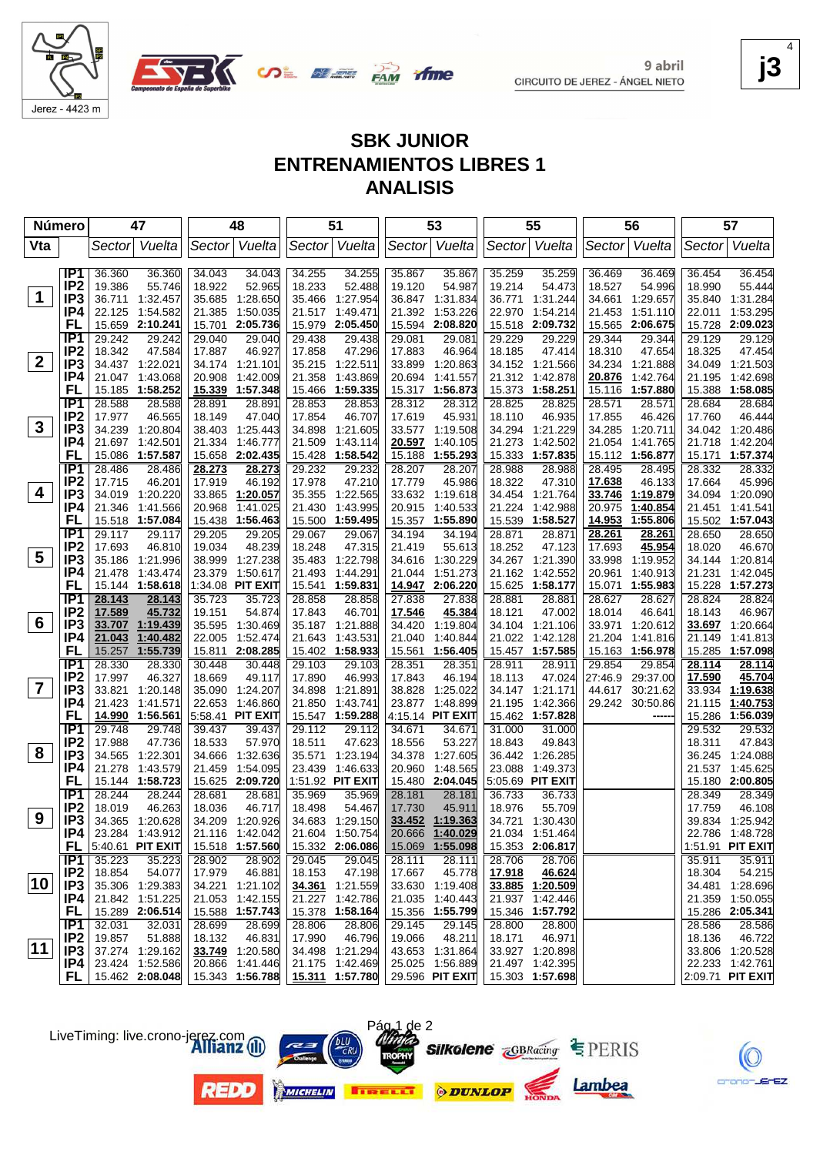

9 abril CIRCUITO DE JEREZ - ÁNGEL NIETO **j3** 4

EZ.

# **SBK JUNIOR ENTRENAMIENTOS LIBRES 1 ANALISIS**

|              | Número                             | 47                                       | 48                                    | 51                                       | 53                                                     | 55                                    | 56                                       | 57                                       |
|--------------|------------------------------------|------------------------------------------|---------------------------------------|------------------------------------------|--------------------------------------------------------|---------------------------------------|------------------------------------------|------------------------------------------|
| Vta          |                                    | Vuelta<br>Sector                         | Vuelta<br>Sector                      | Sector Vuelta                            | Vuelta<br>Sector                                       | Sector Vuelta                         | Vuelta<br> Sector                        | Vuelta<br>Sector                         |
|              |                                    |                                          |                                       |                                          |                                                        |                                       |                                          |                                          |
|              | IP <sub>1</sub><br>IP <sub>2</sub> | 36.360<br>36.360<br>19.386<br>55.746     | 34.043<br>34.043<br>52.965<br>18.922  | 34.255<br>34.255<br>52.488<br>18.233     | 35.867<br>35.867<br>19.120<br>54.987                   | 35.259<br>35.259<br>19.214<br>54.473  | 36.469<br>36.469<br>18.527<br>54.996     | 36.454<br>36.454<br>55.444<br>18.990     |
| $\mathbf 1$  | IP <sub>3</sub>                    | 1:32.457<br>36.711                       | 35.685 1:28.650                       | 1:27.954<br>35.466                       | 36.847<br>1:31.834                                     | 36.771<br>1:31.244                    | 34.661<br>1:29.657                       | 35.840<br>1:31.284                       |
|              | IP4                                | 22.125<br>1:54.582                       | 21.385<br>1:50.035                    | 1:49.471<br>21.517                       | 21.392<br>1:53.226                                     | 22.970<br>1:54.214                    | 1:51.110<br>21.453                       | 1:53.295<br>22.011                       |
|              | FL                                 | 15.659<br>2:10.241                       | 15.701<br>2:05.736                    | 15.979<br>2:05.450                       | 15.594<br>2:08.820                                     | 15.518<br>2:09.732                    | 15.565<br>2:06.675                       | 15.728 2:09.023                          |
|              | IP <sub>1</sub>                    | 29.242<br>29.242                         | 29.040<br>29.040                      | 29.438<br>29.438                         | 29.081<br>29.081                                       | 29.229<br>29.229                      | 29.344<br>29.344                         | 29.129<br>29.129                         |
|              | IP <sub>2</sub>                    | 18.342<br>47.584                         | 46.927<br>17.887                      | 47.296<br>17.858                         | 17.883<br>46.964                                       | 18.185<br>47.414                      | 18.310<br>47.654                         | 18.325<br>47.454                         |
| $\mathbf{2}$ | IP <sub>3</sub>                    | 34.437 1:22.021                          | 34.174 1:21.101                       | 35.215<br>1.22.511                       | 33.899<br>1:20.863                                     | 34.152 1:21.566                       | 34.234<br>1:21.888                       | 34.049 1:21.503                          |
|              | IP4                                | 21.047<br>1:43.068                       | 20.908<br>1:42.009                    | 21.358<br>1:43.869                       | 20.694<br>1:41.557                                     | 21.312<br>1:42.878                    | 20.876<br>1:42.764                       | 21.195<br>1:42.698                       |
|              | FL                                 | 15.185<br>1:58.252                       | 15.339 1:57.348                       | 15.466<br>1:59.335                       | 15.317<br>1:56.873                                     | 15.373<br>1:58.251                    | 15.116<br>1:57.880                       | 15.388<br>1:58.085                       |
|              | IP1                                | 28.588<br>28.588                         | 28.891<br>28.891                      | 28.853<br>28.853                         | 28.312<br>28.312                                       | 28.825<br>28.825                      | 28.571<br>28.571                         | 28.684<br>28.684                         |
|              | IP <sub>2</sub>                    | 17.977<br>46.565                         | 18.149<br>47.040                      | 17.854<br>46.707                         | 17.619<br>45.931                                       | 18.110<br>46.935                      | 17.855<br>46.426                         | 17.760<br>46.444                         |
| 3            | IP3                                | 34.239<br>1:20.804                       | 38.403 1:25.443                       | 34.898<br>1:21.605                       | 33.577<br>1:19.508                                     | 34.294<br>1:21.229                    | 34.285 1:20.711                          | 34.042 1:20.486                          |
|              | IP4                                | 21.697<br>1:42.501                       | 21.334 1:46.777                       | 21.509<br>1:43.114                       | 20.597<br>1:40.105                                     | 21.273<br>1:42.502                    | 21.054<br>1:41.765                       | 21.718<br>1:42.204                       |
|              | FL                                 | 15.086<br>1:57.587                       | 15.658 2:02.435                       | 15.428<br>1:58.542                       | 1:55.293<br>15.188                                     | 15.333<br>1:57.835                    | 15.112 1:56.877                          | 15.171<br>1:57.374                       |
|              | IP1                                | 28.486<br>28.486                         | <u>28.273</u><br>28.273               | 29.232<br>29.232                         | 28.207<br>28.207                                       | 28.988<br>28.988                      | 28.495<br>28.495                         | 28.332<br>28.332                         |
| 4            | IP <sub>2</sub>                    | 17.715<br>46.201                         | 17.919<br>46.192                      | 17.978<br>47.210                         | 17.779<br>45.986                                       | 18.322<br>47.310                      | 17.638<br>46.133                         | 17.664<br>45.996                         |
|              | IP <sub>3</sub><br>IP4             | 34.019<br>1:20.220<br>1:41.566<br>21.346 | 33.865 1:20.057<br>1:41.025<br>20.968 | 35.355 1:22.565<br>1:43.995<br>21.430    | 33.632 1:19.618<br>20.915<br>1:40.533                  | 34.454 1:21.764<br>1:42.988<br>21.224 | 33.746<br>1:19.879<br>20.975<br>1:40.854 | 34.094 1:20.090<br>1:41.541<br>21.451    |
|              | FL                                 | 15.518 1:57.084                          | 15.438 1:56.463                       | 15.500 1:59.495                          | 1:55.890<br>15.357                                     | 15.539<br>1:58.527                    | 14.953<br>1:55.806                       | 15.502 1:57.043                          |
|              | IP <sub>1</sub>                    | 29.117<br>29.117                         | 29.205<br>29.205                      | 29.067<br>29.067                         | 34.194<br>34.194                                       | 28.871<br>28.871                      | 28.261<br>28.261                         | 28.650<br>28.650                         |
|              | IP <sub>2</sub>                    | 17.693<br>46.810                         | 19.034<br>48.239                      | 18.248<br>47.315                         | 21.419<br>55.613                                       | 18.252<br>47.123                      | 45.954<br>17.693                         | 18.020<br>46.670                         |
| 5            | IP <sub>3</sub>                    | 35.186<br>1:21.996                       | 38.999 1:27.238                       | 35.483 1:22.798                          | 34.616<br>1:30.229                                     | 34.267 1:21.390                       | 33.998<br>1:19.952                       | 34.144 1:20.814                          |
|              | IP4                                | 21.478<br>1:43.474                       | 23.379<br>1:50.617                    | 21.493<br>1:44.291                       | 21.044<br>1:51.273                                     | 21.162<br>1:42.552                    | 20.961<br>1:40.913                       | 21.231<br>1:42.045                       |
|              | FL                                 | 15.144 1:58.618                          | 1:34.08 PIT EXIT                      | 15.541 1:59.831                          | 14.947<br>2:06.220                                     | 15.625 1:58.177                       | 15.071<br>1:55.983                       | 15.228 1:57.273                          |
|              | IP1                                | 28.143<br>28.143                         | 35.723<br>35.723                      | 28.858<br>28.858                         | 27.838<br>27.838                                       | 28.881<br>28.881                      | 28.627<br>28.627                         | 28.824<br>28.824                         |
|              | IP <sub>2</sub>                    | 17.589<br>45.732                         | 19.151<br>54.874                      | 17.843<br>46.701                         | 17.546<br>45.384                                       | 18.121<br>47.002                      | 18.014<br>46.641                         | 18.143<br>46.967                         |
| 6            | IP <sub>3</sub>                    | 33.707<br>1:19.439                       | 35.595 1:30.469                       | 35.187 1:21.888                          | 34.420<br>1:19.804                                     | 34.104<br>1:21.106                    | 33.971<br>1:20.612                       | <b>33.697</b> 1:20.664                   |
|              | IP4                                | 21.043<br>1:40.482                       | 22.005<br>1:52.474                    | 21.643<br>1:43.531                       | 1:40.844<br>21.040                                     | 21.022<br>1:42.128                    | 21.204<br>1:41.816                       | 1:41.813<br>21.149                       |
|              | FL                                 | 15.257<br>1:55.739                       | 15.811 2:08.285                       | 15.402 1:58.933                          | 15.561<br>1:56.405                                     | 15.457 1:57.585                       | 15.163<br>1:56.978                       | 15.285<br>1:57.098                       |
|              | IP1                                | 28.330<br>28.330                         | 30.448<br>30.448                      | 29.103<br>29.103                         | 28.351<br>28.351                                       | 28.911<br>28.911                      | 29.854<br>29.854                         | 28.114<br>28.114                         |
| 7            | IP <sub>2</sub>                    | 17.997<br>46.327                         | 18.669<br>49.117                      | 46.993<br>17.890                         | 17.843<br>46.194                                       | 18.113<br>47.024                      | 27:46.9<br>29:37.00                      | 45.704<br>17.590                         |
|              | IP <sub>3</sub><br>IP4             | 33.821<br>1:20.148<br>21.423<br>1:41.571 | 35.090 1:24.207<br>22.653 1:46.860    | 34.898<br>1:21.891<br>21.850<br>1:43.741 | 38.828<br>1:25.022<br>23.877<br>1:48.899               | 34.147 1:21.171<br>21.195<br>1:42.366 | 44.617<br>30:21.62<br>29.242 30:50.86    | 33.934<br>1:19.638<br>21.115<br>1:40.753 |
|              | FL                                 | 14.990<br>1:56.561                       | 5:58.41 <b>PIT EXIT</b>               | 15.547 1:59.288                          | 4:15.14 PIT EXIT                                       | 15.462 1:57.828                       |                                          | 15.286<br>1:56.039                       |
|              | IP1                                | 29.748<br>29.748                         | 39.437<br>39.437                      | 29.112<br>29.112                         | 34.671<br>34.671                                       | 31.000<br>31.000                      |                                          | 29.532<br>29.532                         |
|              | IP <sub>2</sub>                    | 17.988<br>47.736                         | 18.533<br>57.970                      | 18.511<br>47.623                         | 18.556<br>53.227                                       | 18.843<br>49.843                      |                                          | 47.843<br>18.311                         |
| 8            | IP <sub>3</sub>                    | 34.565<br>1:22.301                       | 34.666<br>1:32.636                    | 35.571<br>1:23.194                       | 34.378<br>1:27.605                                     | 36.442 1:26.285                       |                                          | 36.245 1:24.088                          |
|              | IP4                                | 21.278<br>1:43.579                       | 21.459<br>1:54.095                    | 23.439<br>1:46.633                       | 20.960<br>1:48.565                                     | 23.088<br>1:49.373                    |                                          | 21.537 1:45.625                          |
|              | FL                                 | 15.144 1:58.723                          | 15.625 2:09.720                       | 1:51.92 PIT EXIT                         | 15.480<br>2:04.045                                     | 5:05.69 PIT EXIT                      |                                          | 15.180 2:00.805                          |
|              | IP <sub>1</sub>                    | 28.244<br>28.244                         | 28.681<br>28.681                      | 35.969<br>35.969                         | 28.181<br>28.181                                       | 36.733<br>36.733                      |                                          | 28.349<br>28.349                         |
|              | IP <sub>2</sub>                    | 18.019<br>46.263                         | 18.036<br>46.717                      | 54.467<br>18.498                         | 17.730<br>45.911                                       | 18.976<br>55.709                      |                                          | 17.759<br>46.108                         |
| 9            | IP <sub>3</sub>                    | 34.365 1:20.628                          | 34.209 1:20.926                       | 34.683 1:29.150                          | 33.452<br>1:19.363                                     | 34.721 1:30.430                       |                                          | 39.834 1:25.942                          |
|              | IP4                                | 23.284 1:43.912                          | 21.116 1:42.042                       | 21.604 1:50.754                          | 20.666<br>1:40.029                                     | 21.034 1:51.464                       |                                          | 22.786 1:48.728                          |
|              |                                    | <b>FL</b> $ 5:40.61$ PIT EXIT            | 15.518 1:57.560                       | 15.332 2:06.086                          | 15.069 1:55.098                                        | 15.353 2:06.817                       |                                          | 1:51.91 PIT EXIT                         |
|              | IP1                                | 35.223<br>35.223                         | 28.902<br>28.902                      | 29.045<br>29.045                         | 28.111<br>28.111                                       | 28.706<br>28.706                      |                                          | 35.911<br>35.911                         |
| 10           | IP <sub>2</sub>                    | 18.854<br>54.077                         | 17.979<br>46.881                      | 18.153<br>47.198                         | 17.667<br>45.778                                       | 17.918<br>46.624<br>33.885 1:20.509   |                                          | 18.304<br>54.215                         |
|              | IP <sub>3</sub><br>IP4             | 35.306 1:29.383<br>21.842 1:51.225       | 34.221 1:21.102<br>21.053 1:42.155    | 34.361 1:21.559<br>21.227 1:42.786       | 33.630 1:19.408<br>21.035 1:40.443                     | 21.937 1:42.446                       |                                          | 34.481 1:28.696<br>21.359 1:50.055       |
|              | <b>FL</b>                          | 15.289 2:06.514                          | 15.588 1:57.743                       | 15.378 1:58.164                          | 15.356 1:55.799                                        | 15.346 1:57.792                       |                                          | 15.286 2:05.341                          |
|              | IP1                                | 32.031<br>32.031                         | 28.699<br>28.699                      | 28.806<br>28.806                         | 29.145<br>29.145                                       | 28.800<br>28.800                      |                                          | 28.586<br>28.586                         |
|              | IP <sub>2</sub>                    | 19.857<br>51.888                         | 18.132<br>46.831                      | 46.796<br>17.990                         | 48.211<br>19.066                                       | 18.171<br>46.971                      |                                          | 18.136<br>46.722                         |
| 11           | IP3                                | 37.274 1:29.162                          | 33.749 1:20.580                       | 34.498 1:21.294                          | 43.653 1:31.864                                        | 33.927 1:20.898                       |                                          | 33.806 1:20.528                          |
|              | IP4                                | 23.424 1:52.586                          | 20.866 1:41.446                       | 21.175 1:42.469                          | 25.025 1:56.889                                        | 21.497 1:42.395                       |                                          | 22.233 1:42.761                          |
|              |                                    | FL   $15.462$ 2:08.048                   | 15.343 1:56.788                       |                                          | 15.311  1:57.780   29.596  PIT EXIT   15.303  1:57.698 |                                       |                                          | 2:09.71 PIT EXIT                         |

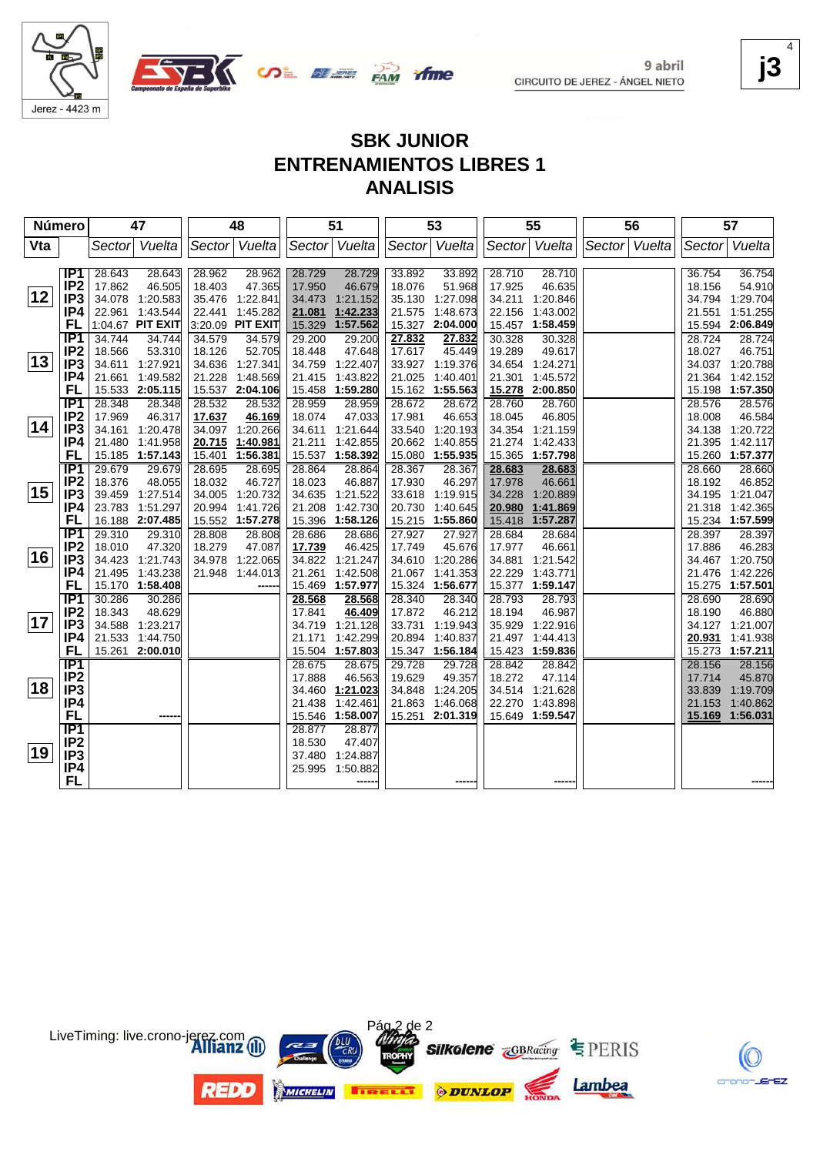

9 abril CIRCUITO DE JEREZ - ÁNGEL NIETO **j3** 4

crano-JErEZ

# **SBK JUNIOR ENTRENAMIENTOS LIBRES 1 ANALISIS**

| Número |                        |                  | 47                   |        | 48               |                  | 51                   |                  | 53                   |                  | 55                   | 56            |                  | 57                   |
|--------|------------------------|------------------|----------------------|--------|------------------|------------------|----------------------|------------------|----------------------|------------------|----------------------|---------------|------------------|----------------------|
| Vta    |                        | Sector           | Vuelta               |        | Sector Vuelta    |                  | Sector Vuelta        | Sector           | Vuelta               |                  | Sector Vuelta        | Sector Vuelta | Sector           | Vuelta               |
|        |                        |                  |                      |        |                  |                  |                      |                  |                      |                  |                      |               |                  |                      |
|        | IP1                    | 28.643           | 28.643               | 28.962 | 28.962           | 28.729           | 28.729               | 33.892           | 33.892               | 28.710           | 28.710               |               | 36.754           | 36.754               |
|        | IP <sub>2</sub>        | 17.862           | 46.505               | 18.403 | 47.365           | 17.950           | 46.679               | 18.076           | 51.968               | 17.925           | 46.635               |               | 18.156           | 54.910               |
| 12     | IP <sub>3</sub>        | 34.078           | 1:20.583             |        | 35.476 1:22.841  | 34.473           | 1:21.152             | 35.130           | 1:27.098             | 34.211           | 1:20.846             |               | 34.794           | 1:29.704             |
|        | IP4                    | 22.961           | 1:43.544             | 22.441 | 1:45.282         | 21.081           | 1:42.233             | 21.575           | 1:48.673             | 22.156           | 1:43.002             |               | 21.551           | 1:51.255             |
|        | <b>FL</b>              |                  | 1:04.67 PIT EXIT     |        | 3:20.09 PIT EXIT | 15.329           | 1:57.562             | 15.327           | 2:04.000             | 15.457           | 1:58.459             |               |                  | 15.594 2:06.849      |
|        | IP <sub>1</sub>        | 34.744           | 34.744               | 34.579 | 34.579           | 29.200           | 29.200               | 27.832           | 27.832               | 30.328           | 30.328               |               | 28.724           | 28.724               |
|        | IP <sub>2</sub>        | 18.566           | 53.310               | 18.126 | 52.705           | 18.448           | 47.648               | 17.617           | 45.449               | 19.289           | 49.617               |               | 18.027           | 46.751               |
| 13     | IP <sub>3</sub>        | 34.611           | 1:27.921             | 34.636 | 1:27.341         | 34.759           | 1:22.407             | 33.927           | 1:19.376             |                  | 34.654 1:24.271      |               | 34.037           | 1:20.788             |
|        | IP4                    | 21.661           | 1:49.582             | 21.228 | 1:48.569         | 21.415           | 1:43.822             | 21.025           | 1:40.401             | 21.301           | 1:45.572             |               | 21.364           | 1:42.152             |
|        | FL                     |                  | 15.533 2:05.115      |        | 15.537 2:04.106  | 15.458           | 1:59.280             | 15.162           | 1:55.563             |                  | 15.278 2:00.850      |               |                  | 15.198 1:57.350      |
|        | $\overline{IP1}$       | 28.348           | 28.348               | 28.532 | 28.532           | 28.959           | 28.959               | 28.672           | 28.672               | 28.760           | 28.760               |               | 28.576           | 28.576               |
|        | IP <sub>2</sub>        | 17.969           | 46.317               | 17.637 | 46.169           | 18.074           | 47.033               | 17.981           | 46.653               | 18.045           | 46.805               |               | 18.008           | 46.584               |
| 14     | IP <sub>3</sub>        | 34.161           | 1:20.478             | 34.097 | 1:20.266         | 34.611           | 1:21.644             | 33.540           | 1:20.193             |                  | 34.354 1:21.159      |               | 34.138           | 1:20.722             |
|        | IP4                    | 21.480           | 1:41.958             | 20.715 | 1:40.981         | 21.211           | 1:42.855             | 20.662           | 1:40.855             | 21.274           | 1:42.433             |               | 21.395           | 1:42.117             |
|        | <b>FL</b>              |                  | 15.185 1:57.143      | 15.401 | 1:56.381         | 15.537           | 1:58.392             | 15.080           | 1:55.935             | 15.365           | 1:57.798             |               |                  | 15.260 1:57.377      |
|        | <b>IP1</b>             | 29.679           | 29.679               | 28.695 | 28.695           | 28.864           | 28.864               | 28.367           | 28.367               | 28.683           | 28.683               |               | 28.660           | 28.660               |
|        | IP <sub>2</sub>        | 18.376           | 48.055               | 18.032 | 46.727           | 18.023           | 46.887               | 17.930           | 46.297               | 17.978           | 46.661               |               | 18.192           | 46.852               |
| 15     | IP <sub>3</sub>        | 39.459           | 1:27.514             | 34.005 | 1:20.732         | 34.635           | 1:21.522             | 33.618           | 1:19.915             | 34.228           | 1:20.889             |               | 34.195           | 1:21.047             |
|        | IP4                    | 23.783           | 1:51.297             | 20.994 | 1:41.726         | 21.208           | 1:42.730             | 20.730           | 1:40.645             | 20.980           | 1:41.869             |               | 21.318           | 1:42.365             |
|        | FL                     |                  | 16.188 2:07.485      |        | 15.552 1:57.278  | 15.396           | 1:58.126             | 15.215           | 1:55.860             | 15.418           | 1:57.287             |               |                  | 15.234 1:57.599      |
|        | $\overline{IP1}$       | 29.310           | 29.310               | 28.808 | 28.808           | 28.686           | 28.686               | 27.927           | 27.927               | 28.684           | 28.684               |               | 28.397           | 28.397               |
|        | IP <sub>2</sub>        | 18.010           | 47.320               | 18.279 | 47.087           | 17.739           | 46.425               | 17.749           | 45.676               | 17.977           | 46.661               |               | 17.886           | 46.283               |
| 16     | IP <sub>3</sub>        | 34.423           | 1:21.743             | 34.978 | 1:22.065         | 34.822           | 1:21.247             | 34.610           | 1:20.286             | 34.881           | 1:21.542             |               |                  | 34.467 1:20.750      |
|        | IP4                    | 21.495           | 1:43.238             | 21.948 | 1:44.013         | 21.261           | 1:42.508             | 21.067           | 1:41.353             | 22.229           | 1:43.771             |               | 21.476           | 1:42.226             |
|        | FL                     |                  | 15.170 1:58.408      |        |                  | 15.469           | 1:57.977             | 15.324           | 1:56.677             |                  | 15.377 1:59.147      |               |                  | 15.275 1:57.501      |
|        | $\overline{IP1}$       | 30.286           | 30.286               |        |                  | 28.568           | 28.568               | 28.340           | 28.340               | 28.793           | 28.793               |               | 28.690           | 28.690               |
| 17     | IP <sub>2</sub>        | 18.343           | 48.629               |        |                  | 17.841           | 46.409               | 17.872           | 46.212               | 18.194           | 46.987               |               | 18.190           | 46.880               |
|        | IP <sub>3</sub><br>IP4 | 34.588<br>21.533 | 1:23.217<br>1:44.750 |        |                  | 34.719<br>21.171 | 1:21.128<br>1:42.299 | 33.731<br>20.894 | 1:19.943<br>1:40.837 | 35.929<br>21.497 | 1:22.916<br>1:44.413 |               |                  | 34.127 1:21.007      |
|        | FL                     |                  | 15.261 2:00.010      |        |                  | 15.504           | 1:57.803             | 15.347           | 1:56.184             | 15.423           | 1:59.836             |               | 20.931<br>15.273 | 1:41.938<br>1:57.211 |
|        | <b>IP1</b>             |                  |                      |        |                  | 28.675           |                      | 29.728           |                      | 28.842           | 28.842               |               |                  |                      |
|        | IP <sub>2</sub>        |                  |                      |        |                  | 17.888           | 28.675<br>46.563     | 19.629           | 29.728<br>49.357     | 18.272           | 47.114               |               | 28.156<br>17.714 | 28.156<br>45.870     |
| 18     | IP <sub>3</sub>        |                  |                      |        |                  | 34.460           | 1:21.023             | 34.848           | 1:24.205             |                  | 34.514 1:21.628      |               | 33.839           | 1:19.709             |
|        | IP4                    |                  |                      |        |                  | 21.438           | 1:42.461             | 21.863           | 1:46.068             | 22.270           | 1:43.898             |               | 21.153           | 1:40.862             |
|        | <b>FL</b>              |                  |                      |        |                  | 15.546           | 1:58.007             | 15.251           | 2:01.319             |                  | 15.649 1:59.547      |               |                  | 15.169 1:56.031      |
|        | IP1                    |                  |                      |        |                  | 28.877           | 28.877               |                  |                      |                  |                      |               |                  |                      |
|        | IP <sub>2</sub>        |                  |                      |        |                  | 18.530           | 47.407               |                  |                      |                  |                      |               |                  |                      |
| 19     | IP <sub>3</sub>        |                  |                      |        |                  | 37.480           | 1:24.887             |                  |                      |                  |                      |               |                  |                      |
|        | IP4                    |                  |                      |        |                  | 25.995           | 1:50.882             |                  |                      |                  |                      |               |                  |                      |
|        | <b>FL</b>              |                  |                      |        |                  |                  |                      |                  |                      |                  |                      |               |                  |                      |
|        |                        |                  |                      |        |                  |                  |                      |                  |                      |                  |                      |               |                  |                      |



LiveTiming: live.crono-jerez.com

**REDD**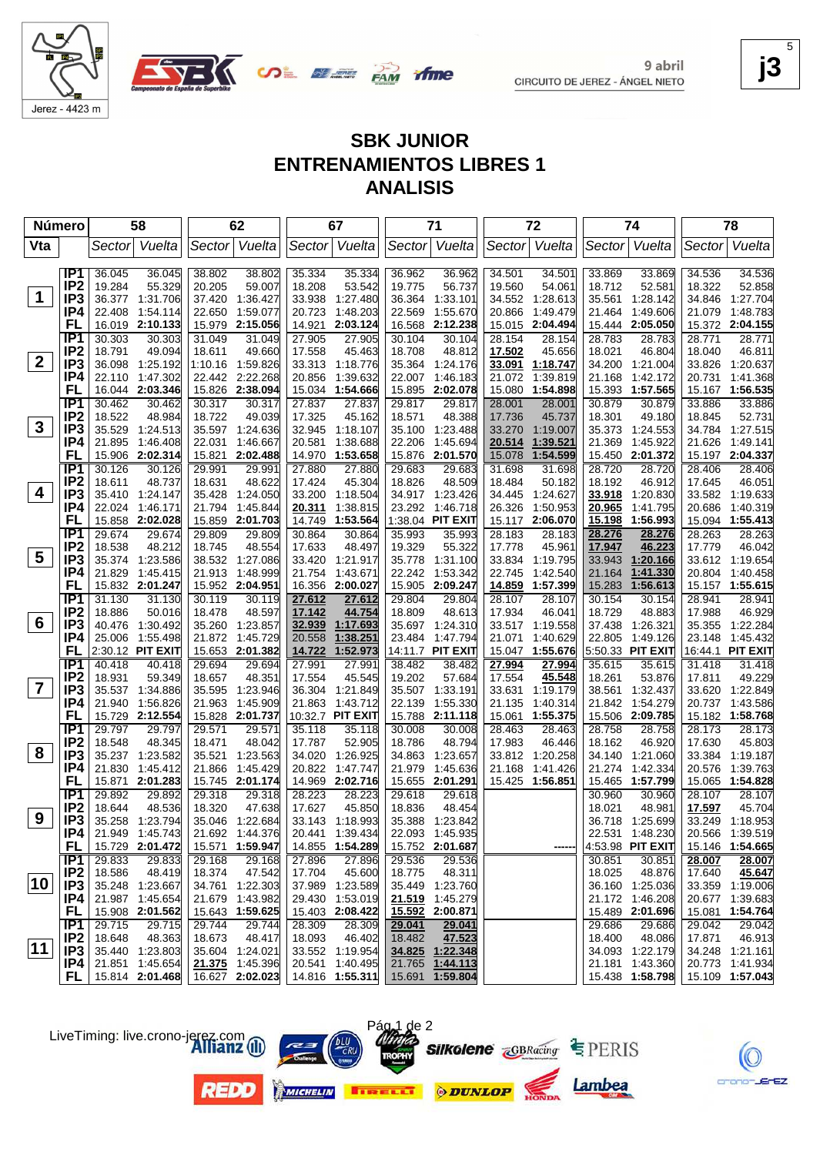

9 abril CIRCUITO DE JEREZ - ÁNGEL NIETO **j3** 5

# **SBK JUNIOR ENTRENAMIENTOS LIBRES 1 ANALISIS**

| <b>Número</b>  |                                    | 58               |                           | 62               |                                    | 67               |                           | 71               |                             | 72               |                      | 74               |                           | 78               |                             |
|----------------|------------------------------------|------------------|---------------------------|------------------|------------------------------------|------------------|---------------------------|------------------|-----------------------------|------------------|----------------------|------------------|---------------------------|------------------|-----------------------------|
| Vta            |                                    | Sector           | Vuelta                    |                  | Sector Vuelta                      |                  | Sector Vuelta             |                  | Sector Vuelta               |                  | Sector Vuelta        | Sector           | Vuelta                    | Sector           | Vuelta                      |
|                |                                    |                  |                           |                  |                                    |                  |                           |                  |                             |                  |                      |                  |                           |                  |                             |
|                | IP1                                | 36.045           | 36.045                    | 38.802           | 38.802                             | 35.334           | 35.334                    | 36.962           | 36.962                      | 34.501           | 34.501               | 33.869           | 33.869                    | 34.536           | 34.536                      |
| $\mathbf 1$    | IP <sub>2</sub>                    | 19.284           | 55.329                    | 20.205           | 59.007                             | 18.208           | 53.542                    | 19.775           | 56.737                      | 19.560           | 54.061               | 18.712           | 52.581                    | 18.322           | 52.858                      |
|                | IP3                                |                  | 36.377 1:31.706           | 37.420           | 1:36.427                           | 33.938           | 1:27.480                  | 36.364           | 1:33.101                    | 34.552           | 1:28.613             | 35.561           | 1:28.142                  | 34.846           | 1:27.704                    |
|                | IP4                                | 22.408           | 1:54.114                  | 22.650           | 1:59.077                           | 20.723           | 1:48.203                  | 22.569           | 1:55.670                    | 20.866           | 1:49.479             | 21.464           | 1:49.606                  | 21.079           | 1:48.783                    |
|                | <b>FL</b>                          | 16.019           | 2:10.133                  |                  | 15.979 2:15.056                    | 14.921           | 2:03.124                  | 16.568           | 2:12.238                    | 15.015           | 2:04.494             | 15.444           | 2:05.050                  |                  | 15.372 2:04.155             |
|                | IP <sub>1</sub>                    | 30.303           | 30.303                    | 31.049           | 31.049                             | 27.905           | 27.905                    | 30.104           | 30.104                      | 28.154           | 28.154               | 28.783           | 28.783                    | 28.771           | 28.771                      |
| $\mathbf{2}$   | IP <sub>2</sub>                    | 18.791           | 49.094                    | 18.611           | 49.660                             | 17.558           | 45.463                    | 18.708           | 48.812                      | 17.502           | 45.656               | 18.021           | 46.804                    | 18.040           | 46.811                      |
|                | IP3                                | 36.098           | 1:25.192                  |                  | 1:10.16 1:59.826                   |                  | 33.313 1:18.776           | 35.364           | 1:24.176                    | 33.091           | 1:18.747             |                  | 34.200 1:21.004           | 33.826           | 1:20.637                    |
|                | IP4<br>FL                          | 22.110<br>16.044 | 1:47.302<br>2:03.346      |                  | 22.442 2:22.268<br>15.826 2:38.094 | 20.856<br>15.034 | 1:39.632<br>1:54.666      | 22.007<br>15.895 | 1:46.183<br>2:02.078        | 21.072           | 1:39.819<br>1:54.898 | 21.168<br>15.393 | 1:42.172<br>1:57.565      | 20.731           | 1:41.368<br>15.167 1:56.535 |
|                | TP <sub>1</sub>                    |                  |                           |                  |                                    |                  |                           | 29.817           |                             | 15.080           |                      |                  |                           |                  |                             |
|                | IP <sub>2</sub>                    | 30.462           | 30.462<br>48.984          | 30.317           | 30.317                             | 27.837           | 27.837                    |                  | 29.817                      | 28.001           | 28.001               | 30.879           | 30.879                    | 33.886<br>18.845 | 33.886                      |
| $\mathbf{3}$   | IP3                                | 18.522<br>35.529 | 1:24.513                  | 18.722           | 49.039<br>35.597 1:24.636          | 17.325<br>32.945 | 45.162<br>1:18.107        | 18.571<br>35.100 | 48.388<br>1:23.488          | 17.736<br>33.270 | 45.737<br>1:19.007   | 18.301           | 49.180<br>35.373 1:24.553 |                  | 52.731<br>34.784 1:27.515   |
|                | IP4                                | 21.895           | 1:46.408                  | 22.031           | 1:46.667                           | 20.581           | 1:38.688                  | 22.206           | 1:45.694                    | 20.514           | 1:39.521             | 21.369           | 1:45.922                  | 21.626           | 1:49.141                    |
|                | FL                                 | 15.906           | 2:02.314                  | 15.821           | 2:02.488                           | 14.970           | 1:53.658                  | 15.876           | 2:01.570                    | 15.078           | 1:54.599             |                  | 15.450 2:01.372           |                  | 15.197 2:04.337             |
|                | IP <sub>1</sub>                    | 30.126           | 30.126                    | 29.991           | 29.991                             | 27.880           | 27.880                    | 29.683           | 29.683                      | 31.698           | 31.698               | 28.720           | 28.720                    | 28.406           | 28.406                      |
|                | IP <sub>2</sub>                    | 18.611           | 48.737                    | 18.631           | 48.622                             | 17.424           | 45.304                    | 18.826           | 48.509                      | 18.484           | 50.182               | 18.192           | 46.912                    | 17.645           | 46.051                      |
| 4              | IP3                                | 35.410           | 1:24.147                  | 35.428           | 1:24.050                           | 33.200           | 1:18.504                  | 34.917           | 1:23.426                    | 34.445           | 1:24.627             | 33.918           | 1:20.830                  |                  | 33.582 1:19.633             |
|                | IP4                                | 22.024           | 1:46.171                  | 21.794           | 1:45.844                           | 20.311           | 1:38.815                  | 23.292           | 1:46.718                    | 26.326           | 1:50.953             | 20.965           | 1:41.795                  | 20.686           | 1:40.319                    |
|                | FL                                 |                  | 15.858 2:02.028           |                  | 15.859 2:01.703                    | 14.749           | 1:53.564                  |                  | 1:38.04 PIT EXIT            | 15.117           | 2:06.070             | 15.198           | 1:56.993                  |                  | 15.094 1:55.413             |
|                | IP <sub>1</sub>                    | 29.674           | 29.674                    | 29.809           | 29.809                             | 30.864           | 30.864                    | 35.993           | 35.993                      | 28.183           | 28.183               | 28.276           | 28.276                    | 28.263           | 28.263                      |
|                | IP <sub>2</sub>                    | 18.538           | 48.212                    | 18.745           | 48.554                             | 17.633           | 48.497                    | 19.329           | 55.322                      | 17.778           | 45.961               | 17.947           | 46.223                    | 17.779           | 46.042                      |
| 5              | IP <sub>3</sub>                    | 35.374           | 1:23.586                  |                  | 38.532 1:27.086                    | 33.420           | 1:21.917                  | 35.778           | 1:31.100                    | 33.834           | 1:19.795             | 33.943           | 1:20.166                  |                  | 33.612 1:19.654             |
|                | IP4                                | 21.829           | 1:45.415                  | 21.913           | 1:48.999                           | 21.754           | 1:43.671                  | 22.242           | 1:53.342                    | 22.745           | 1:42.540             | 21.164           | 1:41.330                  | 20.804           | 1:40.458                    |
|                | FL                                 |                  | 15.832 2:01.247           |                  | 15.952 2:04.951                    | 16.356           | 2:00.027                  | 15.905           | 2:09.247                    |                  | 14.859 1:57.399      | 15.283           | 1:56.613                  |                  | 15.157 1:55.615             |
|                | IP <sub>1</sub>                    | 31.130           | 31.130                    | 30.119           | 30.119                             | 27.612           | 27.612                    | 29.804           | 29.804                      | 28.107           | 28.107               | 30.154           | 30.154                    | 28.941           | 28.941                      |
|                | IP <sub>2</sub>                    | 18.886           | 50.016                    | 18.478           | 48.597                             | 17.142           | 44.754                    | 18.809           | 48.613                      | 17.934           | 46.041               | 18.729           | 48.883                    | 17.988           | 46.929                      |
| 6              | IP <sub>3</sub>                    | 40.476           | 1:30.492                  |                  | 35.260 1:23.857                    | 32.939           | 1:17.693                  | 35.697           | 1:24.310                    | 33.517           | 1:19.558             | 37.438           | 1:26.321                  |                  | 35.355 1:22.284             |
|                | IP4                                | 25.006           | 1.55.498                  |                  | 21.872 1:45.729                    | 20.558           | 1:38.251                  | 23.484           | 1:47.794                    | 21.071           | 1:40.629             | 22.805           | 1:49.126                  | 23.148           | 1:45.432                    |
|                | FL<br>TP1                          |                  | 2:30.12 PIT EXIT          |                  | 15.653 2:01.382                    | 14.722           | 1:52.973                  |                  | 14:11.7 PIT EXIT            | 15.047           | 1:55.676             |                  | 5:50.33 PIT EXIT          |                  | 16:44.1 PIT EXIT            |
|                | IP <sub>2</sub>                    | 40.418<br>18.931 | 40.418<br>59.349          | 29.694<br>18.657 | 29.694<br>48.351                   | 27.991<br>17.554 | 27.991<br>45.545          | 38.482<br>19.202 | 38.482<br>57.684            | 27.994<br>17.554 | 27.994<br>45.548     | 35.615<br>18.261 | 35.615<br>53.876          | 31.418<br>17.811 | 31.418<br>49.229            |
| $\overline{7}$ | IP <sub>3</sub>                    | 35.537           | 1:34.886                  | 35.595           | 1:23.946                           | 36.304           | 1:21.849                  | 35.507           | 1:33.191                    | 33.631           | 1:19.179             | 38.561           | 1:32.437                  | 33.620           | 1:22.849                    |
|                | IP4                                | 21.940           | 1:56.826                  | 21.963           | 1:45.909                           | 21.863           | 1:43.712                  | 22.139           | 1:55.330                    | 21.135           | 1:40.314             | 21.842           | 1:54.279                  |                  | 20.737 1:43.586             |
|                | FL                                 |                  | 15.729 2:12.554           |                  | 15.828 2:01.737                    |                  | 10:32.7 PIT EXIT          | 15.788           | 2:11.118                    | 15.061           | 1:55.375             |                  | 15.506 2:09.785           |                  | 15.182 1:58.768             |
|                | IP1                                | 29.797           | 29.797                    | 29.571           | 29.571                             | 35.118           | 35.118                    | 30.008           | 30.008                      | 28.463           | 28.463               | 28.758           | 28.758                    | 28.173           | 28.173                      |
|                | IP <sub>2</sub>                    | 18.548           | 48.345                    | 18.471           | 48.042                             | 17.787           | 52.905                    | 18.786           | 48.794                      | 17.983           | 46.446               | 18.162           | 46.920                    | 17.630           | 45.803                      |
| 8              | IP <sub>3</sub>                    | 35.237           | 1:23.582                  | 35.521           | 1:23.563                           | 34.020           | 1:26.925                  | 34.863           | 1:23.657                    |                  | 33.812 1:20.258      | 34.140           | 1:21.060                  | 33.384           | 1:19.187                    |
|                | IP4                                | 21.830           | 1:45.412                  | 21.866           | 1:45.429                           | 20.822           | 1:47.747                  | 21.979           | 1:45.636                    | 21.168           | 1:41.426             | 21.274           | 1:42.334                  | 20.576           | 1:39.763                    |
|                | FL                                 |                  | 15.871 2:01.283           |                  | 15.745 2:01.174                    | 14.969           | 2:02.716                  | 15.655           | 2:01.291                    |                  | 15.425 1:56.851      |                  | 15.465 1:57.799           |                  | 15.065 1:54.828             |
|                | IP <sub>1</sub>                    | 29.892           | 29.892                    | 29.318           | 29.318                             | 28.223           | 28.223                    | 29.618           | 29.618                      |                  |                      | 30.960           | 30.960                    | 28.107           | 28.107                      |
|                | IP <sub>2</sub>                    | 18.644           | 48.536                    | 18.320           | 47.638                             | 17.627           | 45.850                    | 18.836           | 48.454                      |                  |                      | 18.021           | 48.981                    | 17.597           | 45.704                      |
| 9              | IP <sub>3</sub>                    |                  | 35.258 1:23.794           |                  | 35.046 1:22.684                    |                  | 33.143 1:18.993           | 35.388           | 1:23.842                    |                  |                      |                  | 36.718 1:25.699           |                  | 33.249 1:18.953             |
|                | IP4                                |                  | 21.949 1:45.743           |                  | 21.692 1:44.376                    |                  | 20.441 1:39.434           |                  | 22.093 1:45.935             |                  |                      |                  | 22.531 1:48.230           |                  | 20.566 1:39.519             |
|                | FL.                                |                  | 15.729 2:01.472           |                  | 15.571 1:59.947                    |                  | 14.855 1:54.289           |                  | 15.752 2:01.687             |                  |                      |                  | 4:53.98 PIT EXIT          |                  | 15.146 1:54.665             |
|                | IP1                                | 29.833           | 29.833                    | 29.168           | 29.168                             | 27.896           | 27.896                    | 29.536           | 29.536                      |                  |                      | 30.851           | 30.851                    | 28.007           | 28.007                      |
| 10             | IP <sub>2</sub><br>IP <sub>3</sub> | 18.586           | 48.419<br>35.248 1:23.667 | 18.374           | 47.542<br>34.761 1:22.303          | 17.704           | 45.600<br>37.989 1:23.589 | 18.775           | 48.311                      |                  |                      | 18.025           | 48.876<br>36.160 1:25.036 | 17.640           | 45.647<br>33.359 1:19.006   |
|                | IP4                                |                  | 21.987 1:45.654           |                  | 21.679 1:43.982                    |                  | 29.430 1:53.019           | 21.519           | 35.449 1:23.760<br>1:45.279 |                  |                      |                  | 21.172 1:46.208           |                  | 20.677 1:39.683             |
|                | <b>FL</b>                          |                  | 15.908 2:01.562           |                  | 15.643 1:59.625                    |                  | 15.403 2:08.422           |                  | 15.592 2:00.871             |                  |                      |                  | 15.489 2:01.696           |                  | 15.081 1:54.764             |
|                | IP1                                | 29.715           | 29.715                    | 29.744           | 29.744                             | 28.309           | 28.309                    | 29.041           | 29.041                      |                  |                      | 29.686           | 29.686                    | 29.042           | 29.042                      |
|                | IP <sub>2</sub>                    | 18.648           | 48.363                    | 18.673           | 48.417                             | 18.093           | 46.402                    | 18.482           | 47.523                      |                  |                      | 18.400           | 48.086                    | 17.871           | 46.913                      |
| $ 11\rangle$   | IP3                                |                  | 35.440 1:23.803           |                  | 35.604 1:24.021                    |                  | 33.552 1:19.954           |                  | 34.825 1:22.348             |                  |                      |                  | 34.093 1:22.179           |                  | 34.248 1:21.161             |
|                | IP4                                |                  | 21.851 1:45.654           |                  | 21.375 1:45.396                    |                  | 20.541 1:40.495           |                  | 21.765 1:44.113             |                  |                      |                  | 21.181 1:43.360           |                  | 20.773 1:41.934             |
|                |                                    |                  | $FL$ 15.814 2:01.468      |                  | 16.627 2:02.023                    |                  | 14.816 1:55.311           |                  | 15.691 1:59.804             |                  |                      |                  | 15.438 1:58.798           |                  | 15.109 1:57.043             |

LiveTiming: live.crono-jerez.com Pág 1 de 2











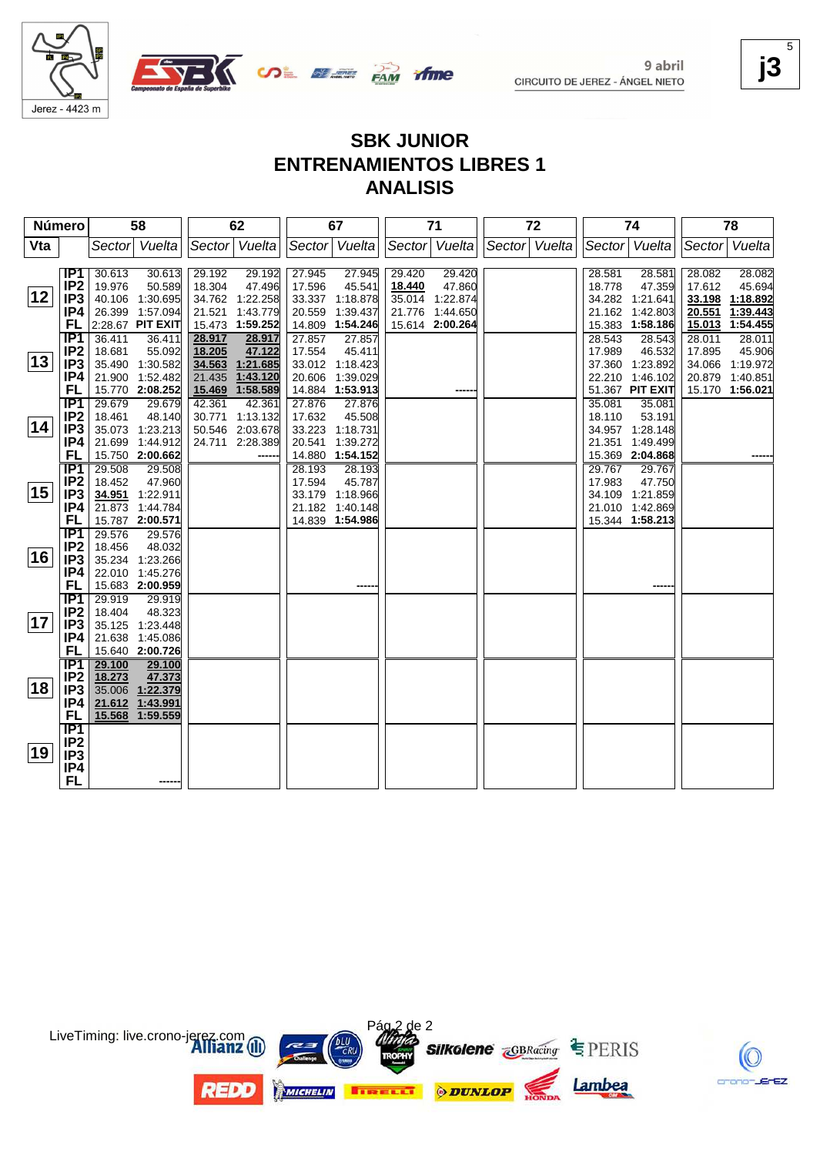

9 abril CIRCUITO DE JEREZ - ÁNGEL NIETO

### **j3** 5

# **SBK JUNIOR ENTRENAMIENTOS LIBRES 1 ANALISIS**

**ifme** 

| Número |                                     | 58               |                                    | 62     |                                    | 67     |                           | 71     |                 | 72            |  | 74     |                           | 78     |                           |
|--------|-------------------------------------|------------------|------------------------------------|--------|------------------------------------|--------|---------------------------|--------|-----------------|---------------|--|--------|---------------------------|--------|---------------------------|
| Vta    |                                     |                  | Sector Vuelta                      |        | Sector Vuelta                      |        | Sector Vuelta             |        | Sector Vuelta   | Sector Vuelta |  |        | Sector Vuelta             |        | Sector Vuelta             |
|        |                                     |                  |                                    |        |                                    |        |                           |        |                 |               |  |        |                           |        |                           |
|        | IP1                                 | 30.613           | 30.613                             | 29.192 | 29.192                             | 27.945 | 27.945                    | 29.420 | 29.420          |               |  | 28.581 | 28.581                    | 28.082 | 28.082                    |
|        | IP <sub>2</sub>                     | 19.976           | 50.589                             | 18.304 | 47.496                             | 17.596 | 45.541                    | 18.440 | 47.860          |               |  | 18.778 | 47.359                    | 17.612 | 45.694                    |
| 12     | IP <sub>3</sub>                     |                  | 40.106 1:30.695                    |        | 34.762 1:22.258                    |        | 33.337 1:18.878           |        | 35.014 1:22.874 |               |  |        | 34.282 1:21.641           | 33.198 | 1:18.892                  |
|        | IP4                                 |                  | 26.399 1:57.094                    |        | 21.521 1:43.779                    | 20.559 | 1:39.437                  | 21.776 | 1:44.650        |               |  |        | 21.162 1:42.803           | 20.551 | 1:39.443                  |
|        | FL                                  |                  | 2:28.67 PIT EXIT                   |        | 15.473 1:59.252                    |        | 14.809 1:54.246           |        | 15.614 2:00.264 |               |  |        | 15.383 1:58.186           |        | 15.013 1:54.455           |
|        | IP1                                 | 36.411           | 36.411                             | 28.917 | 28.917                             | 27.857 | 27.857                    |        |                 |               |  | 28.543 | 28.543                    | 28.011 | 28.011                    |
| 13     | IP <sub>2</sub><br>IP <sub>3</sub>  | 18.681           | 55.092<br>35.490 1:30.582          | 18.205 | 47.122                             | 17.554 | 45.411<br>33.012 1:18.423 |        |                 |               |  | 17.989 | 46.532<br>37.360 1:23.892 | 17.895 | 45.906<br>34.066 1:19.972 |
|        | IP4                                 |                  | 21.900 1:52.482                    |        | 34.563 1:21.685<br>21.435 1:43.120 |        | 20.606 1:39.029           |        |                 |               |  | 22.210 | 1:46.102                  | 20.879 | 1:40.851                  |
|        | FL                                  |                  | 15.770 2:08.252                    |        | 15.469 1:58.589                    |        | 14.884 1:53.913           |        |                 |               |  |        | 51.367 PIT EXIT           |        | 15.170 1:56.021           |
|        | IP1                                 | 29.679           | 29.679                             | 42.361 | 42.361                             | 27.876 | 27.876                    |        |                 |               |  | 35.081 | 35.081                    |        |                           |
|        | IP <sub>2</sub>                     | 18.461           | 48.140                             |        | 30.771 1:13.132                    | 17.632 | 45.508                    |        |                 |               |  | 18.110 | 53.191                    |        |                           |
| 14     | IP <sub>3</sub>                     |                  | 35.073 1:23.213                    |        | 50.546 2:03.678                    |        | 33.223 1:18.731           |        |                 |               |  |        | 34.957 1:28.148           |        |                           |
|        | IP4                                 |                  | 21.699 1:44.912                    |        | 24.711 2:28.389                    | 20.541 | 1:39.272                  |        |                 |               |  | 21.351 | 1:49.499                  |        |                           |
|        | FL                                  |                  | 15.750 2:00.662                    |        |                                    |        | 14.880 1:54.152           |        |                 |               |  |        | 15.369 2:04.868           |        |                           |
|        | TP1                                 | 29.508           | 29.508                             |        |                                    | 28.193 | 28.193                    |        |                 |               |  | 29.767 | 29.767                    |        |                           |
|        | IP <sub>2</sub>                     | 18.452           | 47.960                             |        |                                    | 17.594 | 45.787                    |        |                 |               |  | 17.983 | 47.750                    |        |                           |
| 15     | IP <sub>3</sub>                     | 34.951           | 1:22.911                           |        |                                    |        | 33.179 1:18.966           |        |                 |               |  |        | 34.109 1:21.859           |        |                           |
|        | IP4                                 |                  | 21.873 1:44.784                    |        |                                    |        | 21.182 1:40.148           |        |                 |               |  |        | 21.010 1:42.869           |        |                           |
|        | FL                                  |                  | 15.787 2:00.571                    |        |                                    |        | 14.839 1:54.986           |        |                 |               |  |        | 15.344 1:58.213           |        |                           |
|        | $\overline{IP1}$<br>IP <sub>2</sub> | 29.576<br>18.456 | 29.576<br>48.032                   |        |                                    |        |                           |        |                 |               |  |        |                           |        |                           |
| 16     | IP <sub>3</sub>                     |                  | 35.234 1:23.266                    |        |                                    |        |                           |        |                 |               |  |        |                           |        |                           |
|        | IP4                                 |                  | 22.010 1:45.276                    |        |                                    |        |                           |        |                 |               |  |        |                           |        |                           |
|        | FL                                  |                  | 15.683 2:00.959                    |        |                                    |        |                           |        |                 |               |  |        |                           |        |                           |
|        | IP <sub>1</sub>                     | 29.919           | 29.919                             |        |                                    |        |                           |        |                 |               |  |        |                           |        |                           |
|        | IP <sub>2</sub>                     | 18.404           | 48.323                             |        |                                    |        |                           |        |                 |               |  |        |                           |        |                           |
| 17     | IP <sub>3</sub>                     |                  | 35.125 1:23.448                    |        |                                    |        |                           |        |                 |               |  |        |                           |        |                           |
|        | IP4                                 |                  | 21.638 1:45.086                    |        |                                    |        |                           |        |                 |               |  |        |                           |        |                           |
|        | <b>FL</b>                           |                  | 15.640 2:00.726                    |        |                                    |        |                           |        |                 |               |  |        |                           |        |                           |
|        | TP <sub>1</sub>                     | 29.100           | 29.100                             |        |                                    |        |                           |        |                 |               |  |        |                           |        |                           |
| ∣18∣   | IP <sub>2</sub>                     | 18.273           | 47.373                             |        |                                    |        |                           |        |                 |               |  |        |                           |        |                           |
|        | IP <sub>3</sub>                     |                  | 35.006 1:22.379                    |        |                                    |        |                           |        |                 |               |  |        |                           |        |                           |
|        | IP4<br>FL                           |                  | 21.612 1:43.991<br>15.568 1:59.559 |        |                                    |        |                           |        |                 |               |  |        |                           |        |                           |
|        | TP1                                 |                  |                                    |        |                                    |        |                           |        |                 |               |  |        |                           |        |                           |
|        | IP <sub>2</sub>                     |                  |                                    |        |                                    |        |                           |        |                 |               |  |        |                           |        |                           |
| 19     | IP <sub>3</sub>                     |                  |                                    |        |                                    |        |                           |        |                 |               |  |        |                           |        |                           |
|        | IP4                                 |                  |                                    |        |                                    |        |                           |        |                 |               |  |        |                           |        |                           |
|        | <b>FL</b>                           |                  |                                    |        |                                    |        |                           |        |                 |               |  |        |                           |        |                           |
|        |                                     |                  |                                    |        |                                    |        |                           |        |                 |               |  |        |                           |        |                           |



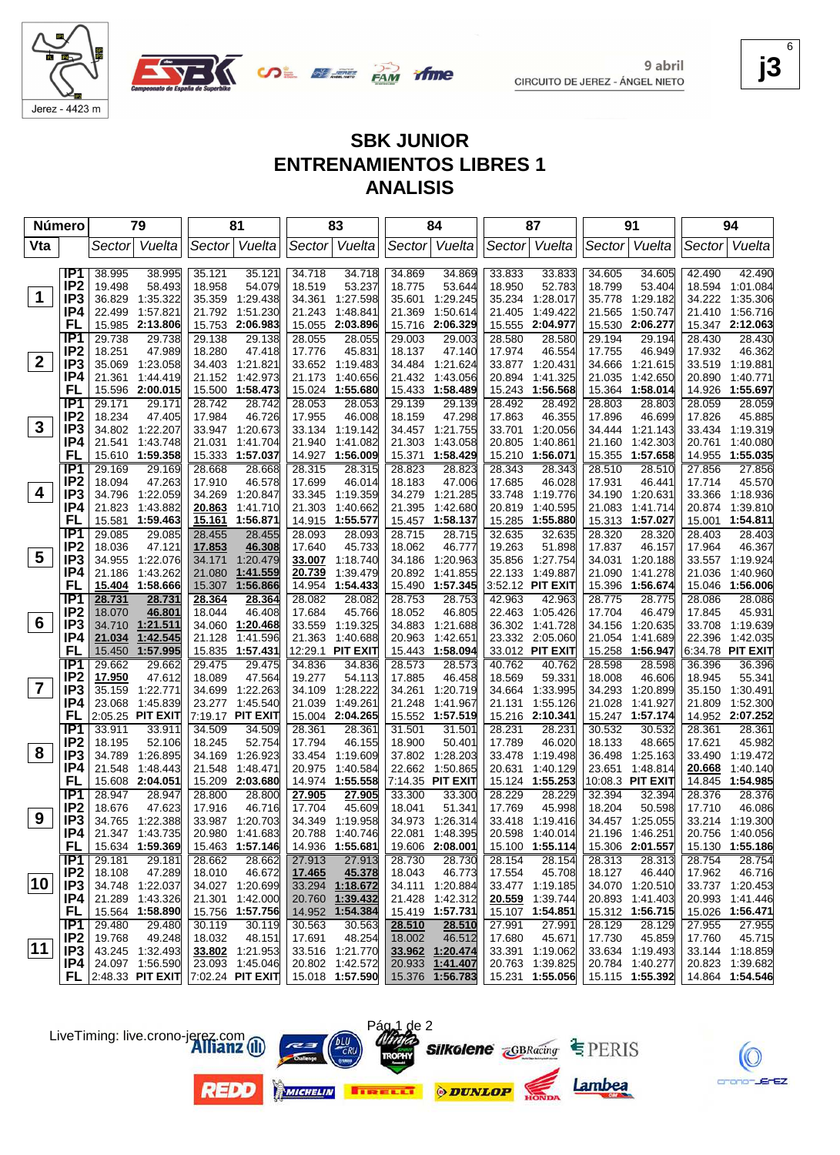

9 abril CIRCUITO DE JEREZ - ÁNGEL NIETO **j3** 6

EZ.

# **SBK JUNIOR ENTRENAMIENTOS LIBRES 1 ANALISIS**

| <b>Número</b>  |                                    | 79               |                                                                | 81               |                    | 83               |                    | 84               |                             | 87               |                                    | 91               |                                    | 94               |                                    |
|----------------|------------------------------------|------------------|----------------------------------------------------------------|------------------|--------------------|------------------|--------------------|------------------|-----------------------------|------------------|------------------------------------|------------------|------------------------------------|------------------|------------------------------------|
| Vta            |                                    | Sector           | Vuelta                                                         |                  | Sector Vuelta      |                  | Sector Vuelta      | Sector           | Vuelta                      |                  | Sector Vuelta                      | Sector           | Vuelta                             | Sector           | Vuelta                             |
|                | IP <sub>1</sub>                    | 38.995           | 38.995                                                         | 35.121           | 35.121             | 34.718           | 34.718             | 34.869           | 34.869                      | 33.833           | 33.833                             | 34.605           | 34.605                             | 42.490           | 42.490                             |
|                | IP <sub>2</sub>                    | 19.498           | 58.493                                                         | 18.958           | 54.079             | 18.519           | 53.237             | 18.775           | 53.644                      | 18.950           | 52.783                             | 18.799           | 53.404                             | 18.594           | 1:01.084                           |
| $\mathbf 1$    | IP3                                | 36.829           | 1:35.322                                                       | 35.359           | 1:29.438           | 34.361           | 1:27.598           | 35.601           | 1:29.245                    | 35.234           | 1:28.017                           | 35.778           | 1:29.182                           | 34.222           | 1:35.306                           |
|                | IP4                                | 22.499           | 1:57.821                                                       | 21.792           | 1:51.230           | 21.243           | 1:48.841           | 21.369           | 1:50.614                    | 21.405           | 1:49.422                           | 21.565           | 1:50.747                           |                  | 21.410 1:56.716                    |
|                | <b>FL</b>                          | 15.985           | 2:13.806                                                       |                  | 15.753 2:06.983    | 15.055           | 2:03.896           | 15.716           | 2:06.329                    | 15.555           | 2:04.977                           | 15.530           | 2:06.277                           |                  | 15.347 2:12.063                    |
|                | IP <sub>1</sub>                    | 29.738           | 29.738                                                         | 29.138           | 29.138             | 28.055           | 28.055             | 29.003           | 29.003                      | 28.580           | 28.580                             | 29.194           | 29.194                             | 28.430           | 28.430                             |
|                | IP <sub>2</sub>                    | 18.251           | 47.989                                                         | 18.280           | 47.418             | 17.776           | 45.831             | 18.137           | 47.140                      | 17.974           | 46.554                             | 17.755           | 46.949                             | 17.932           | 46.362                             |
| $\mathbf{2}$   | IP3                                | 35.069           | 1:23.058                                                       |                  | 34.403 1:21.821    |                  | 33.652 1:19.483    | 34.484           | 1:21.624                    |                  | 33.877 1:20.431                    | 34.666           | 1:21.615                           |                  | 33.519 1:19.881                    |
|                | IP4                                | 21.361           | 1:44.419                                                       |                  | 21.152 1:42.973    | 21.173           | 1:40.656           | 21.432           | 1:43.056                    | 20.894           | 1:41.325                           | 21.035           | 1:42.650                           | 20.890           | 1:40.771                           |
|                | <b>FL</b>                          | 15.596           | 2:00.015                                                       | 15.500           | 1:58.473           | 15.024           | 1:55.680           | 15.433           | 1:58.489                    | 15.243           | 1:56.568                           | 15.364           | 1:58.014                           |                  | 14.926 1:55.697                    |
|                | IP <sub>1</sub>                    | 29.171           | 29.171                                                         | 28.742           | 28.742             | 28.053           | 28.053             | 29.139           | 29.139                      | 28.492           | 28.492                             | 28.803           | 28.803                             | 28.059           | 28.059                             |
|                | IP <sub>2</sub>                    | 18.234           | 47.405                                                         | 17.984           | 46.726             | 17.955           | 46.008             | 18.159           | 47.298                      | 17.863           | 46.355                             | 17.896           | 46.699                             | 17.826           | 45.885                             |
| $\mathbf{3}$   | IP <sub>3</sub>                    |                  | 34.802 1:22.207                                                |                  | 33.947 1:20.673    |                  | 33.134 1:19.142    | 34.457           | 1:21.755                    | 33.701           | 1:20.056                           | 34.444           | 1:21.143                           |                  | 33.434 1:19.319                    |
|                | IP4                                | 21.541           | 1:43.748                                                       | 21.031           | 1:41.704           | 21.940           | 1:41.082           | 21.303           | 1:43.058                    | 20.805           | 1:40.861                           | 21.160           | 1:42.303                           | 20.761           | 1:40.080                           |
|                | FL                                 | 15.610           | 1:59.358                                                       |                  | 15.333 1:57.037    | 14.927           | 1:56.009           | 15.371           | 1:58.429                    | 15.210           | 1:56.071                           | 15.355           | 1:57.658                           |                  | 14.955 1:55.035                    |
|                | IP <sub>1</sub>                    | 29.169           | 29.169                                                         | 28.668           | 28.668             | 28.315           | 28.315             | 28.823           | 28.823                      | 28.343           | 28.343                             | 28.510           | 28.510                             | 27.856           | 27.856                             |
| 4              | IP <sub>2</sub>                    | 18.094           | 47.263                                                         | 17.910           | 46.578             | 17.699           | 46.014             | 18.183           | 47.006                      | 17.685           | 46.028                             | 17.931           | 46.441                             | 17.714           | 45.570                             |
|                | IP3                                | 34.796           | 1:22.059                                                       | 34.269           | 1:20.847           | 33.345           | 1:19.359           | 34.279           | 1:21.285                    | 33.748           | 1:19.776                           | 34.190           | 1:20.631                           |                  | 33.366 1:18.936                    |
|                | IP4<br>FL                          | 21.823           | 1:43.882<br>1:59.463                                           | 20.863<br>15.161 | 1:41.710           | 21.303           | 1:40.662           | 21.395           | 1:42.680<br>1:58.137        | 20.819           | 1:40.595<br>1:55.880               | 21.083           | 1:41.714                           | 20.874           | 1:39.810<br>15.001 1:54.811        |
|                | IP <sub>1</sub>                    | 15.581           | 29.085                                                         |                  | 1:56.871           | 14.915           | 1:55.577           | 15.457<br>28.715 |                             | 15.285<br>32.635 |                                    | 28.320           | 15.313 1:57.027                    |                  | 28.403                             |
|                | IP <sub>2</sub>                    | 29.085<br>18.036 | 47.121                                                         | 28.455<br>17.853 | 28.455<br>46.308   | 28.093<br>17.640 | 28.093<br>45.733   | 18.062           | 28.715<br>46.777            | 19.263           | 32.635<br>51.898                   | 17.837           | 28.320<br>46.157                   | 28.403<br>17.964 | 46.367                             |
| 5              | IP <sub>3</sub>                    | 34.955           | 1:22.076                                                       | 34.171           | 1:20.479           | 33.007           | 1:18.740           | 34.186           | 1:20.963                    |                  | 35.856 1:27.754                    | 34.031           | 1:20.188                           |                  | 33.557 1:19.924                    |
|                | IP4                                | 21.186           | 1:43.262                                                       | 21.080           | 1:41.559           | 20.739           | 1:39.479           | 20.892           | 1:41.855                    | 22.133           | 1:49.887                           | 21.090           | 1:41.278                           | 21.036           | 1:40.960                           |
|                | FL                                 |                  | 15.404 1:58.666                                                | 15.307           | 1:56.866           | 14.954           | 1:54.433           | 15.490           | 1:57.345                    |                  | 3:52.12 PIT EXIT                   | 15.396           | 1:56.674                           |                  | 15.046 1:56.006                    |
|                | IP <sub>1</sub>                    | 28.731           | 28.731                                                         | 28.364           | 28.364             | 28.082           | 28.082             | 28.753           | 28.753                      | 42.963           | 42.963                             | 28.775           | 28.775                             | 28.086           | 28.086                             |
|                | IP <sub>2</sub>                    | 18.070           | 46.801                                                         | 18.044           | 46.408             | 17.684           | 45.766             | 18.052           | 46.805                      | 22.463           | 1:05.426                           | 17.704           | 46.479                             | 17.845           | 45.931                             |
| 6              | IP <sub>3</sub>                    | 34.710           | 1:21.511                                                       | 34.060           | 1:20.468           | 33.559           | 1:19.325           | 34.883           | 1:21.688                    |                  | 36.302 1:41.728                    | 34.156           | 1:20.635                           |                  | 33.708 1:19.639                    |
|                | IP4                                | 21.034           | 1:42.545                                                       | 21.128           | 1:41.596           | 21.363           | 1:40.688           | 20.963           | 1:42.651                    |                  | 23.332 2:05.060                    | 21.054           | 1:41.689                           | 22.396           | 1:42.035                           |
|                | FL                                 | 15.450           | 1:57.995                                                       |                  | 15.835 1:57.431    |                  | 12:29.1 PIT EXIT   | 15.443           | 1:58.094                    |                  | 33.012 PIT EXIT                    | 15.258           | 1:56.947                           |                  | 6:34.78 PIT EXIT                   |
|                | IP1                                | 29.662           | 29.662                                                         | 29.475           | 29.475             | 34.836           | 34.836             | 28.573           | 28.573                      | 40.762           | 40.762                             | 28.598           | 28.598                             | 36.396           | 36.396                             |
|                | IP <sub>2</sub>                    | 17.950           | 47.612                                                         | 18.089           | 47.564             | 19.277           | 54.113             | 17.885           | 46.458                      | 18.569           | 59.331                             | 18.008           | 46.606                             | 18.945           | 55.341                             |
| $\overline{7}$ | IP <sub>3</sub>                    | 35.159           | 1:22.771                                                       | 34.699           | 1:22.263           | 34.109           | 1:28.222           | 34.261           | 1:20.719                    | 34.664           | 1:33.995                           | 34.293           | 1:20.899                           | 35.150           | 1:30.491                           |
|                | IP4                                | 23.068           | 1:45.839                                                       |                  | 23.277 1:45.540    | 21.039           | 1:49.261           | 21.248           | 1:41.967                    | 21.131           | 1:55.126                           | 21.028           | 1:41.927                           | 21.809           | 1:52.300                           |
|                | FL                                 |                  | 2:05.25 PIT EXIT                                               |                  | 7:19.17 PIT EXIT   | 15.004           | 2:04.265           | 15.552           | 1:57.519                    |                  | 15.216 2:10.341                    |                  | 15.247 1:57.174                    |                  | 14.952 2:07.252                    |
|                | IP1                                | 33.911           | 33.911                                                         | 34.509           | 34.509             | 28.361           | 28.361             | 31.501           | 31.501                      | 28.231           | 28.231                             | 30.532           | 30.532                             | 28.361           | 28.361                             |
| 8              | IP <sub>2</sub><br>IP <sub>3</sub> | 18.195<br>34.789 | 52.106<br>1:26.895                                             | 18.245<br>34.169 | 52.754<br>1:26.923 | 17.794<br>33.454 | 46.155<br>1:19.609 | 18.900<br>37.802 | 50.401<br>1:28.203          | 17.789<br>33.478 | 46.020<br>1:19.498                 | 18.133<br>36.498 | 48.665<br>1:25.163                 | 17.621           | 45.982<br>33.490 1:19.472          |
|                | IP4                                | 21.548           | 1:48.443                                                       | 21.548           | 1:48.471           | 20.975           | 1:40.584           | 22.662           | 1:50.865                    | 20.631           | 1:40.129                           | 23.651           | 1:48.814                           | 20.668           | 1:40.140                           |
|                | FL                                 |                  | 15.608 2:04.051                                                |                  | 15.209 2:03.680    | 14.974           | 1:55.558           |                  | 7:14.35 PIT EXIT            | 15.124           | 1:55.253                           |                  | 10:08.3 PIT EXIT                   | 14.845           | 1:54.985                           |
|                | IP <sub>1</sub>                    | 28.947           | 28.947                                                         | 28.800           | 28.800             | 27.905           | 27.905             | 33.300           | 33.300                      | 28.229           | 28.229                             | 32.394           | 32.394                             | 28.376           | 28.376                             |
|                | IP <sub>2</sub>                    | 18.676           | 47.623                                                         | 17.916           | 46.716             | 17.704           | 45.609             | 18.041           | 51.341                      | 17.769           | 45.998                             | 18.204           | 50.598                             | 17.710           | 46.086                             |
| 9              | IP <sub>3</sub>                    |                  | 34.765 1:22.388                                                |                  | 33.987 1:20.703    |                  | 34.349 1:19.958    |                  | 34.973 1:26.314             |                  | 33.418 1:19.416                    |                  | 34.457 1:25.055                    |                  | 33.214 1:19.300                    |
|                | IP4                                |                  | 21.347 1:43.735                                                |                  | 20.980 1:41.683    |                  | 20.788 1:40.746    |                  | 22.081 1:48.395             |                  | 20.598 1:40.014                    |                  | 21.196 1:46.251                    |                  | 20.756 1:40.056                    |
|                | FL.                                |                  | 15.634 1:59.369                                                |                  | 15.463 1:57.146    |                  | 14.936 1:55.681    |                  | 19.606 2:08.001             |                  | 15.100 1:55.114                    |                  | 15.306 2:01.557                    |                  | 15.130 1:55.186                    |
|                | IP1                                | 29.181           | 29.181                                                         | 28.662           | 28.662             | 27.913           | 27.913             | 28.730           | 28.730                      | 28.154           | 28.154                             | 28.313           | 28.313                             | 28.754           | 28.754                             |
|                | IP <sub>2</sub>                    | 18.108           | 47.289                                                         | 18.010           | 46.672             | 17.465           | 45.378             | 18.043           | 46.773                      | 17.554           | 45.708                             | 18.127           | 46.440                             | 17.962           | 46.716                             |
| 10             | IP <sub>3</sub>                    |                  | 34.748 1:22.037                                                |                  | 34.027 1:20.699    |                  | 33.294 1:18.672    |                  | 34.111 1:20.884             |                  | 33.477 1:19.185                    |                  | 34.070 1:20.510                    |                  | 33.737 1:20.453                    |
|                | IP4                                |                  | 21.289 1:43.326                                                |                  | 21.301 1:42.000    | 20.760           | 1:39.432           |                  | 21.428 1:42.312             | 20.559           | 1:39.744                           |                  | 20.893 1:41.403                    |                  | 20.993 1:41.446                    |
|                | <b>FL</b>                          |                  | 15.564 1:58.890                                                |                  | 15.756 1:57.756    |                  | 14.952 1:54.384    |                  | 15.419 1:57.731             |                  | 15.107 1:54.851                    |                  | 15.312 1:56.715                    |                  | 15.026 1:56.471                    |
|                | IP1                                | 29.480           | 29.480                                                         | 30.119           | 30.119             | 30.563           | 30.563             | 28.510           | 28.510                      | 27.991           | 27.991                             | 28.129           | 28.129                             | 27.955           | 27.955                             |
| $ 11\rangle$   | IP <sub>2</sub>                    | 19.768           | 49.248                                                         | 18.032           | 48.151             | 17.691           | 48.254             | 18.002           | 46.512                      | 17.680           | 45.671                             | 17.730           | 45.859                             | 17.760           | 45.715                             |
|                | IP3                                |                  | 43.245 1:32.493                                                |                  | 33.802 1:21.953    |                  | 33.516 1:21.770    |                  | 33.962 1:20.474             |                  | 33.391 1:19.062                    |                  | 33.634 1:19.493                    |                  | 33.144 1:18.859                    |
|                | IP4                                |                  | 24.097 1:56.590<br><b>FL</b> 2:48.33 PIT EXIT 7:02.24 PIT EXIT |                  | 23.093 1:45.046    |                  | 20.802 1:42.572    | 20.933           | 1:41.407<br>15.376 1:56.783 |                  | 20.763 1:39.825<br>15.231 1:55.056 |                  | 20.784 1:40.277<br>15.115 1:55.392 |                  | 20.823 1:39.682<br>14.864 1:54.546 |
|                |                                    |                  |                                                                |                  |                    |                  | 15.018 1:57.590    |                  |                             |                  |                                    |                  |                                    |                  |                                    |

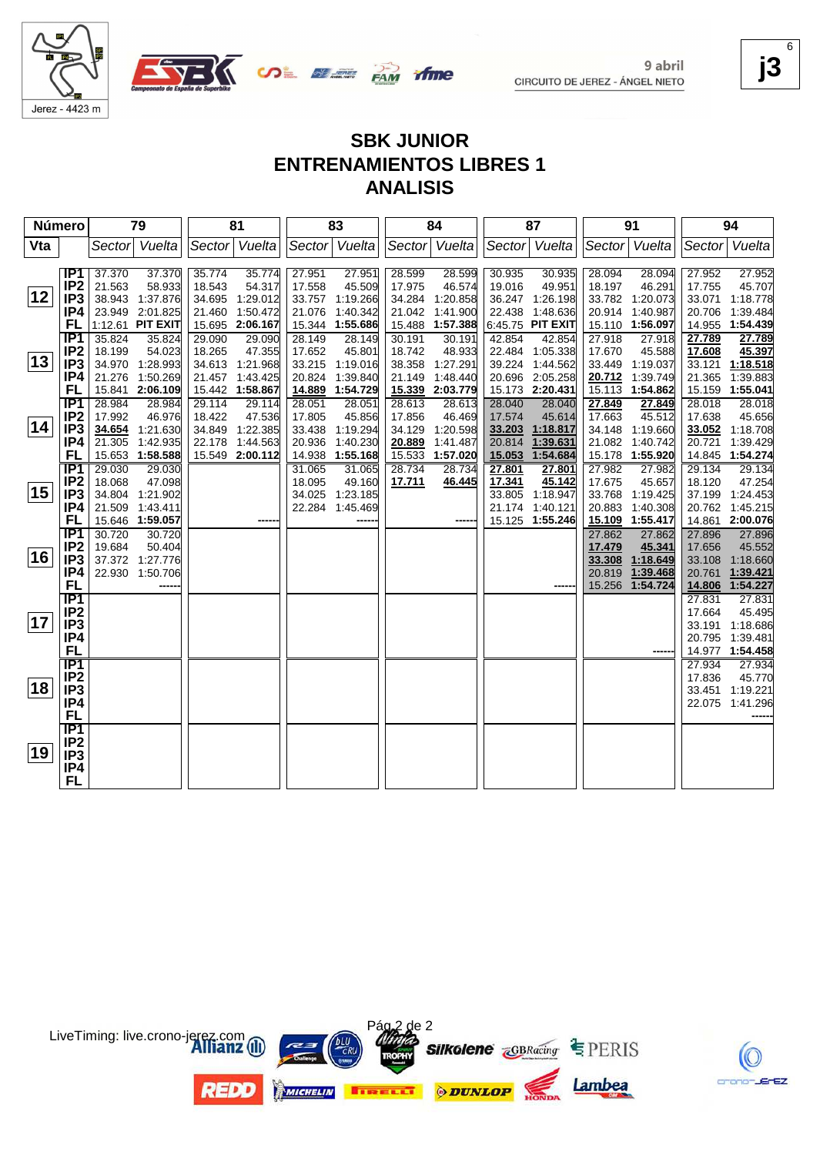







**j3** 6

# **SBK JUNIOR ENTRENAMIENTOS LIBRES 1 ANALISIS**

| Número |                                    | 79     |                             | 81     |                                    | 83               |                      | 84               |                      | 87     |                                    | 91               |                      | 94               |                      |
|--------|------------------------------------|--------|-----------------------------|--------|------------------------------------|------------------|----------------------|------------------|----------------------|--------|------------------------------------|------------------|----------------------|------------------|----------------------|
| Vta    |                                    | Sector | Vuelta                      |        | Sector Vuelta                      |                  | Sector Vuelta        |                  | Sector Vuelta        |        | Sector Vuelta                      | Sector           | Vuelta               |                  | Sector Vuelta        |
|        |                                    |        |                             |        |                                    |                  |                      |                  |                      |        |                                    |                  |                      |                  |                      |
|        | IP <sub>1</sub>                    | 37.370 | 37.370                      | 35.774 | 35.774                             | 27.951           | 27.951               | 28.599           | 28.599               | 30.935 | 30.935                             | 28.094           | 28.094               | 27.952           | 27.952               |
|        | IP <sub>2</sub>                    | 21.563 | 58.933                      | 18.543 | 54.317                             | 17.558           | 45.509               | 17.975           | 46.574               | 19.016 | 49.951                             | 18.197           | 46.291               | 17.755           | 45.707               |
| 12     | IP <sub>3</sub>                    | 38.943 | 1:37.876                    | 34.695 | 1:29.012                           | 33.757           | 1:19.266             | 34.284           | 1:20.858             |        | 36.247 1:26.198                    | 33.782           | 1:20.073             | 33.071           | 1:18.778             |
|        | IP4                                |        | 23.949 2:01.825             | 21.460 | 1:50.472                           | 21.076           | 1:40.342             | 21.042           | 1:41.900             | 22.438 | 1:48.636                           | 20.914           | 1:40.987             | 20.706           | 1:39.484             |
|        | FL                                 |        | 1:12.61 PIT EXIT            |        | 15.695 2:06.167                    |                  | 15.344 1:55.686      |                  | 15.488 1:57.388      |        | 6:45.75 PIT EXIT                   |                  | 15.110 1:56.097      |                  | 14.955 1:54.439      |
|        | IP <sub>1</sub>                    | 35.824 | 35.824                      | 29.090 | 29.090                             | 28.149           | 28.149               | 30.191           | 30.191               | 42.854 | 42.854                             | 27.918           | 27.918               | 27.789           | 27.789               |
| 13     | IP <sub>2</sub><br>IP <sub>3</sub> | 18.199 | 54.023                      | 18.265 | 47.355                             | 17.652           | 45.801               | 18.742<br>38.358 | 48.933               |        | 22.484 1:05.338                    | 17.670           | 45.588               | 17.608           | 45.397               |
|        | IP4                                | 34.970 | 1:28.993<br>21.276 1:50.269 |        | 34.613 1:21.968<br>21.457 1:43.425 | 33.215<br>20.824 | 1:19.016<br>1:39.840 | 21.149           | 1:27.291<br>1:48.440 |        | 39.224 1:44.562<br>20.696 2:05.258 | 33.449<br>20.712 | 1:19.037<br>1:39.749 | 33.121<br>21.365 | 1:18.518<br>1:39.883 |
|        | FL                                 |        | 15.841 2:06.109             |        | 15.442 1:58.867                    | 14.889           | 1:54.729             | 15.339           | 2:03.779             |        | 15.173 2:20.431                    | 15.113           | 1:54.862             |                  | 15.159 1:55.041      |
|        | IP1                                | 28.984 | 28.984                      | 29.114 | 29.114                             | 28.051           | 28.051               | 28.613           | 28.613               | 28.040 | 28.040                             | 27.849           | 27.849               | 28.018           | 28.018               |
|        | IP <sub>2</sub>                    | 17.992 | 46.976                      | 18.422 | 47.536                             | 17.805           | 45.856               | 17.856           | 46.469               | 17.574 | 45.614                             | 17.663           | 45.512               | 17.638           | 45.656               |
| 14     | IP <sub>3</sub>                    | 34.654 | 1:21.630                    | 34.849 | 1:22.385                           | 33.438           | 1:19.294             | 34.129           | 1:20.598             | 33.203 | 1:18.817                           |                  | 34.148 1:19.660      | 33.052           | 1:18.708             |
|        | IP4                                | 21.305 | 1:42.935                    | 22.178 | 1:44.563                           | 20.936           | 1:40.230             | 20.889           | 1:41.487             | 20.814 | 1:39.631                           | 21.082           | 1:40.742             | 20.721           | 1:39.429             |
|        | FL                                 |        | 15.653 1:58.588             |        | 15.549 2:00.112                    | 14.938           | 1:55.168             | 15.533           | 1:57.020             | 15.053 | 1:54.684                           |                  | 15.178 1:55.920      |                  | 14.845 1:54.274      |
|        | <b>IP1</b>                         | 29.030 | 29.030                      |        |                                    | 31.065           | 31.065               | 28.734           | 28.734               | 27.801 | 27.801                             | 27.982           | 27.982               | 29.134           | 29.134               |
|        | IP <sub>2</sub>                    | 18.068 | 47.098                      |        |                                    | 18.095           | 49.160               | 17.711           | 46.445               | 17.341 | 45.142                             | 17.675           | 45.657               | 18.120           | 47.254               |
| 15     | IP <sub>3</sub>                    | 34.804 | 1:21.902                    |        |                                    | 34.025           | 1:23.185             |                  |                      | 33.805 | 1:18.947                           | 33.768           | 1:19.425             | 37.199           | 1:24.453             |
|        | IP4                                | 21.509 | 1:43.411                    |        |                                    | 22.284           | 1:45.469             |                  |                      | 21.174 | 1:40.121                           | 20.883           | 1:40.308             |                  | 20.762 1:45.215      |
|        | FL                                 |        | 15.646 1:59.057             |        |                                    |                  |                      |                  |                      |        | 15.125 1:55.246                    | <u>15.109</u>    | 1:55.417             |                  | 14.861 2:00.076      |
|        | IP <sub>1</sub>                    | 30.720 | 30.720                      |        |                                    |                  |                      |                  |                      |        |                                    | 27.862           | 27.862               | 27.896           | 27.896               |
|        | IP <sub>2</sub>                    | 19.684 | 50.404                      |        |                                    |                  |                      |                  |                      |        |                                    | 17.479           | 45.341               | 17.656           | 45.552               |
| 16     | IP <sub>3</sub>                    | 37.372 | 1:27.776                    |        |                                    |                  |                      |                  |                      |        |                                    | 33.308           | 1:18.649             | 33.108           | 1:18.660             |
|        | IP4                                |        | 22.930 1:50.706             |        |                                    |                  |                      |                  |                      |        |                                    | 20.819           | 1:39.468             | 20.761           | 1:39.421             |
|        | <b>FL</b>                          |        |                             |        |                                    |                  |                      |                  |                      |        |                                    | 15.256           | 1:54.724             | 14.806           | 1:54.227             |
|        | IP1<br>IP <sub>2</sub>             |        |                             |        |                                    |                  |                      |                  |                      |        |                                    |                  |                      | 27.831<br>17.664 | 27.831<br>45.495     |
| 17     | IP <sub>3</sub>                    |        |                             |        |                                    |                  |                      |                  |                      |        |                                    |                  |                      |                  | 33.191 1:18.686      |
|        | IP4                                |        |                             |        |                                    |                  |                      |                  |                      |        |                                    |                  |                      | 20.795           | 1:39.481             |
|        | <b>FL</b>                          |        |                             |        |                                    |                  |                      |                  |                      |        |                                    |                  |                      |                  | 14.977 1:54.458      |
|        | $\overline{IP1}$                   |        |                             |        |                                    |                  |                      |                  |                      |        |                                    |                  |                      | 27.934           | 27.934               |
|        | IP <sub>2</sub>                    |        |                             |        |                                    |                  |                      |                  |                      |        |                                    |                  |                      | 17.836           | 45.770               |
| 18     | IP <sub>3</sub>                    |        |                             |        |                                    |                  |                      |                  |                      |        |                                    |                  |                      |                  | 33.451 1:19.221      |
|        | IP4                                |        |                             |        |                                    |                  |                      |                  |                      |        |                                    |                  |                      |                  | 22.075 1:41.296      |
|        | <b>FL</b>                          |        |                             |        |                                    |                  |                      |                  |                      |        |                                    |                  |                      |                  |                      |
|        | IP1                                |        |                             |        |                                    |                  |                      |                  |                      |        |                                    |                  |                      |                  |                      |
|        | IP <sub>2</sub>                    |        |                             |        |                                    |                  |                      |                  |                      |        |                                    |                  |                      |                  |                      |
| 19     | IP <sub>3</sub>                    |        |                             |        |                                    |                  |                      |                  |                      |        |                                    |                  |                      |                  |                      |
|        | IP4                                |        |                             |        |                                    |                  |                      |                  |                      |        |                                    |                  |                      |                  |                      |
|        | FL                                 |        |                             |        |                                    |                  |                      |                  |                      |        |                                    |                  |                      |                  |                      |



LiveTiming: live.crono-jerez.com

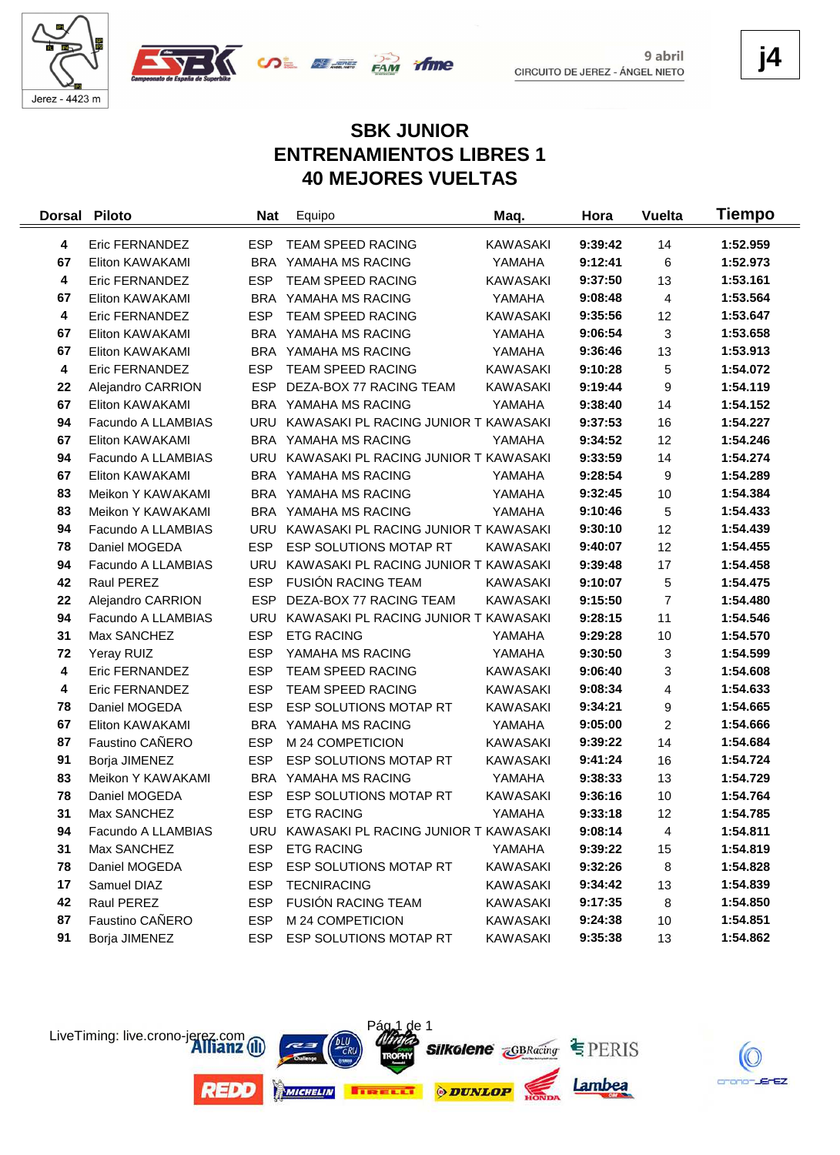





**j4**

# **SBK JUNIOR ENTRENAMIENTOS LIBRES 1 40 MEJORES VUELTAS**

| <b>Dorsal</b> | <b>Piloto</b>      | <b>Nat</b> | Equipo                                   | Maq.            | Hora    | <b>Vuelta</b>  | Tiempo   |
|---------------|--------------------|------------|------------------------------------------|-----------------|---------|----------------|----------|
| 4             | Eric FERNANDEZ     | <b>ESP</b> | <b>TEAM SPEED RACING</b>                 | <b>KAWASAKI</b> | 9:39:42 | 14             | 1:52.959 |
| 67            | Eliton KAWAKAMI    |            | BRA YAMAHA MS RACING                     | YAMAHA          | 9:12:41 | 6              | 1:52.973 |
| 4             | Eric FERNANDEZ     | <b>ESP</b> | TEAM SPEED RACING                        | <b>KAWASAKI</b> | 9:37:50 | 13             | 1:53.161 |
| 67            | Eliton KAWAKAMI    |            | BRA YAMAHA MS RACING                     | YAMAHA          | 9:08:48 | 4              | 1:53.564 |
| 4             | Eric FERNANDEZ     | <b>ESP</b> | TEAM SPEED RACING                        | <b>KAWASAKI</b> | 9:35:56 | 12             | 1:53.647 |
| 67            | Eliton KAWAKAMI    |            | BRA YAMAHA MS RACING                     | YAMAHA          | 9:06:54 | 3              | 1:53.658 |
| 67            | Eliton KAWAKAMI    |            | BRA YAMAHA MS RACING                     | YAMAHA          | 9:36:46 | 13             | 1:53.913 |
| 4             | Eric FERNANDEZ     | <b>ESP</b> | TEAM SPEED RACING                        | <b>KAWASAKI</b> | 9:10:28 | 5              | 1:54.072 |
| 22            | Alejandro CARRION  | <b>ESP</b> | DEZA-BOX 77 RACING TEAM                  | <b>KAWASAKI</b> | 9:19:44 | 9              | 1:54.119 |
| 67            | Eliton KAWAKAMI    |            | BRA YAMAHA MS RACING                     | YAMAHA          | 9:38:40 | 14             | 1:54.152 |
| 94            | Facundo A LLAMBIAS | <b>URU</b> | KAWASAKI PL RACING JUNIOR T KAWASAKI     |                 | 9:37:53 | 16             | 1:54.227 |
| 67            | Eliton KAWAKAMI    |            | BRA YAMAHA MS RACING                     | YAMAHA          | 9:34:52 | 12             | 1:54.246 |
| 94            | Facundo A LLAMBIAS |            | URU KAWASAKI PL RACING JUNIOR T KAWASAKI |                 | 9:33:59 | 14             | 1:54.274 |
| 67            | Eliton KAWAKAMI    |            | BRA YAMAHA MS RACING                     | YAMAHA          | 9:28:54 | 9              | 1:54.289 |
| 83            | Meikon Y KAWAKAMI  |            | BRA YAMAHA MS RACING                     | YAMAHA          | 9:32:45 | 10             | 1:54.384 |
| 83            | Meikon Y KAWAKAMI  |            | BRA YAMAHA MS RACING                     | YAMAHA          | 9:10:46 | 5              | 1:54.433 |
| 94            | Facundo A LLAMBIAS | URU        | KAWASAKI PL RACING JUNIOR T KAWASAKI     |                 | 9:30:10 | 12             | 1:54.439 |
| 78            | Daniel MOGEDA      | <b>ESP</b> | <b>ESP SOLUTIONS MOTAP RT</b>            | <b>KAWASAKI</b> | 9:40:07 | 12             | 1:54.455 |
| 94            | Facundo A LLAMBIAS | <b>URU</b> | KAWASAKI PL RACING JUNIOR T KAWASAKI     |                 | 9:39:48 | 17             | 1:54.458 |
| 42            | Raul PEREZ         | <b>ESP</b> | <b>FUSIÓN RACING TEAM</b>                | <b>KAWASAKI</b> | 9:10:07 | 5              | 1:54.475 |
| 22            | Alejandro CARRION  | <b>ESP</b> | DEZA-BOX 77 RACING TEAM                  | <b>KAWASAKI</b> | 9:15:50 | $\overline{7}$ | 1:54.480 |
| 94            | Facundo A LLAMBIAS |            | URU KAWASAKI PL RACING JUNIOR T KAWASAKI |                 | 9:28:15 | 11             | 1:54.546 |
| 31            | Max SANCHEZ        | <b>ESP</b> | <b>ETG RACING</b>                        | YAMAHA          | 9:29:28 | 10             | 1:54.570 |
| 72            | Yeray RUIZ         | <b>ESP</b> | YAMAHA MS RACING                         | YAMAHA          | 9:30:50 | 3              | 1:54.599 |
| 4             | Eric FERNANDEZ     | <b>ESP</b> | <b>TEAM SPEED RACING</b>                 | <b>KAWASAKI</b> | 9:06:40 | 3              | 1:54.608 |
| 4             | Eric FERNANDEZ     | <b>ESP</b> | TEAM SPEED RACING                        | KAWASAKI        | 9:08:34 | 4              | 1:54.633 |
| 78            | Daniel MOGEDA      | <b>ESP</b> | ESP SOLUTIONS MOTAP RT                   | <b>KAWASAKI</b> | 9:34:21 | 9              | 1:54.665 |
| 67            | Eliton KAWAKAMI    |            | BRA YAMAHA MS RACING                     | YAMAHA          | 9:05:00 | $\overline{c}$ | 1:54.666 |
| 87            | Faustino CAÑERO    | <b>ESP</b> | M 24 COMPETICION                         | <b>KAWASAKI</b> | 9:39:22 | 14             | 1:54.684 |
| 91            | Borja JIMENEZ      | <b>ESP</b> | ESP SOLUTIONS MOTAP RT                   | <b>KAWASAKI</b> | 9:41:24 | 16             | 1:54.724 |
| 83            | Meikon Y KAWAKAMI  | BRA        | YAMAHA MS RACING                         | YAMAHA          | 9:38:33 | 13             | 1:54.729 |
| 78            | Daniel MOGEDA      | <b>ESP</b> | ESP SOLUTIONS MOTAP RT                   | <b>KAWASAKI</b> | 9:36:16 | 10             | 1:54.764 |
| 31            | Max SANCHEZ        | <b>ESP</b> | <b>ETG RACING</b>                        | YAMAHA          | 9:33:18 | 12             | 1:54.785 |
| 94            | Facundo A LLAMBIAS |            | URU KAWASAKI PL RACING JUNIOR T KAWASAKI |                 | 9:08:14 | 4              | 1:54.811 |
| 31            | Max SANCHEZ        | <b>ESP</b> | <b>ETG RACING</b>                        | YAMAHA          | 9:39:22 | 15             | 1:54.819 |
| 78            | Daniel MOGEDA      | <b>ESP</b> | ESP SOLUTIONS MOTAP RT                   | <b>KAWASAKI</b> | 9:32:26 | 8              | 1:54.828 |
| 17            | Samuel DIAZ        | <b>ESP</b> | <b>TECNIRACING</b>                       | KAWASAKI        | 9:34:42 | 13             | 1:54.839 |
| 42            | Raul PEREZ         | <b>ESP</b> | FUSIÓN RACING TEAM                       | <b>KAWASAKI</b> | 9:17:35 | 8              | 1:54.850 |
| 87            | Faustino CAÑERO    | <b>ESP</b> | M 24 COMPETICION                         | KAWASAKI        | 9:24:38 | 10             | 1:54.851 |
| 91            | Borja JIMENEZ      | ESP        | ESP SOLUTIONS MOTAP RT                   | KAWASAKI        | 9:35:38 | 13             | 1:54.862 |



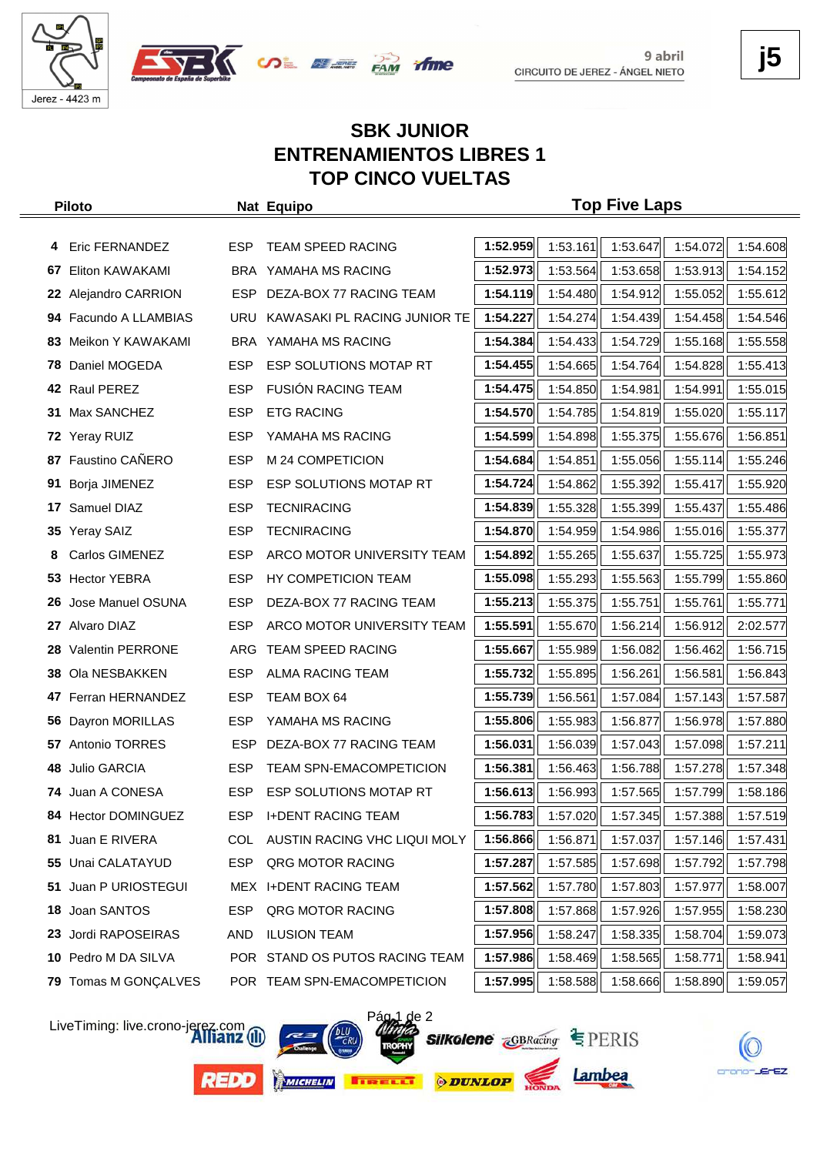





# **SBK JUNIOR ENTRENAMIENTOS LIBRES 1 TOP CINCO VUELTAS**

|     | <b>Piloto</b>           |            | Nat Equipo                     |          |          | <b>Top Five Laps</b>                         |          |          |
|-----|-------------------------|------------|--------------------------------|----------|----------|----------------------------------------------|----------|----------|
|     |                         |            |                                |          |          |                                              |          |          |
|     | 4 Eric FERNANDEZ        | ESP.       | TEAM SPEED RACING              | 1:52.959 | 1:53.161 | 1:53.647                                     | 1:54.072 | 1:54.608 |
| 67  | Eliton KAWAKAMI         |            | BRA YAMAHA MS RACING           | 1:52.973 | 1:53.564 | 1:53.658                                     | 1:53.913 | 1:54.152 |
| 22  | Alejandro CARRION       | <b>ESP</b> | DEZA-BOX 77 RACING TEAM        | 1:54.119 | 1:54.480 | 1:54.912                                     | 1:55.052 | 1:55.612 |
|     | 94 Facundo A LLAMBIAS   | URU        | KAWASAKI PL RACING JUNIOR TE   | 1:54.227 | 1:54.274 | 1:54.439                                     | 1:54.458 | 1:54.546 |
| 83. | Meikon Y KAWAKAMI       |            | BRA YAMAHA MS RACING           | 1:54.384 | 1:54.433 | 1:54.729                                     | 1:55.168 | 1:55.558 |
| 78  | Daniel MOGEDA           | <b>ESP</b> | ESP SOLUTIONS MOTAP RT         | 1:54.455 | 1:54.665 | 1:54.764                                     | 1:54.828 | 1:55.413 |
|     | 42 Raul PEREZ           | <b>ESP</b> | <b>FUSION RACING TEAM</b>      | 1:54.475 | 1:54.850 | 1:54.981                                     | 1:54.991 | 1:55.015 |
| 31  | Max SANCHEZ             | <b>ESP</b> | <b>ETG RACING</b>              | 1:54.570 | 1:54.785 | 1:54.819                                     | 1:55.020 | 1:55.117 |
|     | 72 Yeray RUIZ           | <b>ESP</b> | YAMAHA MS RACING               | 1:54.599 | 1:54.898 | 1:55.375                                     | 1:55.676 | 1:56.851 |
| 87  | <b>Faustino CAÑERO</b>  | <b>ESP</b> | M 24 COMPETICION               | 1:54.684 | 1:54.851 | 1:55.056                                     | 1:55.114 | 1:55.246 |
| 91  | Borja JIMENEZ           | <b>ESP</b> | ESP SOLUTIONS MOTAP RT         | 1:54.724 | 1:54.862 | 1:55.392                                     | 1:55.417 | 1:55.920 |
| 17  | Samuel DIAZ             | <b>ESP</b> | <b>TECNIRACING</b>             | 1:54.839 | 1:55.328 | 1:55.399                                     | 1:55.437 | 1:55.486 |
|     | 35 Yeray SAIZ           | <b>ESP</b> | <b>TECNIRACING</b>             | 1:54.870 | 1:54.959 | 1:54.986                                     | 1:55.016 | 1:55.377 |
| 8   | <b>Carlos GIMENEZ</b>   | ESP        | ARCO MOTOR UNIVERSITY TEAM     | 1:54.892 | 1:55.265 | 1:55.637                                     | 1:55.725 | 1:55.973 |
|     | 53 Hector YEBRA         | <b>ESP</b> | HY COMPETICION TEAM            | 1:55.098 | 1:55.293 | 1:55.563                                     | 1:55.799 | 1:55.860 |
| 26  | Jose Manuel OSUNA       | <b>ESP</b> | DEZA-BOX 77 RACING TEAM        | 1:55.213 | 1:55.375 | 1:55.751                                     | 1:55.761 | 1:55.771 |
| 27  | Alvaro DIAZ             | <b>ESP</b> | ARCO MOTOR UNIVERSITY TEAM     | 1:55.591 | 1:55.670 | 1:56.214                                     | 1:56.912 | 2:02.577 |
| 28  | <b>Valentin PERRONE</b> | ARG        | <b>TEAM SPEED RACING</b>       | 1:55.667 | 1:55.989 | 1:56.082                                     | 1:56.462 | 1:56.715 |
| 38  | Ola NESBAKKEN           | <b>ESP</b> | ALMA RACING TEAM               | 1:55.732 | 1:55.895 | 1:56.261                                     | 1:56.581 | 1:56.843 |
|     | 47 Ferran HERNANDEZ     | <b>ESP</b> | TEAM BOX 64                    | 1:55.739 | 1:56.561 | 1:57.084                                     | 1:57.143 | 1:57.587 |
|     | 56 Dayron MORILLAS      | <b>ESP</b> | YAMAHA MS RACING               | 1:55.806 | 1:55.983 | 1:56.877                                     | 1:56.978 | 1:57.880 |
| 57  | Antonio TORRES          | ESP.       | DEZA-BOX 77 RACING TEAM        | 1:56.031 | 1:56.039 | 1:57.043                                     | 1:57.098 | 1:57.211 |
| 48  | Julio GARCIA            | <b>ESP</b> | <b>TEAM SPN-EMACOMPETICION</b> | 1:56.381 | 1:56.463 | 1:56.788                                     | 1:57.278 | 1:57.348 |
|     | 74 Juan A CONESA        | <b>ESP</b> | ESP SOLUTIONS MOTAP RT         | 1:56.613 | 1:56.993 | 1:57.565                                     | 1:57.799 | 1:58.186 |
|     | 84 Hector DOMINGUEZ     | <b>ESP</b> | <b>I+DENT RACING TEAM</b>      |          |          | 1:56.783 1:57.020 1:57.345 1:57.388 1:57.519 |          |          |
|     | 81 Juan E RIVERA        | COL        | AUSTIN RACING VHC LIQUI MOLY   | 1:56.866 | 1:56.871 | 1:57.037                                     | 1:57.146 | 1:57.431 |
| 55  | Unai CALATAYUD          | ESP        | QRG MOTOR RACING               | 1:57.287 | 1:57.585 | 1:57.698                                     | 1:57.792 | 1:57.798 |
| 51  | Juan P URIOSTEGUI       |            | MEX I+DENT RACING TEAM         | 1:57.562 | 1:57.780 | 1:57.803                                     | 1:57.977 | 1:58.007 |
| 18  | Joan SANTOS             | <b>ESP</b> | QRG MOTOR RACING               | 1:57.808 | 1:57.868 | 1:57.926                                     | 1:57.955 | 1:58.230 |
| 23  | Jordi RAPOSEIRAS        | AND        | <b>ILUSION TEAM</b>            | 1:57.956 | 1:58.247 | 1:58.335                                     | 1:58.704 | 1:59.073 |
|     | 10 Pedro M DA SILVA     |            | POR STAND OS PUTOS RACING TEAM | 1:57.986 | 1:58.469 | 1:58.565                                     | 1:58.771 | 1:58.941 |
|     | 79 Tomas M GONÇALVES    |            | POR TEAM SPN-EMACOMPETICION    | 1:57.995 | 1:58.588 | 1:58.666                                     | 1:58.890 | 1:59.057 |

LiveTiming: live.crono-jerez.com

**REDD** 







Lambea



crono-JErEZ

**j5**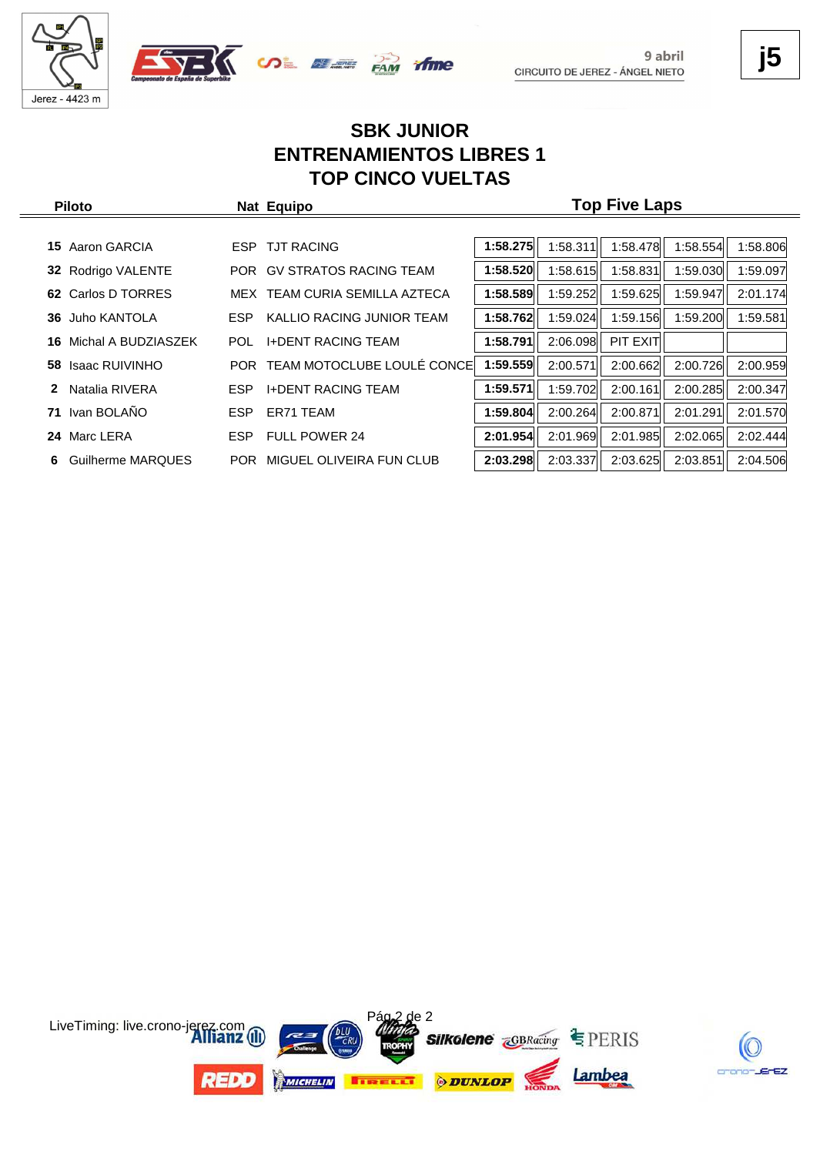





# **SBK JUNIOR ENTRENAMIENTOS LIBRES 1 TOP CINCO VUELTAS**

| <b>Piloto</b>              |            | Nat Equipo                    | <b>Top Five Laps</b> |          |          |          |          |  |  |  |
|----------------------------|------------|-------------------------------|----------------------|----------|----------|----------|----------|--|--|--|
|                            |            |                               |                      |          |          |          |          |  |  |  |
| Aaron GARCIA<br>15.        |            | ESP TJT RACING                | 1:58.275             | 1:58.311 | 1:58.478 | 1:58.554 | 1:58.806 |  |  |  |
| 32 Rodrigo VALENTE         | <b>POR</b> | <b>GV STRATOS RACING TEAM</b> | 1:58.520             | 1:58.615 | 1:58.831 | 1:59.030 | 1:59.097 |  |  |  |
| Carlos D TORRES<br>62.     |            | MEX TEAM CURIA SEMILLA AZTECA | 1:58.589             | 1:59.252 | 1:59.625 | 1:59.947 | 2:01.174 |  |  |  |
| Juho KANTOLA<br>36         | <b>ESP</b> | KALLIO RACING JUNIOR TEAM     | 1:58.762             | 1:59.024 | 1:59.156 | 1:59.200 | 1:59.581 |  |  |  |
| Michal A BUDZIASZEK<br>16. | POL.       | <b>I+DENT RACING TEAM</b>     | 1:58.791             | 2:06.098 | PIT EXIT |          |          |  |  |  |
| 58 Isaac RUIVINHO          | <b>POR</b> | TEAM MOTOCLUBE LOULÉ CONCE    | 1:59.559             | 2:00.571 | 2:00.662 | 2:00.726 | 2:00.959 |  |  |  |
| Natalia RIVERA<br>2        | <b>ESP</b> | <b>I+DENT RACING TEAM</b>     | 1:59.571             | 1:59.702 | 2:00.161 | 2:00.285 | 2:00.347 |  |  |  |
| Ivan BOLAÑO<br>71          | <b>ESP</b> | ER71 TEAM                     | 1:59.804             | 2:00.264 | 2:00.871 | 2:01.291 | 2:01.570 |  |  |  |
| Marc LERA<br>24            | ESP.       | <b>FULL POWER 24</b>          | 2:01.954             | 2:01.969 | 2:01.985 | 2:02.065 | 2:02.444 |  |  |  |
| Guilherme MARQUES<br>6     | POR.       | MIGUEL OLIVEIRA FUN CLUB      | 2:03.298             | 2:03.337 | 2:03.625 | 2:03.851 | 2:04.506 |  |  |  |



**j5**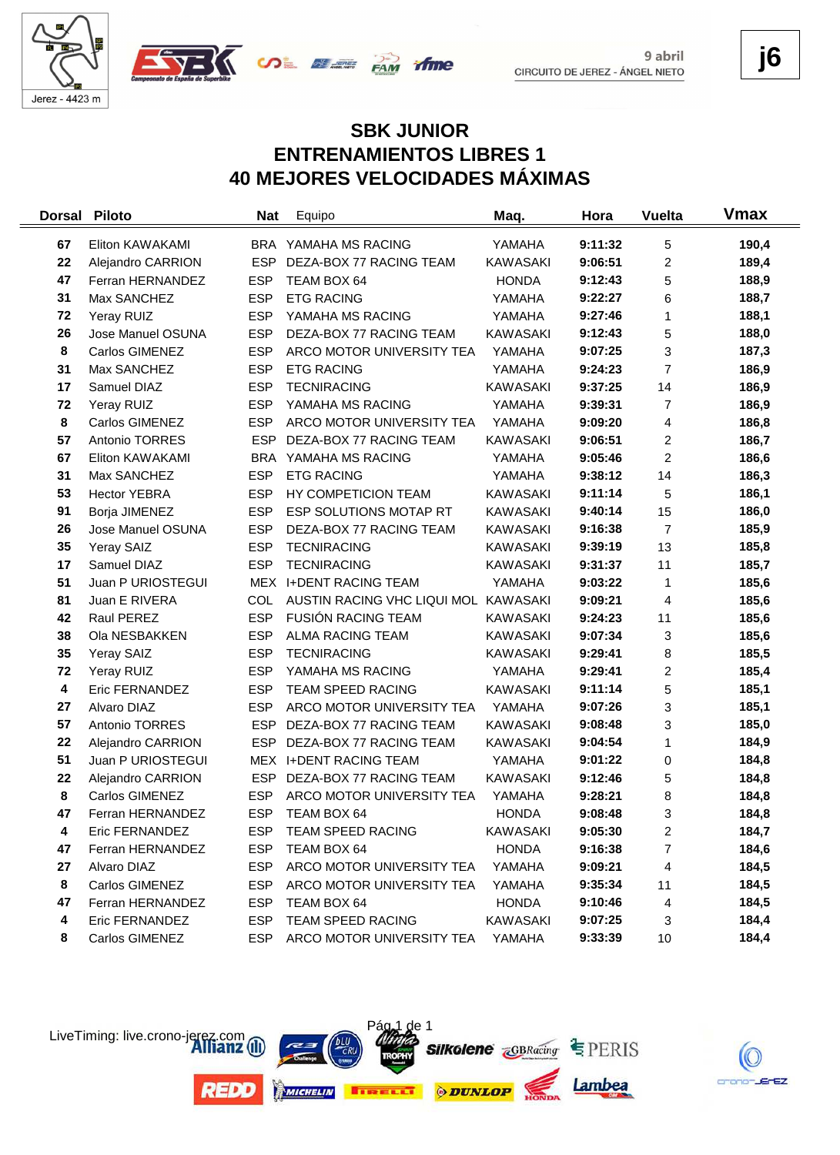



**j6**

crano-JErEZ

# **SBK JUNIOR ENTRENAMIENTOS LIBRES 1 40 MEJORES VELOCIDADES MÁXIMAS**

| <b>Dorsal</b>    | <b>Piloto</b>         | <b>Nat</b> | Equipo                               | Maq.            | Hora    | <b>Vuelta</b>  | Vmax  |
|------------------|-----------------------|------------|--------------------------------------|-----------------|---------|----------------|-------|
| 67               | Eliton KAWAKAMI       | <b>BRA</b> | YAMAHA MS RACING                     | YAMAHA          | 9:11:32 | 5              | 190,4 |
| 22               | Alejandro CARRION     | <b>ESP</b> | DEZA-BOX 77 RACING TEAM              | <b>KAWASAKI</b> | 9:06:51 | $\overline{c}$ | 189,4 |
| 47               | Ferran HERNANDEZ      | <b>ESP</b> | TEAM BOX 64                          | <b>HONDA</b>    | 9:12:43 | 5              | 188,9 |
| 31               | Max SANCHEZ           | <b>ESP</b> | <b>ETG RACING</b>                    | YAMAHA          | 9:22:27 | 6              | 188,7 |
| 72               | Yeray RUIZ            | <b>ESP</b> | YAMAHA MS RACING                     | YAMAHA          | 9:27:46 | 1              | 188,1 |
| 26               | Jose Manuel OSUNA     | <b>ESP</b> | DEZA-BOX 77 RACING TEAM              | <b>KAWASAKI</b> | 9:12:43 | 5              | 188,0 |
| 8                | Carlos GIMENEZ        | <b>ESP</b> | ARCO MOTOR UNIVERSITY TEA            | YAMAHA          | 9:07:25 | 3              | 187,3 |
| 31               | Max SANCHEZ           | <b>ESP</b> | <b>ETG RACING</b>                    | YAMAHA          | 9:24:23 | $\overline{7}$ | 186,9 |
| 17               | Samuel DIAZ           | <b>ESP</b> | <b>TECNIRACING</b>                   | <b>KAWASAKI</b> | 9:37:25 | 14             | 186,9 |
| 72               | Yeray RUIZ            | <b>ESP</b> | YAMAHA MS RACING                     | YAMAHA          | 9:39:31 | 7              | 186,9 |
| 8                | Carlos GIMENEZ        | <b>ESP</b> | ARCO MOTOR UNIVERSITY TEA            | YAMAHA          | 9:09:20 | 4              | 186,8 |
| 57               | Antonio TORRES        | <b>ESP</b> | DEZA-BOX 77 RACING TEAM              | <b>KAWASAKI</b> | 9:06:51 | $\overline{c}$ | 186,7 |
| 67               | Eliton KAWAKAMI       | <b>BRA</b> | YAMAHA MS RACING                     | YAMAHA          | 9:05:46 | $\overline{c}$ | 186,6 |
| 31               | Max SANCHEZ           | <b>ESP</b> | <b>ETG RACING</b>                    | YAMAHA          | 9:38:12 | 14             | 186,3 |
| 53               | <b>Hector YEBRA</b>   | <b>ESP</b> | HY COMPETICION TEAM                  | <b>KAWASAKI</b> | 9:11:14 | 5              | 186,1 |
| 91               | Borja JIMENEZ         | <b>ESP</b> | ESP SOLUTIONS MOTAP RT               | <b>KAWASAKI</b> | 9:40:14 | 15             | 186,0 |
| 26               | Jose Manuel OSUNA     | <b>ESP</b> | DEZA-BOX 77 RACING TEAM              | <b>KAWASAKI</b> | 9:16:38 | $\overline{7}$ | 185,9 |
| 35               | Yeray SAIZ            | <b>ESP</b> | <b>TECNIRACING</b>                   | <b>KAWASAKI</b> | 9:39:19 | 13             | 185,8 |
| 17               | Samuel DIAZ           | <b>ESP</b> | <b>TECNIRACING</b>                   | <b>KAWASAKI</b> | 9:31:37 | 11             | 185,7 |
| 51               | Juan P URIOSTEGUI     |            | MEX I+DENT RACING TEAM               | YAMAHA          | 9:03:22 | 1              | 185,6 |
| 81               | Juan E RIVERA         | COL        | AUSTIN RACING VHC LIQUI MOL KAWASAKI |                 | 9:09:21 | 4              | 185,6 |
| 42               | Raul PEREZ            | <b>ESP</b> | <b>FUSIÓN RACING TEAM</b>            | KAWASAKI        | 9:24:23 | 11             | 185,6 |
| 38               | Ola NESBAKKEN         | <b>ESP</b> | <b>ALMA RACING TEAM</b>              | KAWASAKI        | 9:07:34 | 3              | 185,6 |
| 35               | Yeray SAIZ            | <b>ESP</b> | <b>TECNIRACING</b>                   | <b>KAWASAKI</b> | 9:29:41 | 8              | 185,5 |
| 72               | Yeray RUIZ            | <b>ESP</b> | YAMAHA MS RACING                     | YAMAHA          | 9:29:41 | $\overline{c}$ | 185,4 |
| $\boldsymbol{4}$ | Eric FERNANDEZ        | <b>ESP</b> | TEAM SPEED RACING                    | <b>KAWASAKI</b> | 9:11:14 | 5              | 185,1 |
| 27               | Alvaro DIAZ           | <b>ESP</b> | ARCO MOTOR UNIVERSITY TEA            | YAMAHA          | 9:07:26 | 3              | 185,1 |
| 57               | Antonio TORRES        | <b>ESP</b> | DEZA-BOX 77 RACING TEAM              | <b>KAWASAKI</b> | 9:08:48 | 3              | 185,0 |
| 22               | Alejandro CARRION     | <b>ESP</b> | DEZA-BOX 77 RACING TEAM              | <b>KAWASAKI</b> | 9:04:54 | 1              | 184,9 |
| 51               | Juan P URIOSTEGUI     |            | MEX I+DENT RACING TEAM               | YAMAHA          | 9:01:22 | 0              | 184,8 |
| 22               | Alejandro CARRION     | <b>ESP</b> | DEZA-BOX 77 RACING TEAM              | <b>KAWASAKI</b> | 9:12:46 | 5              | 184,8 |
| 8                | Carlos GIMENEZ        | <b>ESP</b> | ARCO MOTOR UNIVERSITY TEA            | YAMAHA          | 9:28:21 | 8              | 184,8 |
| 47               | Ferran HERNANDEZ      | <b>ESP</b> | TEAM BOX 64                          | <b>HONDA</b>    | 9:08:48 | 3              | 184,8 |
| 4                | Eric FERNANDEZ        | ESP        | TEAM SPEED RACING                    | KAWASAKI        | 9:05:30 | 2              | 184,7 |
| 47               | Ferran HERNANDEZ      | <b>ESP</b> | TEAM BOX 64                          | <b>HONDA</b>    | 9:16:38 | $\overline{7}$ | 184,6 |
| 27               | Alvaro DIAZ           | <b>ESP</b> | ARCO MOTOR UNIVERSITY TEA            | YAMAHA          | 9:09:21 | 4              | 184,5 |
| 8                | Carlos GIMENEZ        | <b>ESP</b> | ARCO MOTOR UNIVERSITY TEA            | YAMAHA          | 9:35:34 | 11             | 184,5 |
| 47               | Ferran HERNANDEZ      | <b>ESP</b> | TEAM BOX 64                          | <b>HONDA</b>    | 9:10:46 | 4              | 184,5 |
| 4                | <b>Eric FERNANDEZ</b> | <b>ESP</b> | TEAM SPEED RACING                    | KAWASAKI        | 9:07:25 | 3              | 184,4 |
| 8                | Carlos GIMENEZ        | <b>ESP</b> | ARCO MOTOR UNIVERSITY TEA            | YAMAHA          | 9:33:39 | 10             | 184,4 |

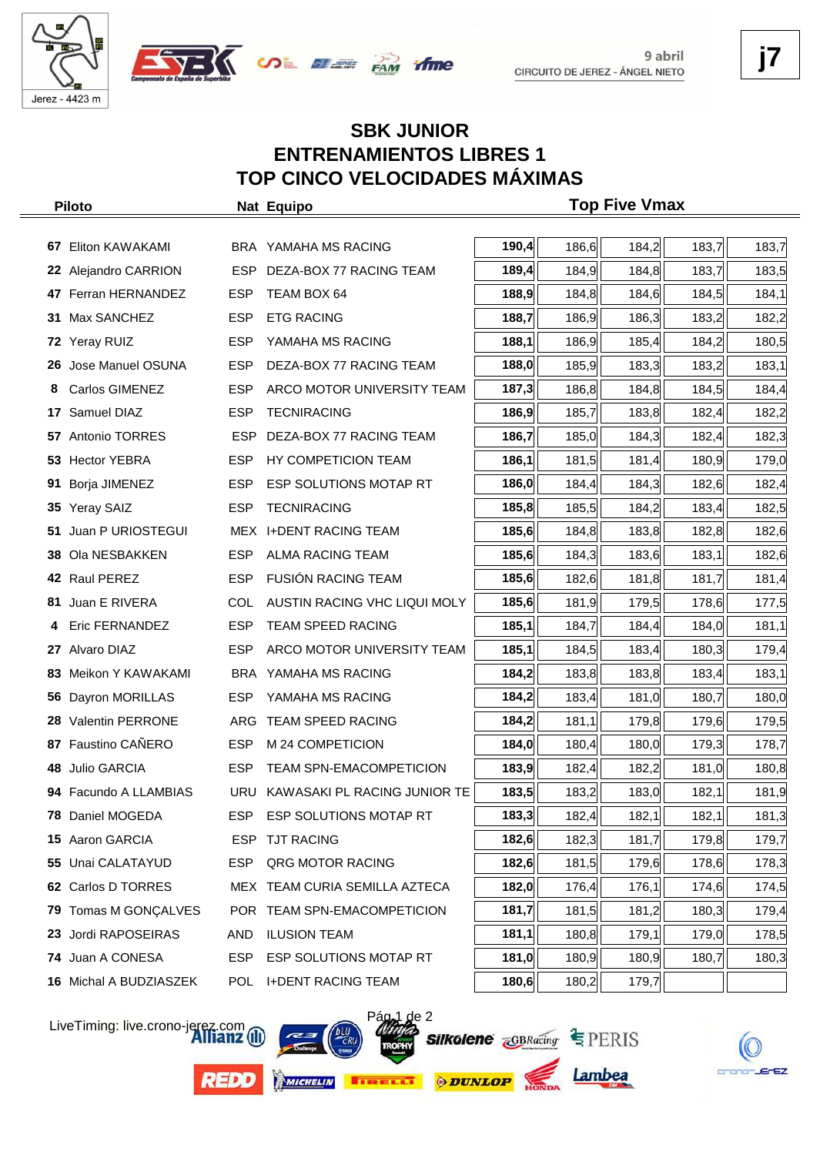





# **SBK JUNIOR ENTRENAMIENTOS LIBRES 1 TOP CINCO VELOCIDADES MÁXIMAS**

|    | <b>Piloto</b>           |            | Nat Equipo                       |       |       | <b>Top Five Vmax</b> |       |       |
|----|-------------------------|------------|----------------------------------|-------|-------|----------------------|-------|-------|
|    |                         |            |                                  |       |       |                      |       |       |
| 67 | Eliton KAWAKAMI         |            | BRA YAMAHA MS RACING             | 190,4 | 186,6 | 184,2                | 183,7 | 183,7 |
|    | 22 Alejandro CARRION    | <b>ESP</b> | DEZA-BOX 77 RACING TEAM          | 189,4 | 184,9 | 184,8                | 183,7 | 183,5 |
|    | 47 Ferran HERNANDEZ     | <b>ESP</b> | TEAM BOX 64                      | 188,9 | 184,8 | 184,6                | 184,5 | 184,1 |
| 31 | Max SANCHEZ             | <b>ESP</b> | <b>ETG RACING</b>                | 188,7 | 186,9 | 186,3                | 183,2 | 182,2 |
|    | 72 Yeray RUIZ           | <b>ESP</b> | YAMAHA MS RACING                 | 188,1 | 186,9 | 185,4                | 184,2 | 180,5 |
| 26 | Jose Manuel OSUNA       | <b>ESP</b> | DEZA-BOX 77 RACING TEAM          | 188,0 | 185,9 | 183,3                | 183,2 | 183,1 |
| 8  | Carlos GIMENEZ          | <b>ESP</b> | ARCO MOTOR UNIVERSITY TEAM       | 187,3 | 186,8 | 184,8                | 184,5 | 184,4 |
| 17 | Samuel DIAZ             | <b>ESP</b> | <b>TECNIRACING</b>               | 186,9 | 185,7 | 183,8                | 182,4 | 182,2 |
| 57 | Antonio TORRES          | <b>ESP</b> | DEZA-BOX 77 RACING TEAM          | 186,7 | 185,0 | 184,3                | 182,4 | 182,3 |
| 53 | <b>Hector YEBRA</b>     | <b>ESP</b> | HY COMPETICION TEAM              | 186,1 | 181,5 | 181,4                | 180,9 | 179,0 |
| 91 | Borja JIMENEZ           | <b>ESP</b> | ESP SOLUTIONS MOTAP RT           | 186,0 | 184,4 | 184,3                | 182,6 | 182,4 |
| 35 | <b>Yeray SAIZ</b>       | <b>ESP</b> | <b>TECNIRACING</b>               | 185,8 | 185,5 | 184,2                | 183,4 | 182,5 |
| 51 | Juan P URIOSTEGUI       |            | MEX I+DENT RACING TEAM           | 185,6 | 184,8 | 183,8                | 182,8 | 182,6 |
| 38 | Ola NESBAKKEN           | <b>ESP</b> | <b>ALMA RACING TEAM</b>          | 185,6 | 184,3 | 183,6                | 183,1 | 182,6 |
|    | 42 Raul PEREZ           | <b>ESP</b> | <b>FUSIÓN RACING TEAM</b>        | 185,6 | 182,6 | 181,8                | 181,7 | 181,4 |
| 81 | Juan E RIVERA           | <b>COL</b> | AUSTIN RACING VHC LIQUI MOLY     | 185,6 | 181,9 | 179,5                | 178,6 | 177,5 |
|    | Eric FERNANDEZ          | <b>ESP</b> | <b>TEAM SPEED RACING</b>         | 185,1 | 184,7 | 184,4                | 184,0 | 181,1 |
| 27 | Alvaro DIAZ             | <b>ESP</b> | ARCO MOTOR UNIVERSITY TEAM       | 185,1 | 184,5 | 183,4                | 180,3 | 179,4 |
| 83 | Meikon Y KAWAKAMI       |            | BRA YAMAHA MS RACING             | 184,2 | 183,8 | 183,8                | 183,4 | 183,1 |
| 56 | Dayron MORILLAS         | <b>ESP</b> | YAMAHA MS RACING                 | 184,2 | 183,4 | 181,0                | 180,7 | 180,0 |
| 28 | <b>Valentin PERRONE</b> |            | ARG TEAM SPEED RACING            | 184,2 | 181,1 | 179,8                | 179,6 | 179,5 |
| 87 | Faustino CAÑERO         | <b>ESP</b> | M 24 COMPETICION                 | 184,0 | 180,4 | 180,0                | 179,3 | 178,7 |
| 48 | Julio GARCIA            | <b>ESP</b> | <b>TEAM SPN-EMACOMPETICION</b>   | 183,9 | 182,4 | 182,2                | 181,0 | 180,8 |
|    | 94 Facundo A LLAMBIAS   |            | URU KAWASAKI PL RACING JUNIOR TE | 183,5 | 183,2 | 183,0                | 182,1 | 181,9 |
|    | 78 Daniel MOGEDA        |            | ESP ESP SOLUTIONS MOTAP RT       | 183,3 | 182,4 | 182,1                | 182,1 | 181,3 |
|    | 15 Aaron GARCIA         |            | ESP TJT RACING                   | 182,6 | 182,3 | 181,7                | 179,8 | 179,7 |
| 55 | Unai CALATAYUD          | ESP.       | QRG MOTOR RACING                 | 182,6 | 181,5 | 179,6                | 178,6 | 178,3 |
|    | 62 Carlos D TORRES      |            | MEX TEAM CURIA SEMILLA AZTECA    | 182,0 | 176,4 | 176,1                | 174,6 | 174,5 |
| 79 | Tomas M GONÇALVES       |            | POR TEAM SPN-EMACOMPETICION      | 181,7 | 181,5 | 181,2                | 180,3 | 179,4 |
| 23 | Jordi RAPOSEIRAS        | AND        | <b>ILUSION TEAM</b>              | 181,1 | 180,8 | 179,1                | 179,0 | 178,5 |
|    | 74 Juan A CONESA        | ESP        | ESP SOLUTIONS MOTAP RT           | 181,0 | 180,9 | 180,9                | 180,7 | 180,3 |
|    | 16 Michal A BUDZIASZEK  | POL        | <b>I+DENT RACING TEAM</b>        | 180,6 | 180,2 | 179,7                |       |       |

LiveTiming: live.crono-jerez.com

**REDO** 







Lambea

crono-JErEZ